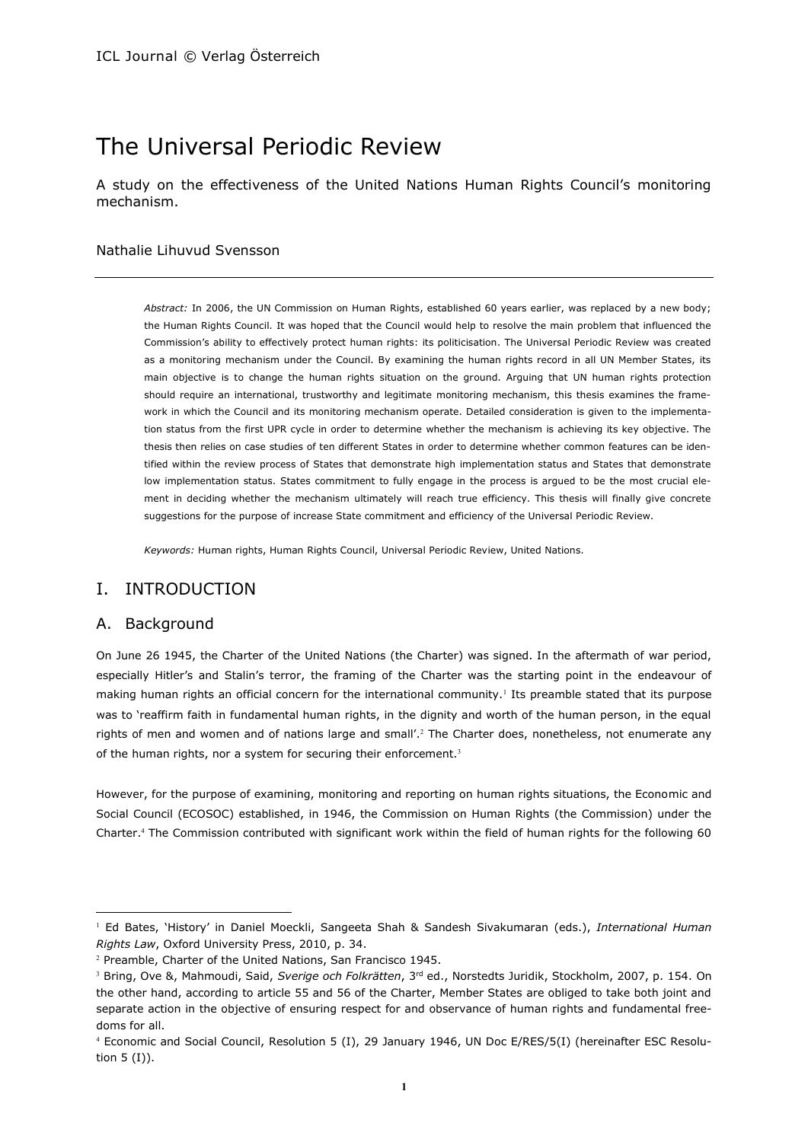# The Universal Periodic Review

A study on the effectiveness of the United Nations Human Rights Council's monitoring mechanism.

### Nathalie Lihuvud Svensson

*Abstract:* In 2006, the UN Commission on Human Rights, established 60 years earlier, was replaced by a new body; the Human Rights Council. It was hoped that the Council would help to resolve the main problem that influenced the Commission's ability to effectively protect human rights: its politicisation. The Universal Periodic Review was created as a monitoring mechanism under the Council. By examining the human rights record in all UN Member States, its main objective is to change the human rights situation on the ground. Arguing that UN human rights protection should require an international, trustworthy and legitimate monitoring mechanism, this thesis examines the framework in which the Council and its monitoring mechanism operate. Detailed consideration is given to the implementation status from the first UPR cycle in order to determine whether the mechanism is achieving its key objective. The thesis then relies on case studies of ten different States in order to determine whether common features can be identified within the review process of States that demonstrate high implementation status and States that demonstrate low implementation status. States commitment to fully engage in the process is argued to be the most crucial element in deciding whether the mechanism ultimately will reach true efficiency. This thesis will finally give concrete suggestions for the purpose of increase State commitment and efficiency of the Universal Periodic Review.

*Keywords:* Human rights, Human Rights Council, Universal Periodic Review, United Nations.

# I. INTRODUCTION

### A. Background

 $\overline{a}$ 

On June 26 1945, the Charter of the United Nations (the Charter) was signed. In the aftermath of war period, especially Hitler's and Stalin's terror, the framing of the Charter was the starting point in the endeavour of making human rights an official concern for the international community.<sup>1</sup> Its preamble stated that its purpose was to 'reaffirm faith in fundamental human rights, in the dignity and worth of the human person, in the equal rights of men and women and of nations large and small'.<sup>2</sup> The Charter does, nonetheless, not enumerate any of the human rights, nor a system for securing their enforcement.<sup>3</sup>

However, for the purpose of examining, monitoring and reporting on human rights situations, the Economic and Social Council (ECOSOC) established, in 1946, the Commission on Human Rights (the Commission) under the Charter.<sup>4</sup> The Commission contributed with significant work within the field of human rights for the following 60

<sup>1</sup> Ed Bates, 'History' in Daniel Moeckli, Sangeeta Shah & Sandesh Sivakumaran (eds.), *International Human Rights Law*, Oxford University Press, 2010, p. 34.

<sup>2</sup> Preamble, Charter of the United Nations, San Francisco 1945.

<sup>&</sup>lt;sup>3</sup> Bring, Ove &, Mahmoudi, Said, *Sverige och Folkrätten*, 3<sup>rd</sup> ed., Norstedts Juridik, Stockholm, 2007, p. 154. On the other hand, according to article 55 and 56 of the Charter, Member States are obliged to take both joint and separate action in the objective of ensuring respect for and observance of human rights and fundamental freedoms for all.

<sup>4</sup> Economic and Social Council, Resolution 5 (I), 29 January 1946, UN Doc E/RES/5(I) (hereinafter ESC Resolution 5 (I)).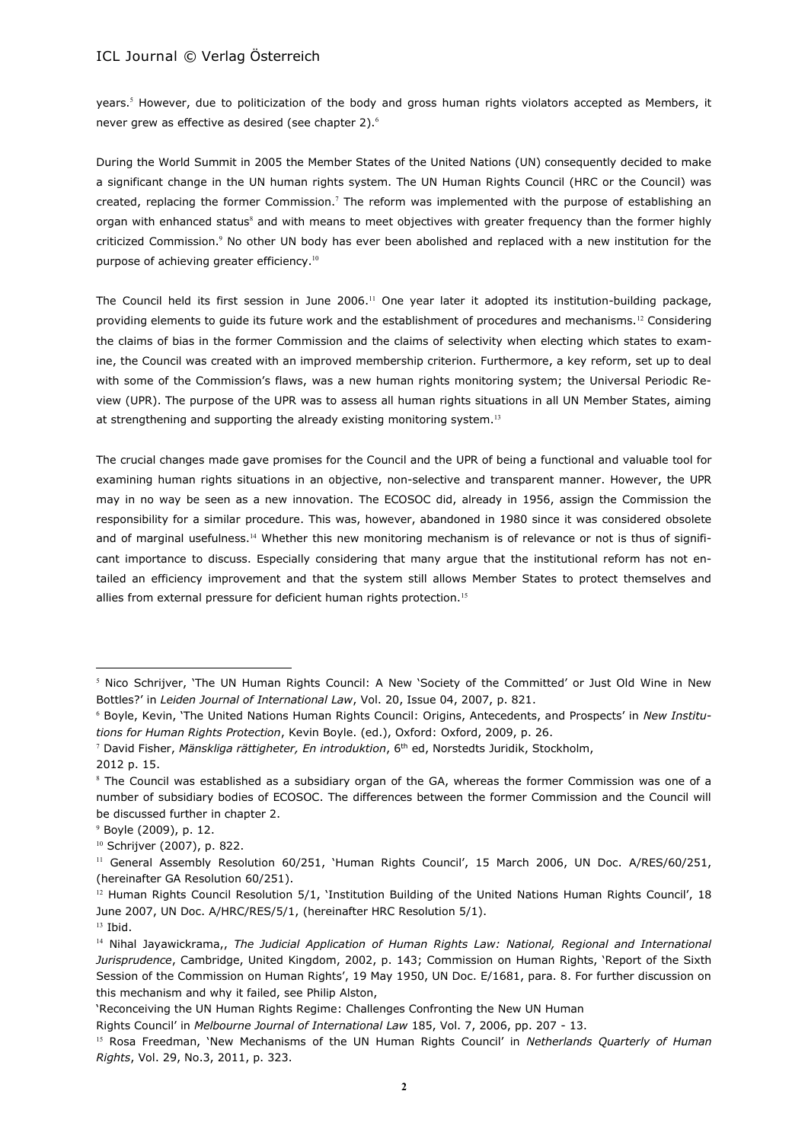years.<sup>5</sup> However, due to politicization of the body and gross human rights violators accepted as Members, it never grew as effective as desired (see chapter 2).<sup>6</sup>

During the World Summit in 2005 the Member States of the United Nations (UN) consequently decided to make a significant change in the UN human rights system. The UN Human Rights Council (HRC or the Council) was created, replacing the former Commission.<sup>7</sup> The reform was implemented with the purpose of establishing an organ with enhanced status<sup>8</sup> and with means to meet objectives with greater frequency than the former highly criticized Commission.<sup>9</sup> No other UN body has ever been abolished and replaced with a new institution for the purpose of achieving greater efficiency.<sup>10</sup>

The Council held its first session in June 2006.<sup>11</sup> One year later it adopted its institution-building package, providing elements to guide its future work and the establishment of procedures and mechanisms.<sup>12</sup> Considering the claims of bias in the former Commission and the claims of selectivity when electing which states to examine, the Council was created with an improved membership criterion. Furthermore, a key reform, set up to deal with some of the Commission's flaws, was a new human rights monitoring system; the Universal Periodic Review (UPR). The purpose of the UPR was to assess all human rights situations in all UN Member States, aiming at strengthening and supporting the already existing monitoring system.<sup>13</sup>

The crucial changes made gave promises for the Council and the UPR of being a functional and valuable tool for examining human rights situations in an objective, non-selective and transparent manner. However, the UPR may in no way be seen as a new innovation. The ECOSOC did, already in 1956, assign the Commission the responsibility for a similar procedure. This was, however, abandoned in 1980 since it was considered obsolete and of marginal usefulness.<sup>14</sup> Whether this new monitoring mechanism is of relevance or not is thus of significant importance to discuss. Especially considering that many argue that the institutional reform has not entailed an efficiency improvement and that the system still allows Member States to protect themselves and allies from external pressure for deficient human rights protection.<sup>15</sup>

<sup>5</sup> Nico Schrijver, 'The UN Human Rights Council: A New 'Society of the Committed' or Just Old Wine in New Bottles?' in *Leiden Journal of International Law*, Vol. 20, Issue 04, 2007, p. 821.

<sup>6</sup> Boyle, Kevin, 'The United Nations Human Rights Council: Origins, Antecedents, and Prospects' in *New Institutions for Human Rights Protection*, Kevin Boyle. (ed.), Oxford: Oxford, 2009, p. 26.

<sup>&</sup>lt;sup>7</sup> David Fisher, *Mänskliga rättigheter, En introduktion*, 6<sup>th</sup> ed, Norstedts Juridik, Stockholm,

<sup>2012</sup> p. 15.

<sup>&</sup>lt;sup>8</sup> The Council was established as a subsidiary organ of the GA, whereas the former Commission was one of a number of subsidiary bodies of ECOSOC. The differences between the former Commission and the Council will be discussed further in chapter 2.

<sup>9</sup> Boyle (2009), p. 12.

<sup>10</sup> Schrijver (2007), p. 822.

<sup>&</sup>lt;sup>11</sup> General Assembly Resolution 60/251, 'Human Rights Council', 15 March 2006, UN Doc. A/RES/60/251, (hereinafter GA Resolution 60/251).

 $12$  Human Rights Council Resolution 5/1, 'Institution Building of the United Nations Human Rights Council', 18 June 2007, UN Doc. A/HRC/RES/5/1, (hereinafter HRC Resolution 5/1). <sup>13</sup> Ibid.

<sup>14</sup> Nihal Jayawickrama,, *The Judicial Application of Human Rights Law: National, Regional and International Jurisprudence*, Cambridge, United Kingdom, 2002, p. 143; Commission on Human Rights, 'Report of the Sixth Session of the Commission on Human Rights', 19 May 1950, UN Doc. E/1681, para. 8. For further discussion on this mechanism and why it failed, see Philip Alston,

<sup>&#</sup>x27;Reconceiving the UN Human Rights Regime: Challenges Confronting the New UN Human

Rights Council' in *Melbourne Journal of International Law* 185, Vol. 7, 2006, pp. 207 - 13.

<sup>15</sup> Rosa Freedman, 'New Mechanisms of the UN Human Rights Council' in *Netherlands Quarterly of Human Rights*, Vol. 29, No.3, 2011, p. 323.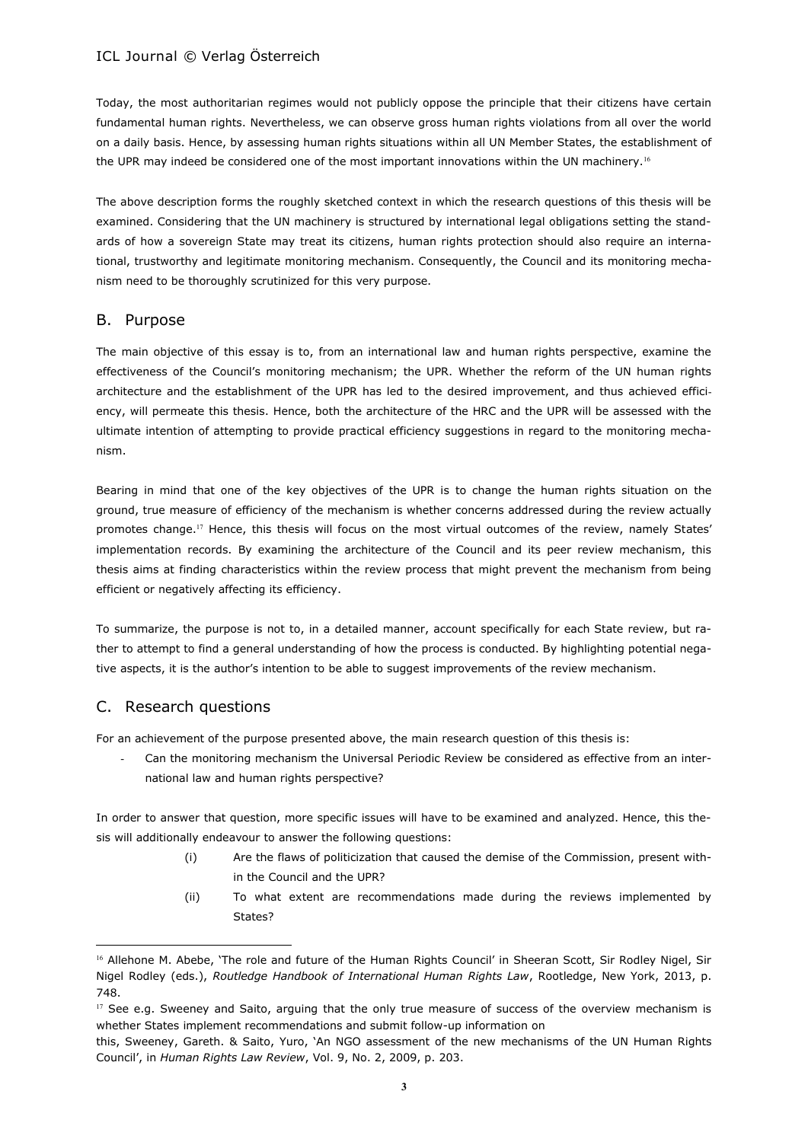Today, the most authoritarian regimes would not publicly oppose the principle that their citizens have certain fundamental human rights. Nevertheless, we can observe gross human rights violations from all over the world on a daily basis. Hence, by assessing human rights situations within all UN Member States, the establishment of the UPR may indeed be considered one of the most important innovations within the UN machinery.<sup>16</sup>

The above description forms the roughly sketched context in which the research questions of this thesis will be examined. Considering that the UN machinery is structured by international legal obligations setting the standards of how a sovereign State may treat its citizens, human rights protection should also require an international, trustworthy and legitimate monitoring mechanism. Consequently, the Council and its monitoring mechanism need to be thoroughly scrutinized for this very purpose.

# B. Purpose

The main objective of this essay is to, from an international law and human rights perspective, examine the effectiveness of the Council's monitoring mechanism; the UPR. Whether the reform of the UN human rights architecture and the establishment of the UPR has led to the desired improvement, and thus achieved efficiency, will permeate this thesis. Hence, both the architecture of the HRC and the UPR will be assessed with the ultimate intention of attempting to provide practical efficiency suggestions in regard to the monitoring mechanism.

Bearing in mind that one of the key objectives of the UPR is to change the human rights situation on the ground, true measure of efficiency of the mechanism is whether concerns addressed during the review actually promotes change.<sup>17</sup> Hence, this thesis will focus on the most virtual outcomes of the review, namely States' implementation records. By examining the architecture of the Council and its peer review mechanism, this thesis aims at finding characteristics within the review process that might prevent the mechanism from being efficient or negatively affecting its efficiency.

To summarize, the purpose is not to, in a detailed manner, account specifically for each State review, but rather to attempt to find a general understanding of how the process is conducted. By highlighting potential negative aspects, it is the author's intention to be able to suggest improvements of the review mechanism.

# C. Research questions

 $\overline{a}$ 

For an achievement of the purpose presented above, the main research question of this thesis is:

Can the monitoring mechanism the Universal Periodic Review be considered as effective from an international law and human rights perspective?

In order to answer that question, more specific issues will have to be examined and analyzed. Hence, this thesis will additionally endeavour to answer the following questions:

- (i) Are the flaws of politicization that caused the demise of the Commission, present within the Council and the UPR?
- (ii) To what extent are recommendations made during the reviews implemented by States?

<sup>&</sup>lt;sup>16</sup> Allehone M. Abebe, 'The role and future of the Human Rights Council' in Sheeran Scott, Sir Rodley Nigel, Sir Nigel Rodley (eds.), *Routledge Handbook of International Human Rights Law*, Rootledge, New York, 2013, p. 748.

<sup>&</sup>lt;sup>17</sup> See e.g. Sweeney and Saito, arguing that the only true measure of success of the overview mechanism is whether States implement recommendations and submit follow-up information on

this, Sweeney, Gareth. & Saito, Yuro, 'An NGO assessment of the new mechanisms of the UN Human Rights Council', in *Human Rights Law Review*, Vol. 9, No. 2, 2009, p. 203.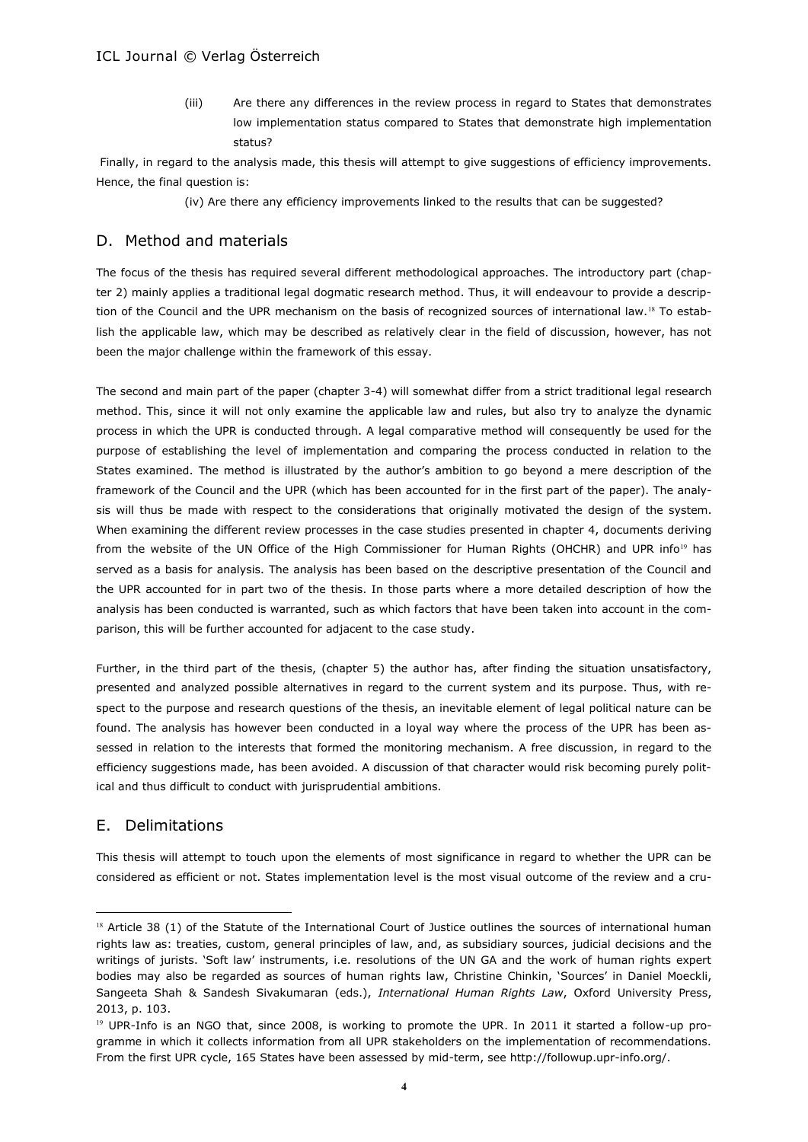(iii) Are there any differences in the review process in regard to States that demonstrates low implementation status compared to States that demonstrate high implementation status?

Finally, in regard to the analysis made, this thesis will attempt to give suggestions of efficiency improvements. Hence, the final question is:

(iv) Are there any efficiency improvements linked to the results that can be suggested?

# D. Method and materials

The focus of the thesis has required several different methodological approaches. The introductory part (chapter 2) mainly applies a traditional legal dogmatic research method. Thus, it will endeavour to provide a description of the Council and the UPR mechanism on the basis of recognized sources of international law.<sup>18</sup> To establish the applicable law, which may be described as relatively clear in the field of discussion, however, has not been the major challenge within the framework of this essay.

The second and main part of the paper (chapter 3-4) will somewhat differ from a strict traditional legal research method. This, since it will not only examine the applicable law and rules, but also try to analyze the dynamic process in which the UPR is conducted through. A legal comparative method will consequently be used for the purpose of establishing the level of implementation and comparing the process conducted in relation to the States examined. The method is illustrated by the author's ambition to go beyond a mere description of the framework of the Council and the UPR (which has been accounted for in the first part of the paper). The analysis will thus be made with respect to the considerations that originally motivated the design of the system. When examining the different review processes in the case studies presented in chapter 4, documents deriving from the website of the UN Office of the High Commissioner for Human Rights (OHCHR) and UPR info<sup>19</sup> has served as a basis for analysis. The analysis has been based on the descriptive presentation of the Council and the UPR accounted for in part two of the thesis. In those parts where a more detailed description of how the analysis has been conducted is warranted, such as which factors that have been taken into account in the comparison, this will be further accounted for adjacent to the case study.

Further, in the third part of the thesis, (chapter 5) the author has, after finding the situation unsatisfactory, presented and analyzed possible alternatives in regard to the current system and its purpose. Thus, with respect to the purpose and research questions of the thesis, an inevitable element of legal political nature can be found. The analysis has however been conducted in a loyal way where the process of the UPR has been assessed in relation to the interests that formed the monitoring mechanism. A free discussion, in regard to the efficiency suggestions made, has been avoided. A discussion of that character would risk becoming purely political and thus difficult to conduct with jurisprudential ambitions.

# E. Delimitations

 $\overline{a}$ 

This thesis will attempt to touch upon the elements of most significance in regard to whether the UPR can be considered as efficient or not. States implementation level is the most visual outcome of the review and a cru-

<sup>18</sup> Article 38 (1) of the Statute of the International Court of Justice outlines the sources of international human rights law as: treaties, custom, general principles of law, and, as subsidiary sources, judicial decisions and the writings of jurists. 'Soft law' instruments, i.e. resolutions of the UN GA and the work of human rights expert bodies may also be regarded as sources of human rights law, Christine Chinkin, 'Sources' in Daniel Moeckli, Sangeeta Shah & Sandesh Sivakumaran (eds.), *International Human Rights Law*, Oxford University Press, 2013, p. 103.

<sup>&</sup>lt;sup>19</sup> UPR-Info is an NGO that, since 2008, is working to promote the UPR. In 2011 it started a follow-up programme in which it collects information from all UPR stakeholders on the implementation of recommendations. From the first UPR cycle, 165 States have been assessed by mid-term, see http://followup.upr-info.org/.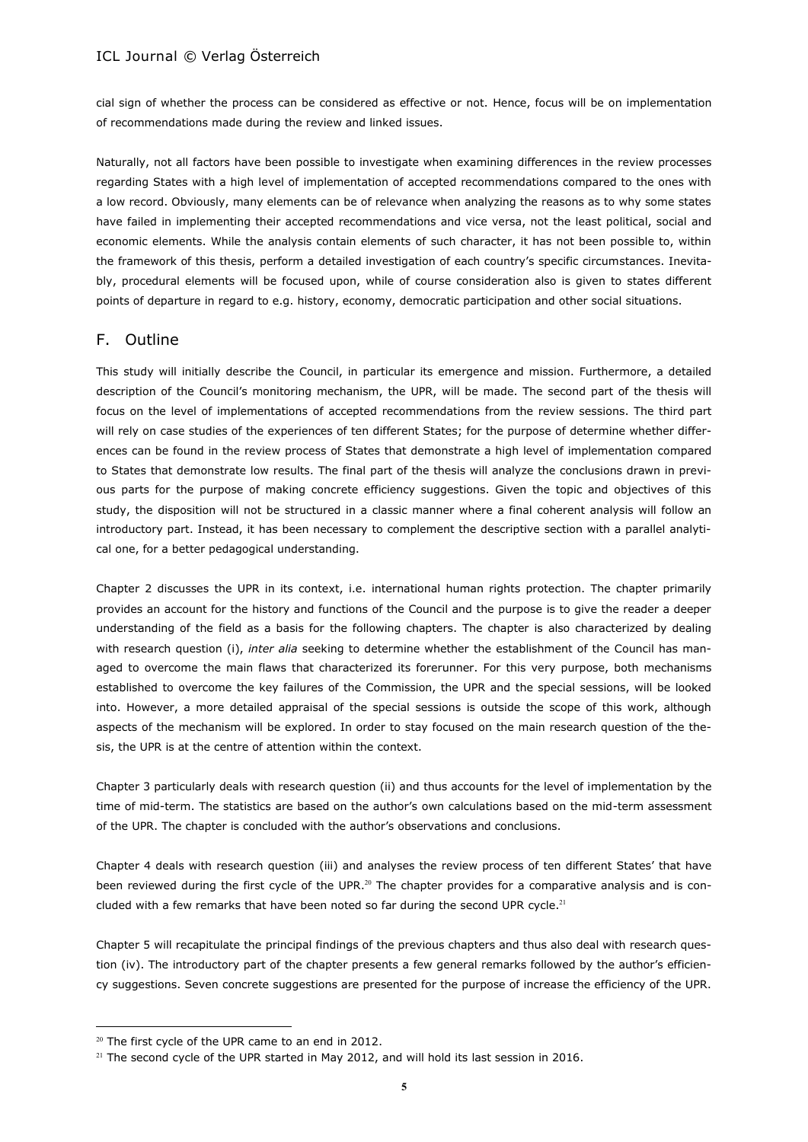cial sign of whether the process can be considered as effective or not. Hence, focus will be on implementation of recommendations made during the review and linked issues.

Naturally, not all factors have been possible to investigate when examining differences in the review processes regarding States with a high level of implementation of accepted recommendations compared to the ones with a low record. Obviously, many elements can be of relevance when analyzing the reasons as to why some states have failed in implementing their accepted recommendations and vice versa, not the least political, social and economic elements. While the analysis contain elements of such character, it has not been possible to, within the framework of this thesis, perform a detailed investigation of each country's specific circumstances. Inevitably, procedural elements will be focused upon, while of course consideration also is given to states different points of departure in regard to e.g. history, economy, democratic participation and other social situations.

# F. Outline

This study will initially describe the Council, in particular its emergence and mission. Furthermore, a detailed description of the Council's monitoring mechanism, the UPR, will be made. The second part of the thesis will focus on the level of implementations of accepted recommendations from the review sessions. The third part will rely on case studies of the experiences of ten different States; for the purpose of determine whether differences can be found in the review process of States that demonstrate a high level of implementation compared to States that demonstrate low results. The final part of the thesis will analyze the conclusions drawn in previous parts for the purpose of making concrete efficiency suggestions. Given the topic and objectives of this study, the disposition will not be structured in a classic manner where a final coherent analysis will follow an introductory part. Instead, it has been necessary to complement the descriptive section with a parallel analytical one, for a better pedagogical understanding.

Chapter 2 discusses the UPR in its context, i.e. international human rights protection. The chapter primarily provides an account for the history and functions of the Council and the purpose is to give the reader a deeper understanding of the field as a basis for the following chapters. The chapter is also characterized by dealing with research question (i), *inter alia* seeking to determine whether the establishment of the Council has managed to overcome the main flaws that characterized its forerunner. For this very purpose, both mechanisms established to overcome the key failures of the Commission, the UPR and the special sessions, will be looked into. However, a more detailed appraisal of the special sessions is outside the scope of this work, although aspects of the mechanism will be explored. In order to stay focused on the main research question of the thesis, the UPR is at the centre of attention within the context.

Chapter 3 particularly deals with research question (ii) and thus accounts for the level of implementation by the time of mid-term. The statistics are based on the author's own calculations based on the mid-term assessment of the UPR. The chapter is concluded with the author's observations and conclusions.

Chapter 4 deals with research question (iii) and analyses the review process of ten different States' that have been reviewed during the first cycle of the UPR.<sup>20</sup> The chapter provides for a comparative analysis and is concluded with a few remarks that have been noted so far during the second UPR cycle.<sup>21</sup>

Chapter 5 will recapitulate the principal findings of the previous chapters and thus also deal with research question (iv). The introductory part of the chapter presents a few general remarks followed by the author's efficiency suggestions. Seven concrete suggestions are presented for the purpose of increase the efficiency of the UPR.

<sup>&</sup>lt;sup>20</sup> The first cycle of the UPR came to an end in 2012.

 $21$  The second cycle of the UPR started in May 2012, and will hold its last session in 2016.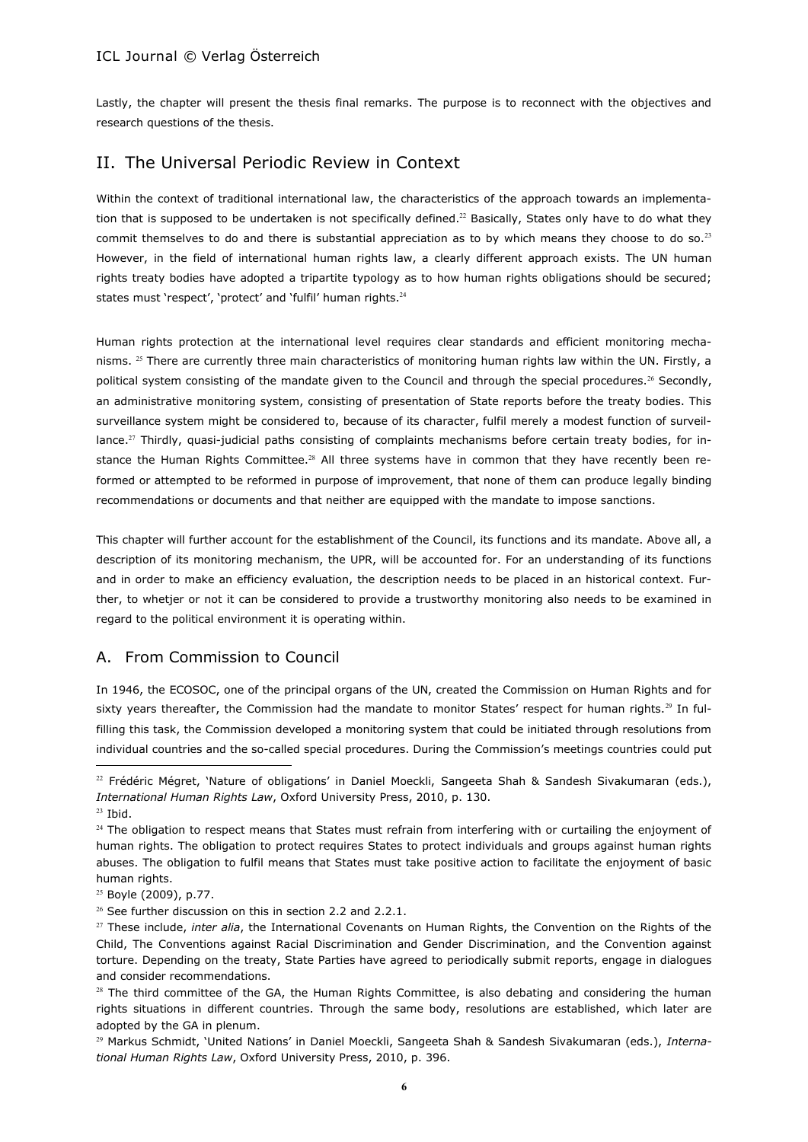Lastly, the chapter will present the thesis final remarks. The purpose is to reconnect with the objectives and research questions of the thesis.

# II. The Universal Periodic Review in Context

Within the context of traditional international law, the characteristics of the approach towards an implementation that is supposed to be undertaken is not specifically defined.<sup>22</sup> Basically, States only have to do what they commit themselves to do and there is substantial appreciation as to by which means they choose to do so.<sup>23</sup> However, in the field of international human rights law, a clearly different approach exists. The UN human rights treaty bodies have adopted a tripartite typology as to how human rights obligations should be secured; states must 'respect', 'protect' and 'fulfil' human rights.<sup>24</sup>

Human rights protection at the international level requires clear standards and efficient monitoring mechanisms. <sup>25</sup> There are currently three main characteristics of monitoring human rights law within the UN. Firstly, a political system consisting of the mandate given to the Council and through the special procedures.<sup>26</sup> Secondly, an administrative monitoring system, consisting of presentation of State reports before the treaty bodies. This surveillance system might be considered to, because of its character, fulfil merely a modest function of surveillance.<sup>27</sup> Thirdly, quasi-judicial paths consisting of complaints mechanisms before certain treaty bodies, for instance the Human Rights Committee.<sup>28</sup> All three systems have in common that they have recently been reformed or attempted to be reformed in purpose of improvement, that none of them can produce legally binding recommendations or documents and that neither are equipped with the mandate to impose sanctions.

This chapter will further account for the establishment of the Council, its functions and its mandate. Above all, a description of its monitoring mechanism, the UPR, will be accounted for. For an understanding of its functions and in order to make an efficiency evaluation, the description needs to be placed in an historical context. Further, to whetjer or not it can be considered to provide a trustworthy monitoring also needs to be examined in regard to the political environment it is operating within.

# A. From Commission to Council

In 1946, the ECOSOC, one of the principal organs of the UN, created the Commission on Human Rights and for sixty years thereafter, the Commission had the mandate to monitor States' respect for human rights.<sup>29</sup> In fulfilling this task, the Commission developed a monitoring system that could be initiated through resolutions from individual countries and the so-called special procedures. During the Commission's meetings countries could put

<sup>&</sup>lt;sup>22</sup> Frédéric Mégret, 'Nature of obligations' in Daniel Moeckli, Sangeeta Shah & Sandesh Sivakumaran (eds.), *International Human Rights Law*, Oxford University Press, 2010, p. 130.

 $23$  Ibid.

<sup>&</sup>lt;sup>24</sup> The obligation to respect means that States must refrain from interfering with or curtailing the enjoyment of human rights. The obligation to protect requires States to protect individuals and groups against human rights abuses. The obligation to fulfil means that States must take positive action to facilitate the enjoyment of basic human rights.

<sup>25</sup> Boyle (2009), p.77.

<sup>&</sup>lt;sup>26</sup> See further discussion on this in section 2.2 and 2.2.1.

<sup>&</sup>lt;sup>27</sup> These include, *inter alia*, the International Covenants on Human Rights, the Convention on the Rights of the Child, The Conventions against Racial Discrimination and Gender Discrimination, and the Convention against torture. Depending on the treaty, State Parties have agreed to periodically submit reports, engage in dialogues and consider recommendations.

 $28$  The third committee of the GA, the Human Rights Committee, is also debating and considering the human rights situations in different countries. Through the same body, resolutions are established, which later are adopted by the GA in plenum.

<sup>29</sup> Markus Schmidt, 'United Nations' in Daniel Moeckli, Sangeeta Shah & Sandesh Sivakumaran (eds.), *International Human Rights Law*, Oxford University Press, 2010, p. 396.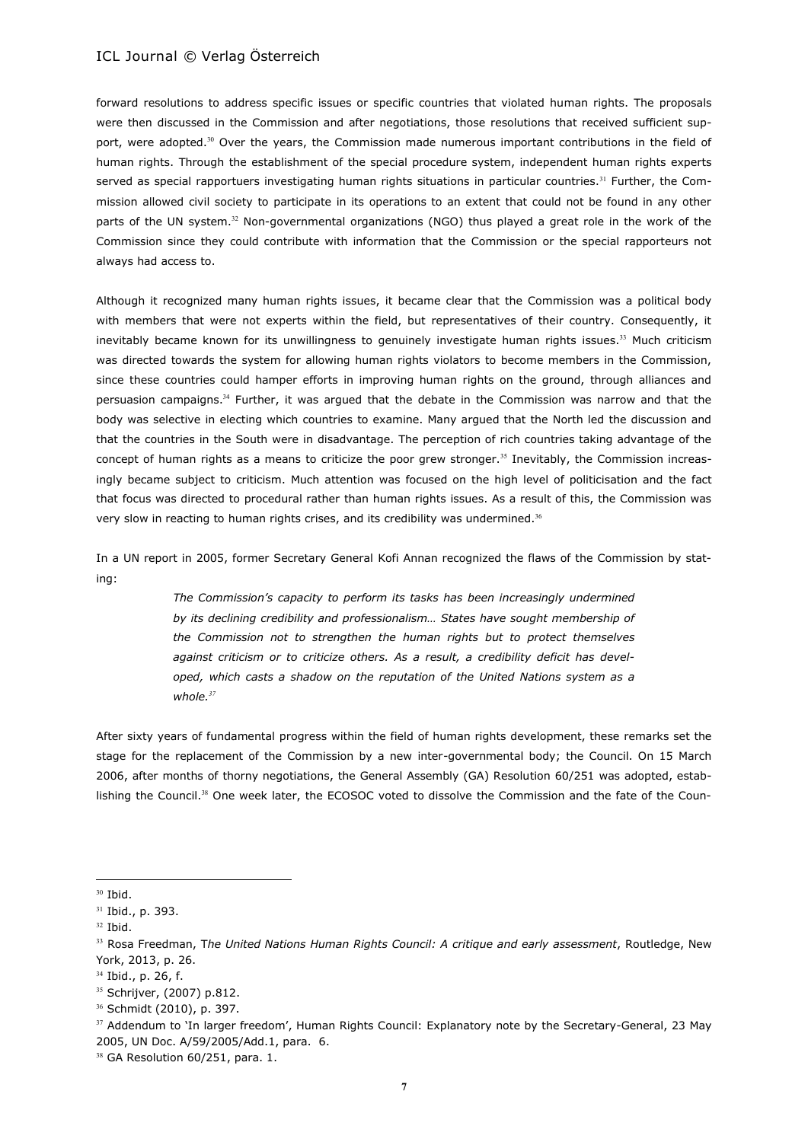forward resolutions to address specific issues or specific countries that violated human rights. The proposals were then discussed in the Commission and after negotiations, those resolutions that received sufficient support, were adopted.<sup>30</sup> Over the years, the Commission made numerous important contributions in the field of human rights. Through the establishment of the special procedure system, independent human rights experts served as special rapportuers investigating human rights situations in particular countries.<sup>31</sup> Further, the Commission allowed civil society to participate in its operations to an extent that could not be found in any other parts of the UN system.<sup>32</sup> Non-governmental organizations (NGO) thus played a great role in the work of the Commission since they could contribute with information that the Commission or the special rapporteurs not always had access to.

Although it recognized many human rights issues, it became clear that the Commission was a political body with members that were not experts within the field, but representatives of their country. Consequently, it inevitably became known for its unwillingness to genuinely investigate human rights issues.<sup>33</sup> Much criticism was directed towards the system for allowing human rights violators to become members in the Commission, since these countries could hamper efforts in improving human rights on the ground, through alliances and persuasion campaigns.<sup>34</sup> Further, it was argued that the debate in the Commission was narrow and that the body was selective in electing which countries to examine. Many argued that the North led the discussion and that the countries in the South were in disadvantage. The perception of rich countries taking advantage of the concept of human rights as a means to criticize the poor grew stronger.<sup>35</sup> Inevitably, the Commission increasingly became subject to criticism. Much attention was focused on the high level of politicisation and the fact that focus was directed to procedural rather than human rights issues. As a result of this, the Commission was very slow in reacting to human rights crises, and its credibility was undermined.<sup>36</sup>

In a UN report in 2005, former Secretary General Kofi Annan recognized the flaws of the Commission by stating:

> *The Commission's capacity to perform its tasks has been increasingly undermined by its declining credibility and professionalism… States have sought membership of the Commission not to strengthen the human rights but to protect themselves against criticism or to criticize others. As a result, a credibility deficit has developed, which casts a shadow on the reputation of the United Nations system as a whole.<sup>37</sup>*

After sixty years of fundamental progress within the field of human rights development, these remarks set the stage for the replacement of the Commission by a new inter-governmental body; the Council. On 15 March 2006, after months of thorny negotiations, the General Assembly (GA) Resolution 60/251 was adopted, establishing the Council.<sup>38</sup> One week later, the ECOSOC voted to dissolve the Commission and the fate of the Coun-

<sup>30</sup> Ibid.

<sup>31</sup> Ibid., p. 393.

<sup>32</sup> Ibid.

<sup>33</sup> Rosa Freedman, T*he United Nations Human Rights Council: A critique and early assessment*, Routledge, New York, 2013, p. 26.

<sup>&</sup>lt;sup>34</sup> Ibid., p. 26, f.

<sup>35</sup> Schrijver, (2007) p.812.

<sup>36</sup> Schmidt (2010), p. 397.

<sup>&</sup>lt;sup>37</sup> Addendum to 'In larger freedom', Human Rights Council: Explanatory note by the Secretary-General, 23 May 2005, UN Doc. A/59/2005/Add.1, para. 6.

<sup>&</sup>lt;sup>38</sup> GA Resolution 60/251, para. 1.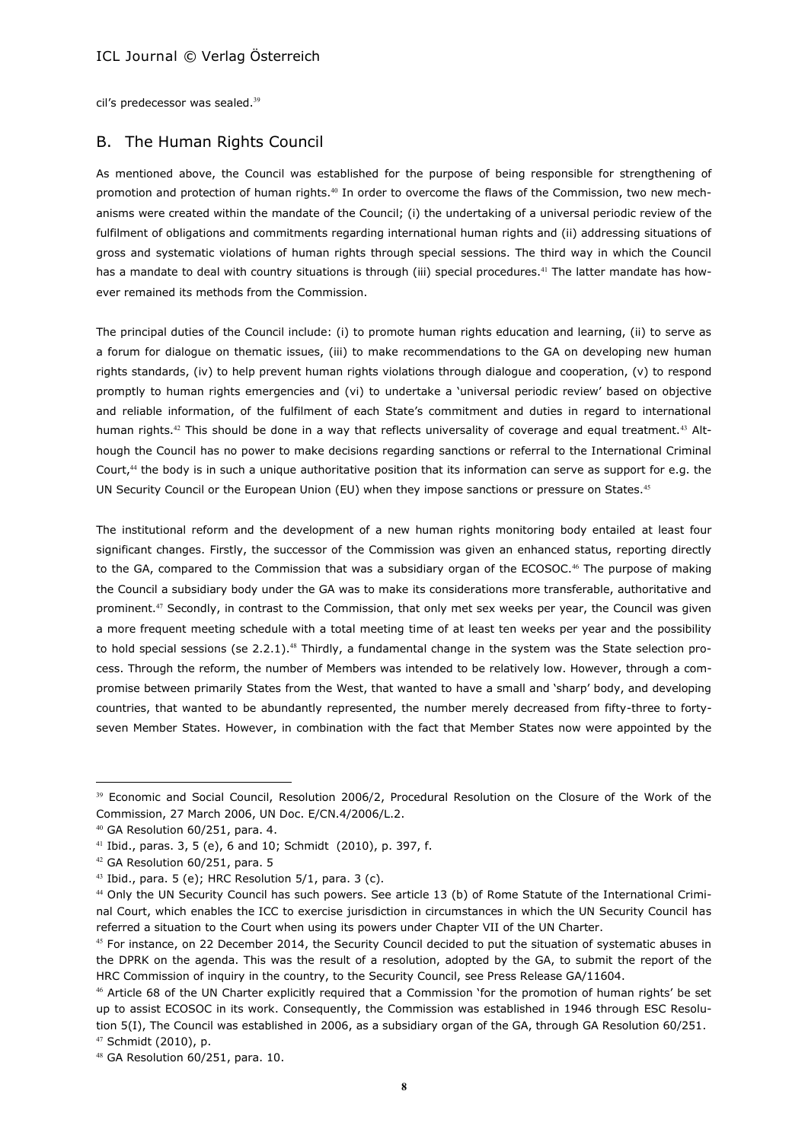cil's predecessor was sealed.<sup>39</sup>

# B. The Human Rights Council

As mentioned above, the Council was established for the purpose of being responsible for strengthening of promotion and protection of human rights.<sup>40</sup> In order to overcome the flaws of the Commission, two new mechanisms were created within the mandate of the Council; (i) the undertaking of a universal periodic review of the fulfilment of obligations and commitments regarding international human rights and (ii) addressing situations of gross and systematic violations of human rights through special sessions. The third way in which the Council has a mandate to deal with country situations is through (iii) special procedures.<sup>41</sup> The latter mandate has however remained its methods from the Commission.

The principal duties of the Council include: (i) to promote human rights education and learning, (ii) to serve as a forum for dialogue on thematic issues, (iii) to make recommendations to the GA on developing new human rights standards, (iv) to help prevent human rights violations through dialogue and cooperation, (v) to respond promptly to human rights emergencies and (vi) to undertake a 'universal periodic review' based on objective and reliable information, of the fulfilment of each State's commitment and duties in regard to international human rights.<sup>42</sup> This should be done in a way that reflects universality of coverage and equal treatment.<sup>43</sup> Although the Council has no power to make decisions regarding sanctions or referral to the International Criminal Court, $44$  the body is in such a unique authoritative position that its information can serve as support for e.g. the UN Security Council or the European Union (EU) when they impose sanctions or pressure on States.<sup>45</sup>

The institutional reform and the development of a new human rights monitoring body entailed at least four significant changes. Firstly, the successor of the Commission was given an enhanced status, reporting directly to the GA, compared to the Commission that was a subsidiary organ of the ECOSOC.<sup>46</sup> The purpose of making the Council a subsidiary body under the GA was to make its considerations more transferable, authoritative and prominent.<sup>47</sup> Secondly, in contrast to the Commission, that only met sex weeks per year, the Council was given a more frequent meeting schedule with a total meeting time of at least ten weeks per year and the possibility to hold special sessions (se 2.2.1).<sup>48</sup> Thirdly, a fundamental change in the system was the State selection process. Through the reform, the number of Members was intended to be relatively low. However, through a compromise between primarily States from the West, that wanted to have a small and 'sharp' body, and developing countries, that wanted to be abundantly represented, the number merely decreased from fifty-three to fortyseven Member States. However, in combination with the fact that Member States now were appointed by the

<sup>&</sup>lt;sup>39</sup> Economic and Social Council, Resolution 2006/2, Procedural Resolution on the Closure of the Work of the Commission, 27 March 2006, UN Doc. E/CN.4/2006/L.2.

<sup>40</sup> GA Resolution 60/251, para. 4.

<sup>41</sup> Ibid., paras. 3, 5 (e), 6 and 10; Schmidt (2010), p. 397, f.

<sup>&</sup>lt;sup>42</sup> GA Resolution 60/251, para. 5

 $43$  Ibid., para. 5 (e); HRC Resolution 5/1, para. 3 (c).

<sup>44</sup> Only the UN Security Council has such powers. See article 13 (b) of Rome Statute of the International Criminal Court, which enables the ICC to exercise jurisdiction in circumstances in which the UN Security Council has referred a situation to the Court when using its powers under Chapter VII of the UN Charter.

<sup>45</sup> For instance, on 22 December 2014, the Security Council decided to put the situation of systematic abuses in the DPRK on the agenda. This was the result of a resolution, adopted by the GA, to submit the report of the HRC Commission of inquiry in the country, to the Security Council, see Press Release GA/11604.

<sup>46</sup> Article 68 of the UN Charter explicitly required that a Commission 'for the promotion of human rights' be set up to assist ECOSOC in its work. Consequently, the Commission was established in 1946 through ESC Resolution 5(I), The Council was established in 2006, as a subsidiary organ of the GA, through GA Resolution 60/251. <sup>47</sup> Schmidt (2010), p.

<sup>48</sup> GA Resolution 60/251, para. 10.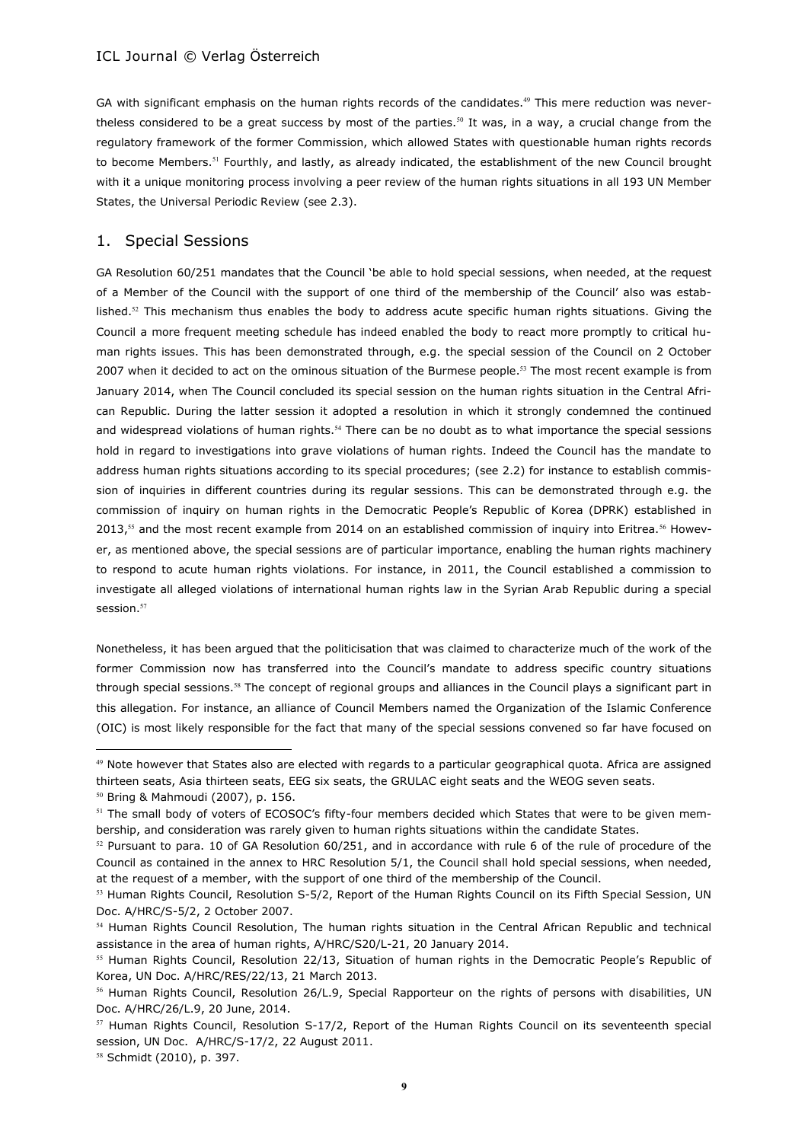GA with significant emphasis on the human rights records of the candidates.<sup>49</sup> This mere reduction was nevertheless considered to be a great success by most of the parties.<sup>50</sup> It was, in a way, a crucial change from the regulatory framework of the former Commission, which allowed States with questionable human rights records to become Members.<sup>51</sup> Fourthly, and lastly, as already indicated, the establishment of the new Council brought with it a unique monitoring process involving a peer review of the human rights situations in all 193 UN Member States, the Universal Periodic Review (see 2.3).

### 1. Special Sessions

GA Resolution 60/251 mandates that the Council 'be able to hold special sessions, when needed, at the request of a Member of the Council with the support of one third of the membership of the Council' also was established.<sup>52</sup> This mechanism thus enables the body to address acute specific human rights situations. Giving the Council a more frequent meeting schedule has indeed enabled the body to react more promptly to critical human rights issues. This has been demonstrated through, e.g. the special session of the Council on 2 October 2007 when it decided to act on the ominous situation of the Burmese people.<sup>53</sup> The most recent example is from January 2014, when The Council concluded its special session on the human rights situation in the Central African Republic. During the latter session it adopted a resolution in which it strongly condemned the continued and widespread violations of human rights.<sup>54</sup> There can be no doubt as to what importance the special sessions hold in regard to investigations into grave violations of human rights. Indeed the Council has the mandate to address human rights situations according to its special procedures; (see 2.2) for instance to establish commission of inquiries in different countries during its regular sessions. This can be demonstrated through e.g. the commission of inquiry on human rights in the Democratic People's Republic of Korea (DPRK) established in 2013, $55$  and the most recent example from 2014 on an established commission of inquiry into Eritrea.  $56$  However, as mentioned above, the special sessions are of particular importance, enabling the human rights machinery to respond to acute human rights violations. For instance, in 2011, the Council established a commission to investigate all alleged violations of international human rights law in the Syrian Arab Republic during a special session.<sup>57</sup>

Nonetheless, it has been argued that the politicisation that was claimed to characterize much of the work of the former Commission now has transferred into the Council's mandate to address specific country situations through special sessions.<sup>58</sup> The concept of regional groups and alliances in the Council plays a significant part in this allegation. For instance, an alliance of Council Members named the Organization of the Islamic Conference (OIC) is most likely responsible for the fact that many of the special sessions convened so far have focused on

<sup>49</sup> Note however that States also are elected with regards to a particular geographical quota. Africa are assigned thirteen seats, Asia thirteen seats, EEG six seats, the GRULAC eight seats and the WEOG seven seats.

<sup>50</sup> Bring & Mahmoudi (2007), p. 156.

<sup>&</sup>lt;sup>51</sup> The small body of voters of ECOSOC's fifty-four members decided which States that were to be given membership, and consideration was rarely given to human rights situations within the candidate States.

 $52$  Pursuant to para. 10 of GA Resolution 60/251, and in accordance with rule 6 of the rule of procedure of the Council as contained in the annex to HRC Resolution 5/1, the Council shall hold special sessions, when needed, at the request of a member, with the support of one third of the membership of the Council.

<sup>&</sup>lt;sup>53</sup> Human Rights Council, Resolution S-5/2, Report of the Human Rights Council on its Fifth Special Session, UN Doc. A/HRC/S-5/2, 2 October 2007.

<sup>54</sup> Human Rights Council Resolution, The human rights situation in the Central African Republic and technical assistance in the area of human rights, A/HRC/S20/L-21, 20 January 2014.

<sup>&</sup>lt;sup>55</sup> Human Rights Council, Resolution 22/13, Situation of human rights in the Democratic People's Republic of Korea, UN Doc. A/HRC/RES/22/13, 21 March 2013.

<sup>&</sup>lt;sup>56</sup> Human Rights Council, Resolution 26/L.9, Special Rapporteur on the rights of persons with disabilities, UN Doc. A/HRC/26/L.9, 20 June, 2014.

 $57$  Human Rights Council, Resolution S-17/2, Report of the Human Rights Council on its seventeenth special session, UN Doc. A/HRC/S-17/2, 22 August 2011.

<sup>58</sup> Schmidt (2010), p. 397.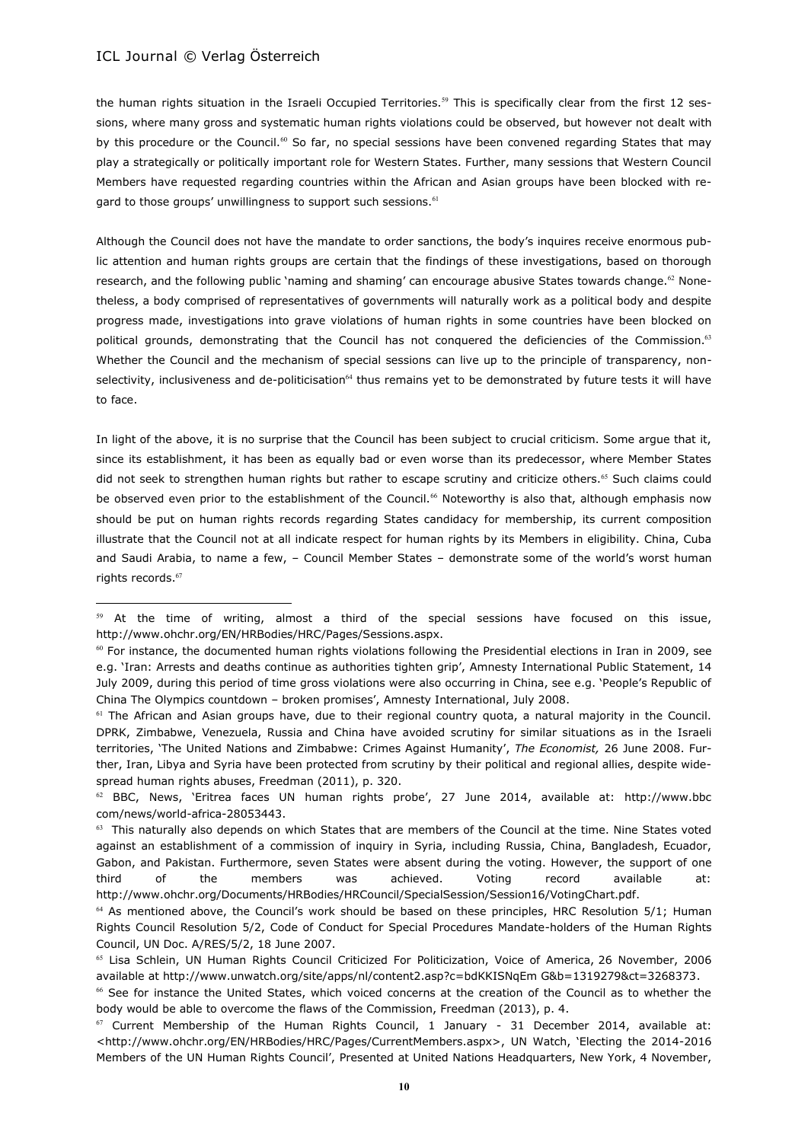$\overline{a}$ 

the human rights situation in the Israeli Occupied Territories.<sup>59</sup> This is specifically clear from the first 12 sessions, where many gross and systematic human rights violations could be observed, but however not dealt with by this procedure or the Council.<sup>60</sup> So far, no special sessions have been convened regarding States that may play a strategically or politically important role for Western States. Further, many sessions that Western Council Members have requested regarding countries within the African and Asian groups have been blocked with regard to those groups' unwillingness to support such sessions.<sup>61</sup>

Although the Council does not have the mandate to order sanctions, the body's inquires receive enormous public attention and human rights groups are certain that the findings of these investigations, based on thorough research, and the following public 'naming and shaming' can encourage abusive States towards change.<sup>62</sup> Nonetheless, a body comprised of representatives of governments will naturally work as a political body and despite progress made, investigations into grave violations of human rights in some countries have been blocked on political grounds, demonstrating that the Council has not conquered the deficiencies of the Commission.<sup>63</sup> Whether the Council and the mechanism of special sessions can live up to the principle of transparency, nonselectivity, inclusiveness and de-politicisation<sup>64</sup> thus remains yet to be demonstrated by future tests it will have to face.

In light of the above, it is no surprise that the Council has been subject to crucial criticism. Some argue that it, since its establishment, it has been as equally bad or even worse than its predecessor, where Member States did not seek to strengthen human rights but rather to escape scrutiny and criticize others.<sup>65</sup> Such claims could be observed even prior to the establishment of the Council.<sup>66</sup> Noteworthy is also that, although emphasis now should be put on human rights records regarding States candidacy for membership, its current composition illustrate that the Council not at all indicate respect for human rights by its Members in eligibility. China, Cuba and Saudi Arabia, to name a few, – Council Member States – demonstrate some of the world's worst human rights records. $67$ 

 $59$  At the time of writing, almost a third of the special sessions have focused on this issue, http://www.ohchr.org/EN/HRBodies/HRC/Pages/Sessions.aspx.

 $60$  For instance, the documented human rights violations following the Presidential elections in Iran in 2009, see e.g. 'Iran: Arrests and deaths continue as authorities tighten grip', Amnesty International Public Statement, 14 July 2009, during this period of time gross violations were also occurring in China, see e.g. 'People's Republic of China The Olympics countdown – broken promises', Amnesty International, July 2008.

 $61$  The African and Asian groups have, due to their regional country quota, a natural majority in the Council. DPRK, Zimbabwe, Venezuela, Russia and China have avoided scrutiny for similar situations as in the Israeli territories, 'The United Nations and Zimbabwe: Crimes Against Humanity', *The Economist,* 26 June 2008. Further, Iran, Libya and Syria have been protected from scrutiny by their political and regional allies, despite widespread human rights abuses, Freedman (2011), p. 320.

 $62$  BBC, News, 'Eritrea faces UN human rights probe', 27 June 2014, available at: http://www.bbc com/news/world-africa-28053443.

 $63$  This naturally also depends on which States that are members of the Council at the time. Nine States voted against an establishment of a commission of inquiry in Syria, including Russia, China, Bangladesh, Ecuador, Gabon, and Pakistan. Furthermore, seven States were absent during the voting. However, the support of one third of the members was achieved. Voting record available at: http://www.ohchr.org/Documents/HRBodies/HRCouncil/SpecialSession/Session16/VotingChart.pdf.

<sup>&</sup>lt;sup>64</sup> As mentioned above, the Council's work should be based on these principles, HRC Resolution 5/1; Human Rights Council Resolution 5/2, Code of Conduct for Special Procedures Mandate-holders of the Human Rights Council, UN Doc. A/RES/5/2, 18 June 2007.

<sup>65</sup> Lisa Schlein, UN Human Rights Council Criticized For Politicization, Voice of America, 26 November, 2006 available at http://www.unwatch.org/site/apps/nl/content2.asp?c=bdKKISNqEm G&b=1319279&ct=3268373.

<sup>66</sup> See for instance the United States, which voiced concerns at the creation of the Council as to whether the body would be able to overcome the flaws of the Commission, Freedman (2013), p. 4.

 $67$  Current Membership of the Human Rights Council, 1 January - 31 December 2014, available at: <http://www.ohchr.org/EN/HRBodies/HRC/Pages/CurrentMembers.aspx>, UN Watch, 'Electing the 2014-2016 Members of the UN Human Rights Council', Presented at United Nations Headquarters, New York, 4 November,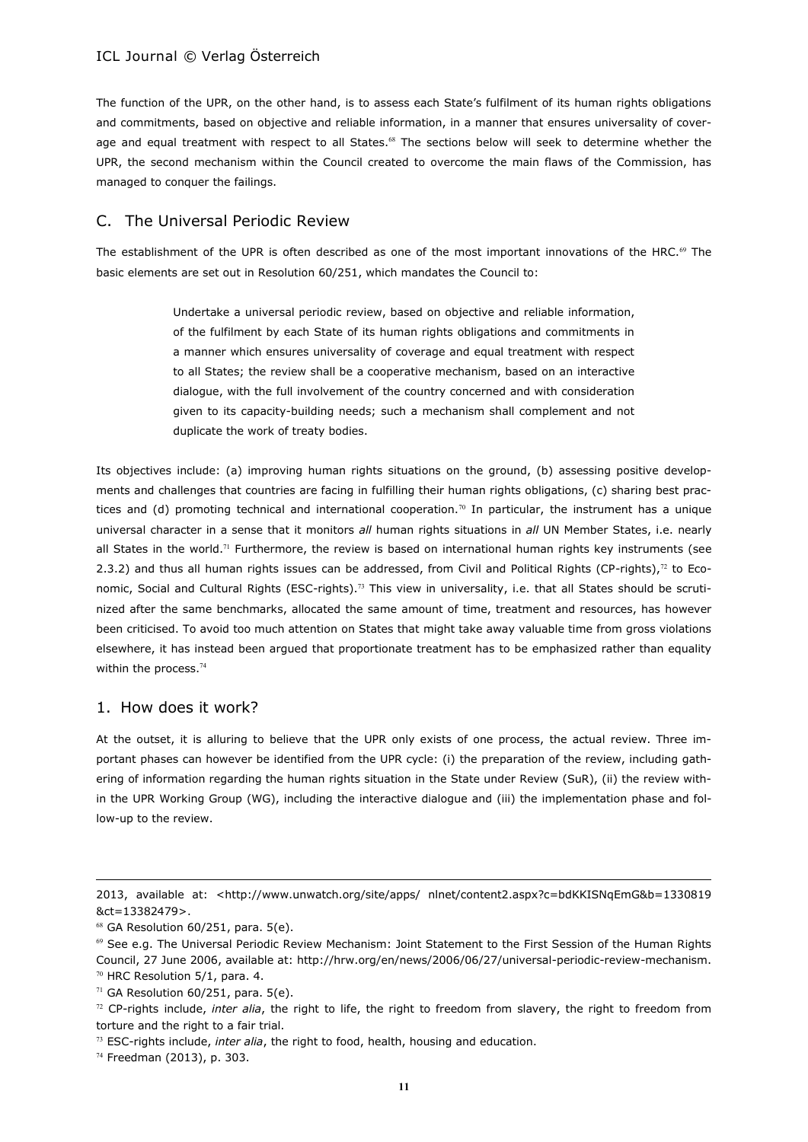The function of the UPR, on the other hand, is to assess each State's fulfilment of its human rights obligations and commitments, based on objective and reliable information, in a manner that ensures universality of coverage and equal treatment with respect to all States.<sup>68</sup> The sections below will seek to determine whether the UPR, the second mechanism within the Council created to overcome the main flaws of the Commission, has managed to conquer the failings.

# C. The Universal Periodic Review

The establishment of the UPR is often described as one of the most important innovations of the HRC. $\degree$  The basic elements are set out in Resolution 60/251, which mandates the Council to:

> Undertake a universal periodic review, based on objective and reliable information, of the fulfilment by each State of its human rights obligations and commitments in a manner which ensures universality of coverage and equal treatment with respect to all States; the review shall be a cooperative mechanism, based on an interactive dialogue, with the full involvement of the country concerned and with consideration given to its capacity-building needs; such a mechanism shall complement and not duplicate the work of treaty bodies.

Its objectives include: (a) improving human rights situations on the ground, (b) assessing positive developments and challenges that countries are facing in fulfilling their human rights obligations, (c) sharing best practices and (d) promoting technical and international cooperation.<sup>70</sup> In particular, the instrument has a unique universal character in a sense that it monitors *all* human rights situations in *all* UN Member States, i.e. nearly all States in the world.<sup>71</sup> Furthermore, the review is based on international human rights key instruments (see 2.3.2) and thus all human rights issues can be addressed, from Civil and Political Rights (CP-rights), $72$  to Economic, Social and Cultural Rights (ESC-rights).<sup>73</sup> This view in universality, i.e. that all States should be scrutinized after the same benchmarks, allocated the same amount of time, treatment and resources, has however been criticised. To avoid too much attention on States that might take away valuable time from gross violations elsewhere, it has instead been argued that proportionate treatment has to be emphasized rather than equality within the process.<sup>74</sup>

### 1. How does it work?

At the outset, it is alluring to believe that the UPR only exists of one process, the actual review. Three important phases can however be identified from the UPR cycle: (i) the preparation of the review, including gathering of information regarding the human rights situation in the State under Review (SuR), (ii) the review within the UPR Working Group (WG), including the interactive dialogue and (iii) the implementation phase and follow-up to the review.

<sup>2013,</sup> available at: <http://www.unwatch.org/site/apps/ nlnet/content2.aspx?c=bdKKISNqEmG&b=1330819 &ct=13382479>.

 $68$  GA Resolution 60/251, para. 5(e).

<sup>69</sup> See e.g. The Universal Periodic Review Mechanism: Joint Statement to the First Session of the Human Rights Council, 27 June 2006, available at: http://hrw.org/en/news/2006/06/27/universal-periodic-review-mechanism.  $70$  HRC Resolution 5/1, para. 4.

 $71$  GA Resolution 60/251, para. 5(e).

<sup>72</sup> CP-rights include, *inter alia*, the right to life, the right to freedom from slavery, the right to freedom from torture and the right to a fair trial.

<sup>73</sup> ESC-rights include, *inter alia*, the right to food, health, housing and education.

<sup>74</sup> Freedman (2013), p. 303.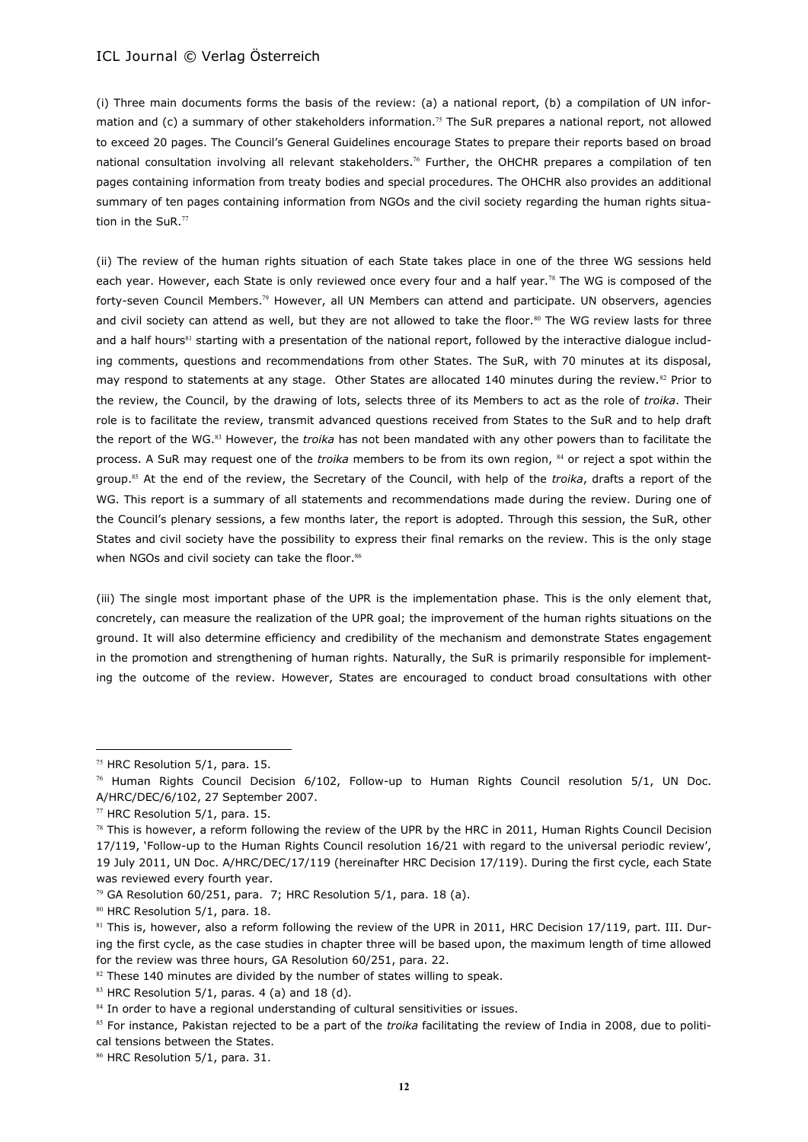(i) Three main documents forms the basis of the review: (a) a national report, (b) a compilation of UN information and (c) a summary of other stakeholders information.<sup>75</sup> The SuR prepares a national report, not allowed to exceed 20 pages. The Council's General Guidelines encourage States to prepare their reports based on broad national consultation involving all relevant stakeholders.<sup>76</sup> Further, the OHCHR prepares a compilation of ten pages containing information from treaty bodies and special procedures. The OHCHR also provides an additional summary of ten pages containing information from NGOs and the civil society regarding the human rights situation in the SuR.<sup>77</sup>

(ii) The review of the human rights situation of each State takes place in one of the three WG sessions held each year. However, each State is only reviewed once every four and a half year.<sup>78</sup> The WG is composed of the forty-seven Council Members.<sup>79</sup> However, all UN Members can attend and participate. UN observers, agencies and civil society can attend as well, but they are not allowed to take the floor.<sup>80</sup> The WG review lasts for three and a half hours<sup>81</sup> starting with a presentation of the national report, followed by the interactive dialogue including comments, questions and recommendations from other States. The SuR, with 70 minutes at its disposal, may respond to statements at any stage. Other States are allocated 140 minutes during the review.<sup>82</sup> Prior to the review, the Council, by the drawing of lots, selects three of its Members to act as the role of *troika*. Their role is to facilitate the review, transmit advanced questions received from States to the SuR and to help draft the report of the WG.<sup>83</sup> However, the *troika* has not been mandated with any other powers than to facilitate the process. A SuR may request one of the *troika* members to be from its own region, <sup>84</sup> or reject a spot within the group.<sup>85</sup> At the end of the review, the Secretary of the Council, with help of the *troika*, drafts a report of the WG. This report is a summary of all statements and recommendations made during the review. During one of the Council's plenary sessions, a few months later, the report is adopted. Through this session, the SuR, other States and civil society have the possibility to express their final remarks on the review. This is the only stage when NGOs and civil society can take the floor.<sup>86</sup>

(iii) The single most important phase of the UPR is the implementation phase. This is the only element that, concretely, can measure the realization of the UPR goal; the improvement of the human rights situations on the ground. It will also determine efficiency and credibility of the mechanism and demonstrate States engagement in the promotion and strengthening of human rights. Naturally, the SuR is primarily responsible for implementing the outcome of the review. However, States are encouraged to conduct broad consultations with other

<sup>75</sup> HRC Resolution 5/1, para. 15.

 $76$  Human Rights Council Decision 6/102, Follow-up to Human Rights Council resolution 5/1, UN Doc. A/HRC/DEC/6/102, 27 September 2007.

 $77$  HRC Resolution 5/1, para. 15.

 $78$  This is however, a reform following the review of the UPR by the HRC in 2011, Human Rights Council Decision 17/119, 'Follow-up to the Human Rights Council resolution 16/21 with regard to the universal periodic review', 19 July 2011, UN Doc. A/HRC/DEC/17/119 (hereinafter HRC Decision 17/119). During the first cycle, each State was reviewed every fourth year.

 $79$  GA Resolution 60/251, para. 7; HRC Resolution 5/1, para. 18 (a).

<sup>80</sup> HRC Resolution 5/1, para. 18.

<sup>81</sup> This is, however, also a reform following the review of the UPR in 2011, HRC Decision 17/119, part. III. During the first cycle, as the case studies in chapter three will be based upon, the maximum length of time allowed for the review was three hours, GA Resolution 60/251, para. 22.

 $82$  These 140 minutes are divided by the number of states willing to speak.

 $83$  HRC Resolution 5/1, paras. 4 (a) and 18 (d).

<sup>84</sup> In order to have a regional understanding of cultural sensitivities or issues.

<sup>85</sup> For instance, Pakistan rejected to be a part of the *troika* facilitating the review of India in 2008, due to political tensions between the States.

<sup>86</sup> HRC Resolution 5/1, para. 31.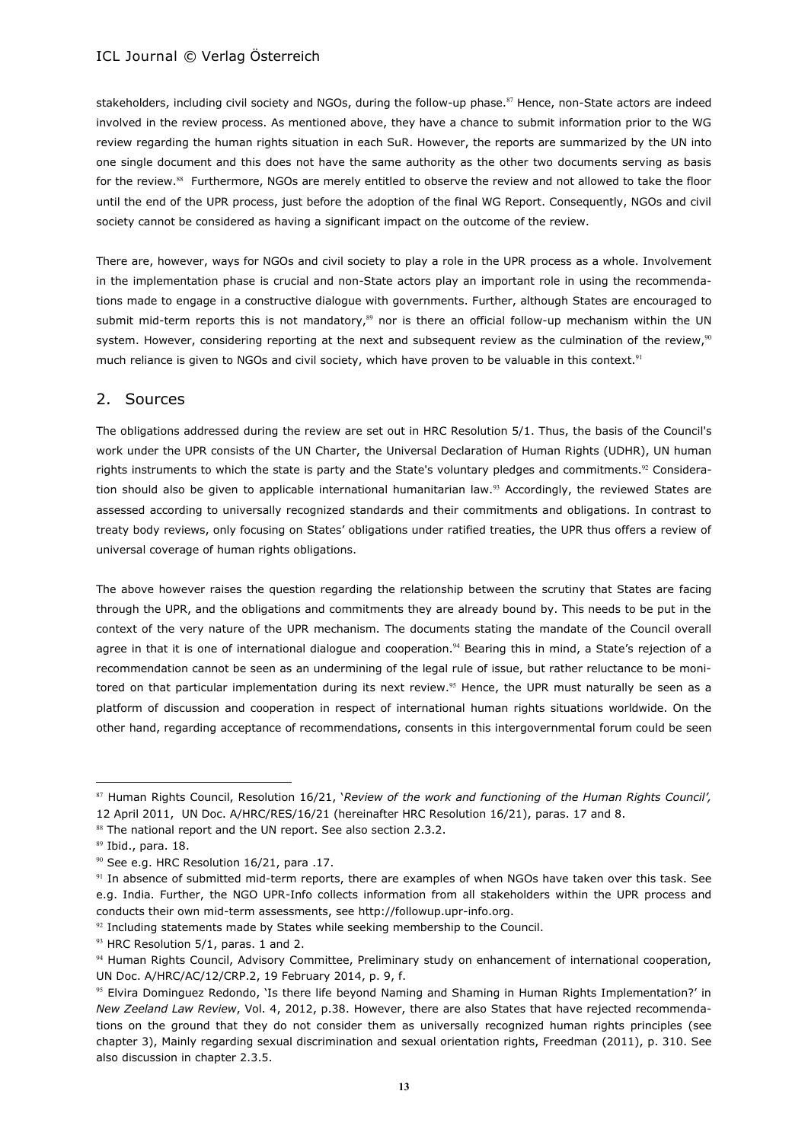stakeholders, including civil society and NGOs, during the follow-up phase.<sup>87</sup> Hence, non-State actors are indeed involved in the review process. As mentioned above, they have a chance to submit information prior to the WG review regarding the human rights situation in each SuR. However, the reports are summarized by the UN into one single document and this does not have the same authority as the other two documents serving as basis for the review.<sup>88</sup> Furthermore, NGOs are merely entitled to observe the review and not allowed to take the floor until the end of the UPR process, just before the adoption of the final WG Report. Consequently, NGOs and civil society cannot be considered as having a significant impact on the outcome of the review.

There are, however, ways for NGOs and civil society to play a role in the UPR process as a whole. Involvement in the implementation phase is crucial and non-State actors play an important role in using the recommendations made to engage in a constructive dialogue with governments. Further, although States are encouraged to submit mid-term reports this is not mandatory,<sup>89</sup> nor is there an official follow-up mechanism within the UN system. However, considering reporting at the next and subsequent review as the culmination of the review,<sup>90</sup> much reliance is given to NGOs and civil society, which have proven to be valuable in this context.<sup>91</sup>

### 2. Sources

The obligations addressed during the review are set out in HRC Resolution 5/1. Thus, the basis of the Council's work under the UPR consists of the UN Charter, the Universal Declaration of Human Rights (UDHR), UN human rights instruments to which the state is party and the State's voluntary pledges and commitments.<sup>92</sup> Consideration should also be given to applicable international humanitarian law.<sup>93</sup> Accordingly, the reviewed States are assessed according to universally recognized standards and their commitments and obligations. In contrast to treaty body reviews, only focusing on States' obligations under ratified treaties, the UPR thus offers a review of universal coverage of human rights obligations.

The above however raises the question regarding the relationship between the scrutiny that States are facing through the UPR, and the obligations and commitments they are already bound by. This needs to be put in the context of the very nature of the UPR mechanism. The documents stating the mandate of the Council overall agree in that it is one of international dialogue and cooperation.<sup>94</sup> Bearing this in mind, a State's rejection of a recommendation cannot be seen as an undermining of the legal rule of issue, but rather reluctance to be monitored on that particular implementation during its next review.<sup>95</sup> Hence, the UPR must naturally be seen as a platform of discussion and cooperation in respect of international human rights situations worldwide. On the other hand, regarding acceptance of recommendations, consents in this intergovernmental forum could be seen

<sup>87</sup> Human Rights Council, Resolution 16/21, '*Review of the work and functioning of the Human Rights Council',*  12 April 2011, UN Doc. A/HRC/RES/16/21 (hereinafter HRC Resolution 16/21), paras. 17 and 8.

<sup>88</sup> The national report and the UN report. See also section 2.3.2.

<sup>89</sup> Ibid., para. 18.

<sup>&</sup>lt;sup>90</sup> See e.g. HRC Resolution 16/21, para .17.

<sup>&</sup>lt;sup>91</sup> In absence of submitted mid-term reports, there are examples of when NGOs have taken over this task. See e.g. India. Further, the NGO UPR-Info collects information from all stakeholders within the UPR process and conducts their own mid-term assessments, see http://followup.upr-info.org.

 $92$  Including statements made by States while seeking membership to the Council.

 $93$  HRC Resolution 5/1, paras. 1 and 2.

<sup>94</sup> Human Rights Council, Advisory Committee, Preliminary study on enhancement of international cooperation, UN Doc. A/HRC/AC/12/CRP.2, 19 February 2014, p. 9, f.

<sup>95</sup> Elvira Dominguez Redondo, 'Is there life beyond Naming and Shaming in Human Rights Implementation?' in *New Zeeland Law Review*, Vol. 4, 2012, p.38. However, there are also States that have rejected recommendations on the ground that they do not consider them as universally recognized human rights principles (see chapter 3), Mainly regarding sexual discrimination and sexual orientation rights, Freedman (2011), p. 310. See also discussion in chapter 2.3.5.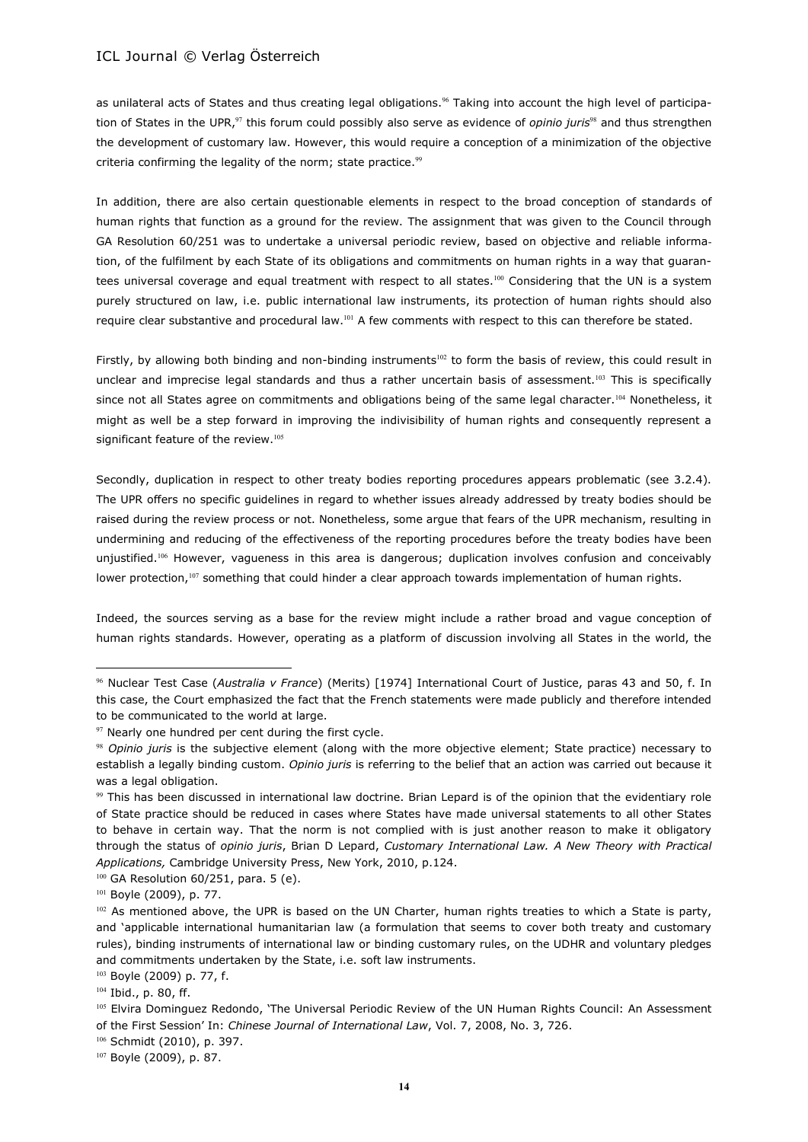as unilateral acts of States and thus creating legal obligations.<sup>96</sup> Taking into account the high level of participation of States in the UPR,<sup>97</sup> this forum could possibly also serve as evidence of *opinio juris*<sup>98</sup> and thus strengthen the development of customary law. However, this would require a conception of a minimization of the objective criteria confirming the legality of the norm; state practice.<sup>99</sup>

In addition, there are also certain questionable elements in respect to the broad conception of standards of human rights that function as a ground for the review. The assignment that was given to the Council through GA Resolution 60/251 was to undertake a universal periodic review, based on objective and reliable information, of the fulfilment by each State of its obligations and commitments on human rights in a way that guarantees universal coverage and equal treatment with respect to all states.<sup>100</sup> Considering that the UN is a system purely structured on law, i.e. public international law instruments, its protection of human rights should also require clear substantive and procedural law.<sup>101</sup> A few comments with respect to this can therefore be stated.

Firstly, by allowing both binding and non-binding instruments<sup>102</sup> to form the basis of review, this could result in unclear and imprecise legal standards and thus a rather uncertain basis of assessment.<sup>103</sup> This is specifically since not all States agree on commitments and obligations being of the same legal character.<sup>104</sup> Nonetheless, it might as well be a step forward in improving the indivisibility of human rights and consequently represent a significant feature of the review.<sup>105</sup>

Secondly, duplication in respect to other treaty bodies reporting procedures appears problematic (see 3.2.4). The UPR offers no specific guidelines in regard to whether issues already addressed by treaty bodies should be raised during the review process or not. Nonetheless, some argue that fears of the UPR mechanism, resulting in undermining and reducing of the effectiveness of the reporting procedures before the treaty bodies have been unjustified.<sup>106</sup> However, vagueness in this area is dangerous; duplication involves confusion and conceivably lower protection,<sup>107</sup> something that could hinder a clear approach towards implementation of human rights.

Indeed, the sources serving as a base for the review might include a rather broad and vague conception of human rights standards. However, operating as a platform of discussion involving all States in the world, the

<sup>96</sup> Nuclear Test Case (*Australia v France*) (Merits) [1974] International Court of Justice, paras 43 and 50, f. In this case, the Court emphasized the fact that the French statements were made publicly and therefore intended to be communicated to the world at large.

<sup>97</sup> Nearly one hundred per cent during the first cycle.

<sup>98</sup> *Opinio juris* is the subjective element (along with the more objective element; State practice) necessary to establish a legally binding custom. *Opinio juris* is referring to the belief that an action was carried out because it was a legal obligation.

<sup>99</sup> This has been discussed in international law doctrine. Brian Lepard is of the opinion that the evidentiary role of State practice should be reduced in cases where States have made universal statements to all other States to behave in certain way. That the norm is not complied with is just another reason to make it obligatory through the status of *opinio juris*, Brian D Lepard, *Customary International Law. A New Theory with Practical Applications,* Cambridge University Press, New York, 2010, p.124.

 $100$  GA Resolution 60/251, para. 5 (e).

<sup>101</sup> Boyle (2009), p. 77.

<sup>102</sup> As mentioned above, the UPR is based on the UN Charter, human rights treaties to which a State is party, and 'applicable international humanitarian law (a formulation that seems to cover both treaty and customary rules), binding instruments of international law or binding customary rules, on the UDHR and voluntary pledges and commitments undertaken by the State, i.e. soft law instruments.

<sup>103</sup> Boyle (2009) p. 77, f.

<sup>104</sup> Ibid., p. 80, ff.

<sup>105</sup> Elvira Dominguez Redondo, 'The Universal Periodic Review of the UN Human Rights Council: An Assessment of the First Session' In: *Chinese Journal of International Law*, Vol. 7, 2008, No. 3, 726.

<sup>106</sup> Schmidt (2010), p. 397.

<sup>107</sup> Boyle (2009), p. 87.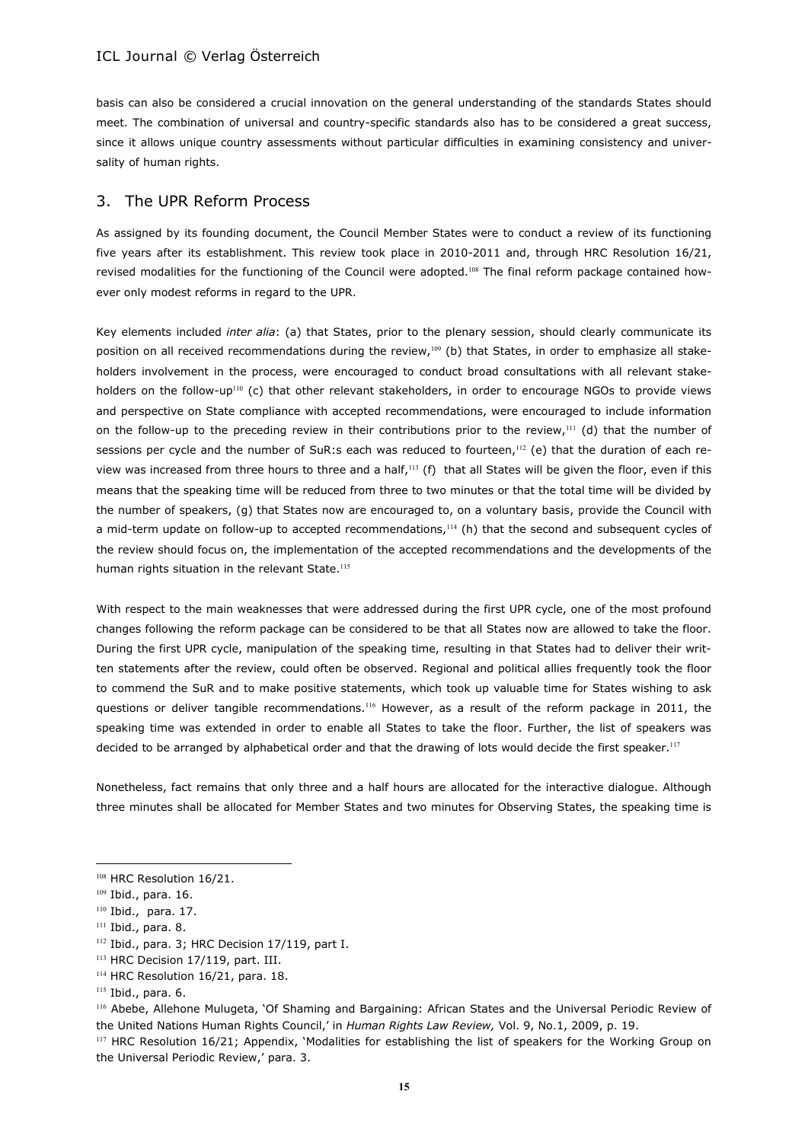basis can also be considered a crucial innovation on the general understanding of the standards States should meet. The combination of universal and country-specific standards also has to be considered a great success, since it allows unique country assessments without particular difficulties in examining consistency and universality of human rights.

# 3. The UPR Reform Process

As assigned by its founding document, the Council Member States were to conduct a review of its functioning five years after its establishment. This review took place in 2010-2011 and, through HRC Resolution 16/21, revised modalities for the functioning of the Council were adopted.<sup>108</sup> The final reform package contained however only modest reforms in regard to the UPR.

Key elements included *inter alia*: (a) that States, prior to the plenary session, should clearly communicate its position on all received recommendations during the review,<sup>109</sup> (b) that States, in order to emphasize all stakeholders involvement in the process, were encouraged to conduct broad consultations with all relevant stakeholders on the follow-up<sup>110</sup> (c) that other relevant stakeholders, in order to encourage NGOs to provide views and perspective on State compliance with accepted recommendations, were encouraged to include information on the follow-up to the preceding review in their contributions prior to the review,<sup>111</sup> (d) that the number of sessions per cycle and the number of SuR:s each was reduced to fourteen,<sup>112</sup> (e) that the duration of each review was increased from three hours to three and a half,<sup>113</sup> (f) that all States will be given the floor, even if this means that the speaking time will be reduced from three to two minutes or that the total time will be divided by the number of speakers, (g) that States now are encouraged to, on a voluntary basis, provide the Council with a mid-term update on follow-up to accepted recommendations,<sup>114</sup> (h) that the second and subsequent cycles of the review should focus on, the implementation of the accepted recommendations and the developments of the human rights situation in the relevant State.<sup>115</sup>

With respect to the main weaknesses that were addressed during the first UPR cycle, one of the most profound changes following the reform package can be considered to be that all States now are allowed to take the floor. During the first UPR cycle, manipulation of the speaking time, resulting in that States had to deliver their written statements after the review, could often be observed. Regional and political allies frequently took the floor to commend the SuR and to make positive statements, which took up valuable time for States wishing to ask questions or deliver tangible recommendations.<sup>116</sup> However, as a result of the reform package in 2011, the speaking time was extended in order to enable all States to take the floor. Further, the list of speakers was decided to be arranged by alphabetical order and that the drawing of lots would decide the first speaker.<sup>117</sup>

Nonetheless, fact remains that only three and a half hours are allocated for the interactive dialogue. Although three minutes shall be allocated for Member States and two minutes for Observing States, the speaking time is

<sup>&</sup>lt;sup>108</sup> HRC Resolution 16/21.

<sup>109</sup> Ibid., para. 16.

<sup>110</sup> Ibid., para. 17.

<sup>&</sup>lt;sup>111</sup> Ibid., para. 8.

<sup>112</sup> Ibid., para. 3; HRC Decision 17/119, part I.

<sup>&</sup>lt;sup>113</sup> HRC Decision 17/119, part. III.

<sup>&</sup>lt;sup>114</sup> HRC Resolution 16/21, para. 18.

<sup>115</sup> Ibid., para. 6.

<sup>116</sup> Abebe, Allehone Mulugeta, 'Of Shaming and Bargaining: African States and the Universal Periodic Review of the United Nations Human Rights Council,' in *Human Rights Law Review,* Vol. 9, No.1, 2009, p. 19.

<sup>&</sup>lt;sup>117</sup> HRC Resolution 16/21; Appendix, 'Modalities for establishing the list of speakers for the Working Group on the Universal Periodic Review,' para. 3.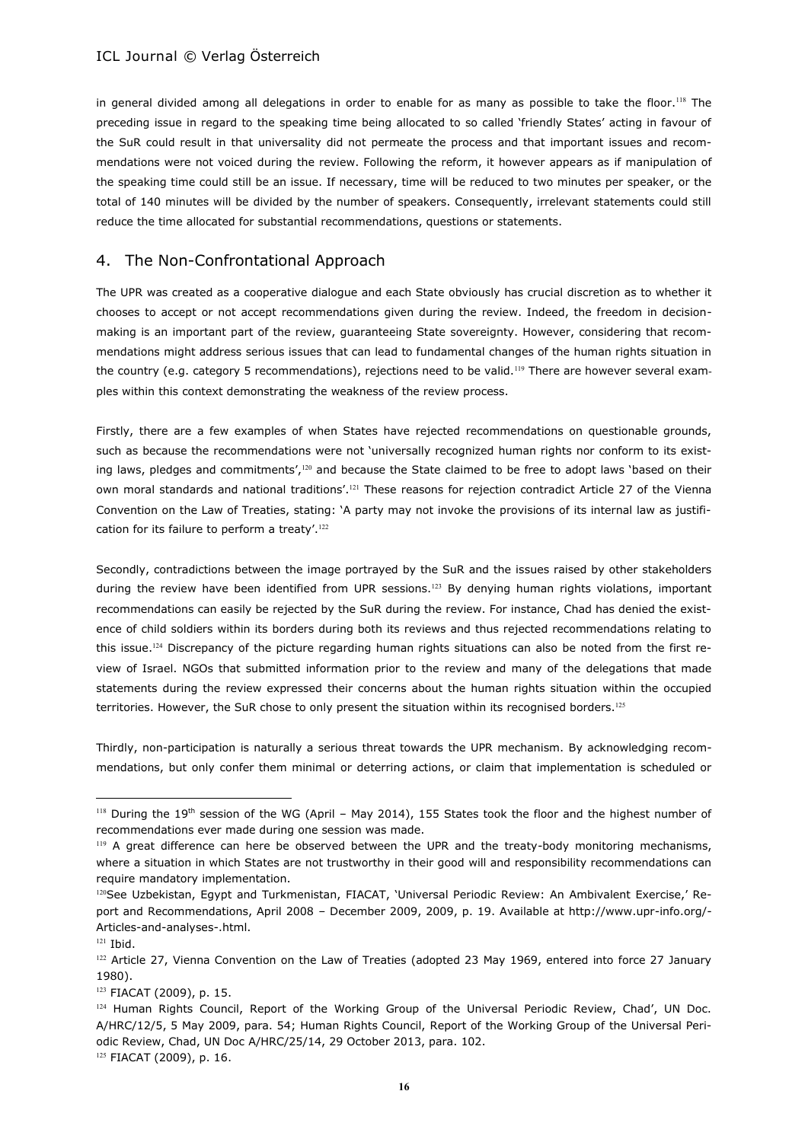in general divided among all delegations in order to enable for as many as possible to take the floor.<sup>118</sup> The preceding issue in regard to the speaking time being allocated to so called 'friendly States' acting in favour of the SuR could result in that universality did not permeate the process and that important issues and recommendations were not voiced during the review. Following the reform, it however appears as if manipulation of the speaking time could still be an issue. If necessary, time will be reduced to two minutes per speaker, or the total of 140 minutes will be divided by the number of speakers. Consequently, irrelevant statements could still reduce the time allocated for substantial recommendations, questions or statements.

# 4. The Non-Confrontational Approach

The UPR was created as a cooperative dialogue and each State obviously has crucial discretion as to whether it chooses to accept or not accept recommendations given during the review. Indeed, the freedom in decisionmaking is an important part of the review, guaranteeing State sovereignty. However, considering that recommendations might address serious issues that can lead to fundamental changes of the human rights situation in the country (e.g. category 5 recommendations), rejections need to be valid.<sup>119</sup> There are however several examples within this context demonstrating the weakness of the review process.

Firstly, there are a few examples of when States have rejected recommendations on questionable grounds, such as because the recommendations were not 'universally recognized human rights nor conform to its existing laws, pledges and commitments',<sup>120</sup> and because the State claimed to be free to adopt laws 'based on their own moral standards and national traditions'.<sup>121</sup> These reasons for rejection contradict Article 27 of the Vienna Convention on the Law of Treaties, stating: 'A party may not invoke the provisions of its internal law as justification for its failure to perform a treaty'.<sup>122</sup>

Secondly, contradictions between the image portrayed by the SuR and the issues raised by other stakeholders during the review have been identified from UPR sessions.<sup>123</sup> By denying human rights violations, important recommendations can easily be rejected by the SuR during the review. For instance, Chad has denied the existence of child soldiers within its borders during both its reviews and thus rejected recommendations relating to this issue.<sup>124</sup> Discrepancy of the picture regarding human rights situations can also be noted from the first review of Israel. NGOs that submitted information prior to the review and many of the delegations that made statements during the review expressed their concerns about the human rights situation within the occupied territories. However, the SuR chose to only present the situation within its recognised borders.<sup>125</sup>

Thirdly, non-participation is naturally a serious threat towards the UPR mechanism. By acknowledging recommendations, but only confer them minimal or deterring actions, or claim that implementation is scheduled or

<sup>118</sup> During the 19th session of the WG (April - May 2014), 155 States took the floor and the highest number of recommendations ever made during one session was made.

<sup>&</sup>lt;sup>119</sup> A great difference can here be observed between the UPR and the treaty-body monitoring mechanisms, where a situation in which States are not trustworthy in their good will and responsibility recommendations can require mandatory implementation.

<sup>&</sup>lt;sup>120</sup>See Uzbekistan, Egypt and Turkmenistan, FIACAT, 'Universal Periodic Review: An Ambivalent Exercise,' Report and Recommendations, April 2008 – December 2009, 2009, p. 19. Available at http://www.upr-info.org/- Articles-and-analyses-.html.

<sup>121</sup> Ibid.

<sup>&</sup>lt;sup>122</sup> Article 27, Vienna Convention on the Law of Treaties (adopted 23 May 1969, entered into force 27 January 1980).

<sup>123</sup> FIACAT (2009), p. 15.

<sup>&</sup>lt;sup>124</sup> Human Rights Council, Report of the Working Group of the Universal Periodic Review, Chad', UN Doc. A/HRC/12/5, 5 May 2009, para. 54; Human Rights Council, Report of the Working Group of the Universal Periodic Review, Chad, UN Doc A/HRC/25/14, 29 October 2013, para. 102.

<sup>125</sup> FIACAT (2009), p. 16.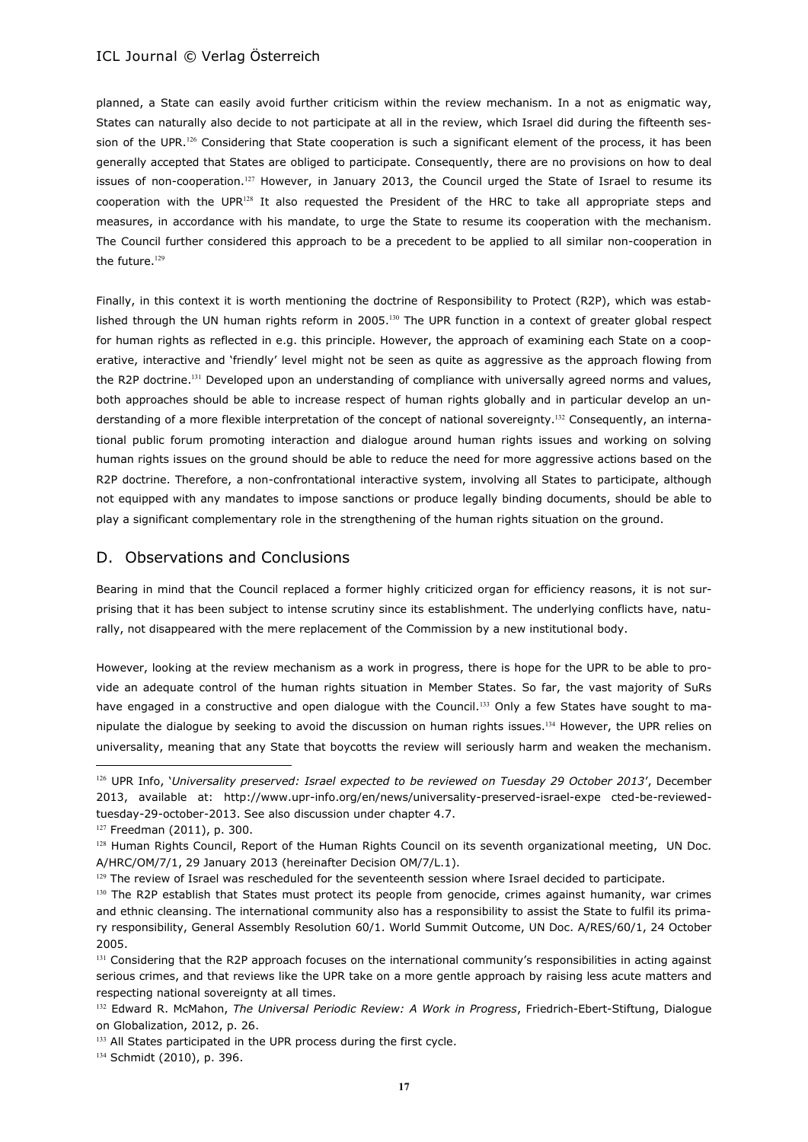planned, a State can easily avoid further criticism within the review mechanism. In a not as enigmatic way, States can naturally also decide to not participate at all in the review, which Israel did during the fifteenth session of the UPR.<sup>126</sup> Considering that State cooperation is such a significant element of the process, it has been generally accepted that States are obliged to participate. Consequently, there are no provisions on how to deal issues of non-cooperation.<sup>127</sup> However, in January 2013, the Council urged the State of Israel to resume its cooperation with the UPR<sup>128</sup> It also requested the President of the HRC to take all appropriate steps and measures, in accordance with his mandate, to urge the State to resume its cooperation with the mechanism. The Council further considered this approach to be a precedent to be applied to all similar non-cooperation in the future.<sup>129</sup>

Finally, in this context it is worth mentioning the doctrine of Responsibility to Protect (R2P), which was established through the UN human rights reform in 2005.<sup>130</sup> The UPR function in a context of greater global respect for human rights as reflected in e.g. this principle. However, the approach of examining each State on a cooperative, interactive and 'friendly' level might not be seen as quite as aggressive as the approach flowing from the R2P doctrine.<sup>131</sup> Developed upon an understanding of compliance with universally agreed norms and values, both approaches should be able to increase respect of human rights globally and in particular develop an understanding of a more flexible interpretation of the concept of national sovereignty.<sup>132</sup> Consequently, an international public forum promoting interaction and dialogue around human rights issues and working on solving human rights issues on the ground should be able to reduce the need for more aggressive actions based on the R2P doctrine. Therefore, a non-confrontational interactive system, involving all States to participate, although not equipped with any mandates to impose sanctions or produce legally binding documents, should be able to play a significant complementary role in the strengthening of the human rights situation on the ground.

# D. Observations and Conclusions

Bearing in mind that the Council replaced a former highly criticized organ for efficiency reasons, it is not surprising that it has been subject to intense scrutiny since its establishment. The underlying conflicts have, naturally, not disappeared with the mere replacement of the Commission by a new institutional body.

However, looking at the review mechanism as a work in progress, there is hope for the UPR to be able to provide an adequate control of the human rights situation in Member States. So far, the vast majority of SuRs have engaged in a constructive and open dialogue with the Council.<sup>133</sup> Only a few States have sought to manipulate the dialogue by seeking to avoid the discussion on human rights issues.<sup>134</sup> However, the UPR relies on universality, meaning that any State that boycotts the review will seriously harm and weaken the mechanism.

<sup>126</sup> UPR Info, '*Universality preserved: Israel expected to be reviewed on Tuesday 29 October 2013*', December 2013, available at: http://www.upr-info.org/en/news/universality-preserved-israel-expe cted-be-reviewedtuesday-29-october-2013. See also discussion under chapter 4.7.

<sup>127</sup> Freedman (2011), p. 300.

<sup>&</sup>lt;sup>128</sup> Human Rights Council, Report of the Human Rights Council on its seventh organizational meeting, UN Doc. A/HRC/OM/7/1, 29 January 2013 (hereinafter Decision OM/7/L.1).

<sup>&</sup>lt;sup>129</sup> The review of Israel was rescheduled for the seventeenth session where Israel decided to participate.

<sup>&</sup>lt;sup>130</sup> The R2P establish that States must protect its people from genocide, crimes against humanity, war crimes and ethnic cleansing. The international community also has a responsibility to assist the State to fulfil its primary responsibility, General Assembly Resolution 60/1. World Summit Outcome, UN Doc. A/RES/60/1, 24 October 2005.

<sup>&</sup>lt;sup>131</sup> Considering that the R2P approach focuses on the international community's responsibilities in acting against serious crimes, and that reviews like the UPR take on a more gentle approach by raising less acute matters and respecting national sovereignty at all times.

<sup>132</sup> Edward R. McMahon, *The Universal Periodic Review: A Work in Progress*, Friedrich-Ebert-Stiftung, Dialogue on Globalization, 2012, p. 26.

<sup>133</sup> All States participated in the UPR process during the first cycle.

<sup>134</sup> Schmidt (2010), p. 396.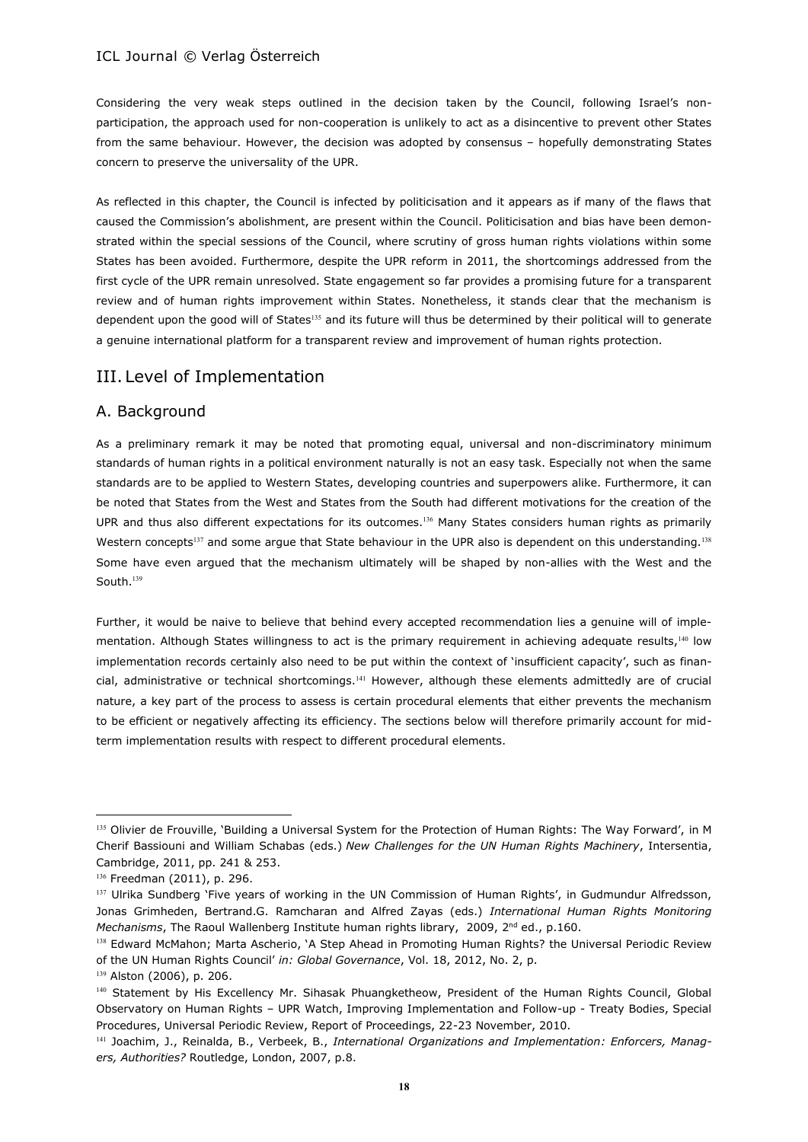Considering the very weak steps outlined in the decision taken by the Council, following Israel's nonparticipation, the approach used for non-cooperation is unlikely to act as a disincentive to prevent other States from the same behaviour. However, the decision was adopted by consensus – hopefully demonstrating States concern to preserve the universality of the UPR.

As reflected in this chapter, the Council is infected by politicisation and it appears as if many of the flaws that caused the Commission's abolishment, are present within the Council. Politicisation and bias have been demonstrated within the special sessions of the Council, where scrutiny of gross human rights violations within some States has been avoided. Furthermore, despite the UPR reform in 2011, the shortcomings addressed from the first cycle of the UPR remain unresolved. State engagement so far provides a promising future for a transparent review and of human rights improvement within States. Nonetheless, it stands clear that the mechanism is dependent upon the good will of States<sup>135</sup> and its future will thus be determined by their political will to generate a genuine international platform for a transparent review and improvement of human rights protection.

# III. Level of Implementation

# A. Background

As a preliminary remark it may be noted that promoting equal, universal and non-discriminatory minimum standards of human rights in a political environment naturally is not an easy task. Especially not when the same standards are to be applied to Western States, developing countries and superpowers alike. Furthermore, it can be noted that States from the West and States from the South had different motivations for the creation of the UPR and thus also different expectations for its outcomes.<sup>136</sup> Many States considers human rights as primarily Western concepts<sup>137</sup> and some argue that State behaviour in the UPR also is dependent on this understanding.<sup>138</sup> Some have even argued that the mechanism ultimately will be shaped by non-allies with the West and the South.<sup>139</sup>

Further, it would be naive to believe that behind every accepted recommendation lies a genuine will of implementation. Although States willingness to act is the primary requirement in achieving adequate results,<sup>140</sup> low implementation records certainly also need to be put within the context of 'insufficient capacity', such as financial, administrative or technical shortcomings.<sup>141</sup> However, although these elements admittedly are of crucial nature, a key part of the process to assess is certain procedural elements that either prevents the mechanism to be efficient or negatively affecting its efficiency. The sections below will therefore primarily account for midterm implementation results with respect to different procedural elements.

<sup>&</sup>lt;sup>135</sup> Olivier de Frouville, 'Building a Universal System for the Protection of Human Rights: The Way Forward', in M Cherif Bassiouni and William Schabas (eds.) *New Challenges for the UN Human Rights Machinery*, Intersentia, Cambridge, 2011, pp. 241 & 253.

<sup>136</sup> Freedman (2011), p. 296.

<sup>&</sup>lt;sup>137</sup> Ulrika Sundberg 'Five years of working in the UN Commission of Human Rights', in Gudmundur Alfredsson, Jonas Grimheden, Bertrand.G. Ramcharan and Alfred Zayas (eds.) *International Human Rights Monitoring Mechanisms*, The Raoul Wallenberg Institute human rights library, 2009, 2<sup>nd</sup> ed., p.160.

<sup>&</sup>lt;sup>138</sup> Edward McMahon; Marta Ascherio, 'A Step Ahead in Promoting Human Rights? the Universal Periodic Review of the UN Human Rights Council' *in: Global Governance*, Vol. 18, 2012, No. 2, p.

<sup>139</sup> Alston (2006), p. 206.

<sup>140</sup> Statement by His Excellency Mr. Sihasak Phuangketheow, President of the Human Rights Council, Global Observatory on Human Rights – UPR Watch, Improving Implementation and Follow-up - Treaty Bodies, Special Procedures, Universal Periodic Review, Report of Proceedings, 22-23 November, 2010.

<sup>141</sup> Joachim, J., Reinalda, B., Verbeek, B., *International Organizations and Implementation: Enforcers, Managers, Authorities?* Routledge, London, 2007, p.8.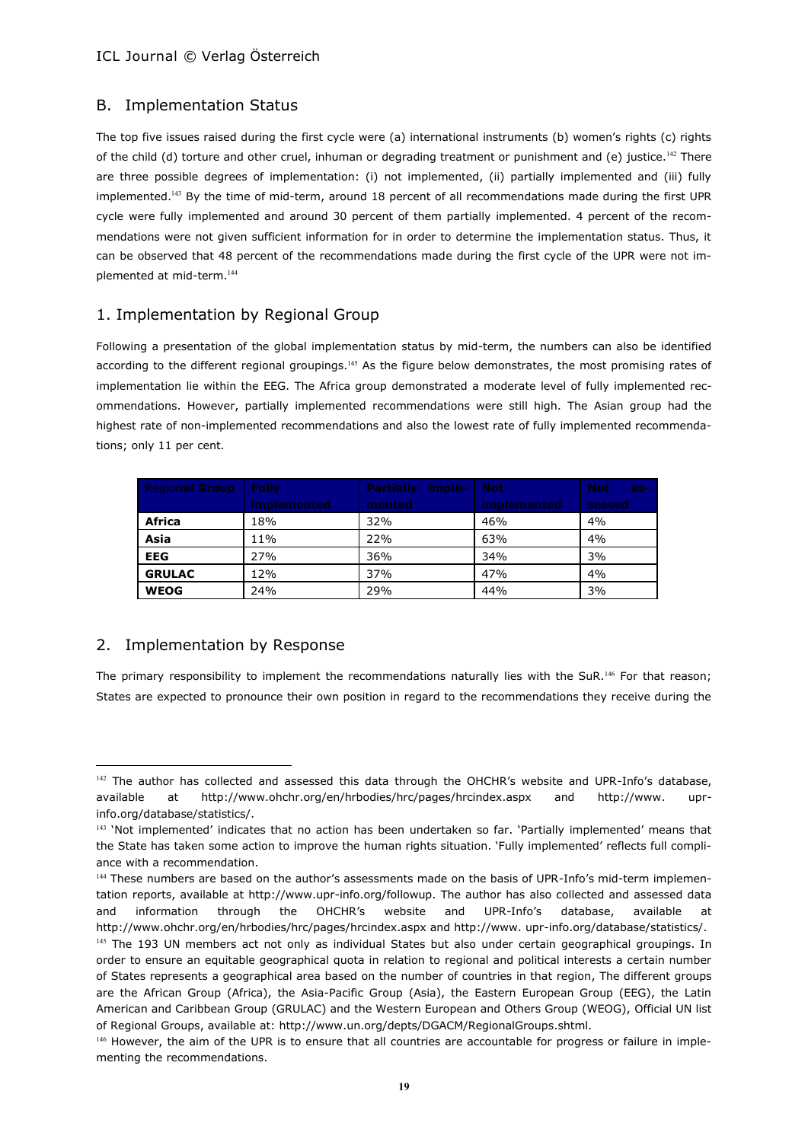# B. Implementation Status

The top five issues raised during the first cycle were (a) international instruments (b) women's rights (c) rights of the child (d) torture and other cruel, inhuman or degrading treatment or punishment and (e) justice.<sup>142</sup> There are three possible degrees of implementation: (i) not implemented, (ii) partially implemented and (iii) fully implemented.<sup>143</sup> By the time of mid-term, around 18 percent of all recommendations made during the first UPR cycle were fully implemented and around 30 percent of them partially implemented. 4 percent of the recommendations were not given sufficient information for in order to determine the implementation status. Thus, it can be observed that 48 percent of the recommendations made during the first cycle of the UPR were not implemented at mid-term.<sup>144</sup>

# 1. Implementation by Regional Group

Following a presentation of the global implementation status by mid-term, the numbers can also be identified according to the different regional groupings.<sup>145</sup> As the figure below demonstrates, the most promising rates of implementation lie within the EEG. The Africa group demonstrated a moderate level of fully implemented recommendations. However, partially implemented recommendations were still high. The Asian group had the highest rate of non-implemented recommendations and also the lowest rate of fully implemented recommendations; only 11 per cent.

| <b>Regional Group</b> | - Fully     | <b>Partially imple-</b> | Not         | <b>Not</b><br>$-25-$ |
|-----------------------|-------------|-------------------------|-------------|----------------------|
|                       | implemented | mented                  | implemented | sessed               |
| Africa                | 18%         | 32%                     | 46%         | 4%                   |
| Asia                  | 11%         | 22%                     | 63%         | 4%                   |
| <b>EEG</b>            | 27%         | 36%                     | 34%         | 3%                   |
| <b>GRULAC</b>         | 12%         | 37%                     | 47%         | 4%                   |
| <b>WEOG</b>           | 24%         | 29%                     | 44%         | 3%                   |

# 2. Implementation by Response

 $\overline{a}$ 

The primary responsibility to implement the recommendations naturally lies with the SuR.<sup>146</sup> For that reason; States are expected to pronounce their own position in regard to the recommendations they receive during the

<sup>&</sup>lt;sup>142</sup> The author has collected and assessed this data through the OHCHR's website and UPR-Info's database, available at http://www.ohchr.org/en/hrbodies/hrc/pages/hrcindex.aspx and http://www. uprinfo.org/database/statistics/.

<sup>&</sup>lt;sup>143</sup> 'Not implemented' indicates that no action has been undertaken so far. 'Partially implemented' means that the State has taken some action to improve the human rights situation. 'Fully implemented' reflects full compliance with a recommendation.

<sup>144</sup> These numbers are based on the author's assessments made on the basis of UPR-Info's mid-term implementation reports, available at http://www.upr-info.org/followup. The author has also collected and assessed data and information through the OHCHR's website and UPR-Info's database, available at http://www.ohchr.org/en/hrbodies/hrc/pages/hrcindex.aspx and http://www. upr-info.org/database/statistics/.

<sup>&</sup>lt;sup>145</sup> The 193 UN members act not only as individual States but also under certain geographical groupings. In order to ensure an equitable geographical quota in relation to regional and political interests a certain number of States represents a geographical area based on the number of countries in that region, The different groups are the African Group (Africa), the Asia-Pacific Group (Asia), the Eastern European Group (EEG), the Latin American and Caribbean Group (GRULAC) and the Western European and Others Group (WEOG), [Official UN list](http://www.un.int/wcm/webdav/site/gmun/shared/documents/GA_regionalgrps_Web.pdf)  [of Regional Groups,](http://www.un.int/wcm/webdav/site/gmun/shared/documents/GA_regionalgrps_Web.pdf) available at: http://www.un.org/depts/DGACM/RegionalGroups.shtml.

<sup>&</sup>lt;sup>146</sup> However, the aim of the UPR is to ensure that all countries are accountable for progress or failure in implementing the recommendations.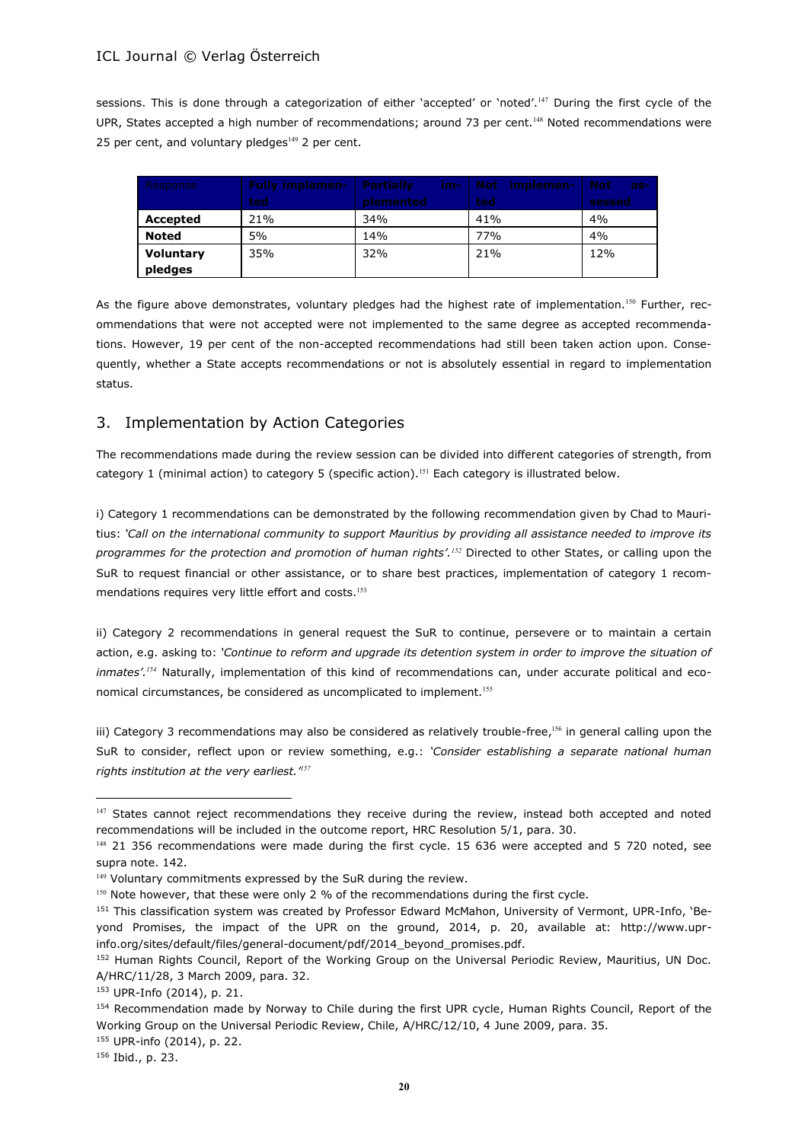sessions. This is done through a categorization of either 'accepted' or 'noted'.<sup>147</sup> During the first cycle of the UPR, States accepted a high number of recommendations; around 73 per cent.<sup>148</sup> Noted recommendations were 25 per cent, and voluntary pledges $149$  2 per cent.

| Response     | <b>Fully implemen-</b> | <b>Partially</b> | im-   Not implemen- | <b>Not</b><br>$as-$ |
|--------------|------------------------|------------------|---------------------|---------------------|
|              | ted                    | plemented        | ted                 | sessed              |
| Accepted     | 21%                    | 34%              | 41%                 | 4%                  |
| <b>Noted</b> | 5%                     | 14%              | 77%                 | 4%                  |
| Voluntary    | 35%                    | 32%              | 21%                 | 12%                 |
| pledges      |                        |                  |                     |                     |

As the figure above demonstrates, voluntary pledges had the highest rate of implementation.<sup>150</sup> Further, recommendations that were not accepted were not implemented to the same degree as accepted recommendations. However, 19 per cent of the non-accepted recommendations had still been taken action upon. Consequently, whether a State accepts recommendations or not is absolutely essential in regard to implementation status.

# 3. Implementation by Action Categories

The recommendations made during the review session can be divided into different categories of strength, from category 1 (minimal action) to category 5 (specific action).<sup>151</sup> Each category is illustrated below.

i) Category 1 recommendations can be demonstrated by the following recommendation given by Chad to Mauritius: *'Call on the international community to support Mauritius by providing all assistance needed to improve its programmes for the protection and promotion of human rights'.<sup>152</sup>* Directed to other States, or calling upon the SuR to request financial or other assistance, or to share best practices, implementation of category 1 recommendations requires very little effort and costs.<sup>153</sup>

ii) Category 2 recommendations in general request the SuR to continue, persevere or to maintain a certain action, e.g. asking to: *'Continue to reform and upgrade its detention system in order to improve the situation of inmates'.<sup>154</sup>* Naturally, implementation of this kind of recommendations can, under accurate political and economical circumstances, be considered as uncomplicated to implement.<sup>155</sup>

iii) Category 3 recommendations may also be considered as relatively trouble-free,<sup>156</sup> in general calling upon the SuR to consider, reflect upon or review something, e.g.: *'Consider establishing a separate national human rights institution at the very earliest.'<sup>157</sup>*

<sup>147</sup> States cannot reject recommendations they receive during the review, instead both accepted and noted recommendations will be included in the outcome report, HRC Resolution 5/1, para. 30.

<sup>148 21 356</sup> recommendations were made during the first cycle. 15 636 were accepted and 5 720 noted, see supra note. 142.

<sup>149</sup> Voluntary commitments expressed by the SuR during the review.

<sup>&</sup>lt;sup>150</sup> Note however, that these were only 2 % of the recommendations during the first cycle.

<sup>151</sup> This classification system was created by Professor Edward McMahon, University of Vermont, UPR-Info, 'Beyond Promises, the impact of the UPR on the ground, 2014, p. 20, available at: http://www.uprinfo.org/sites/default/files/general-document/pdf/2014\_beyond\_promises.pdf.

<sup>152</sup> Human Rights Council, Report of the Working Group on the Universal Periodic Review, Mauritius, UN Doc. A/HRC/11/28, 3 March 2009, para. 32.

<sup>153</sup> UPR-Info (2014), p. 21.

<sup>&</sup>lt;sup>154</sup> Recommendation made by Norway to Chile during the first UPR cycle, Human Rights Council, Report of the Working Group on the Universal Periodic Review, Chile, A/HRC/12/10, 4 June 2009, para. 35.

<sup>155</sup> UPR-info (2014), p. 22.

<sup>156</sup> Ibid., p. 23.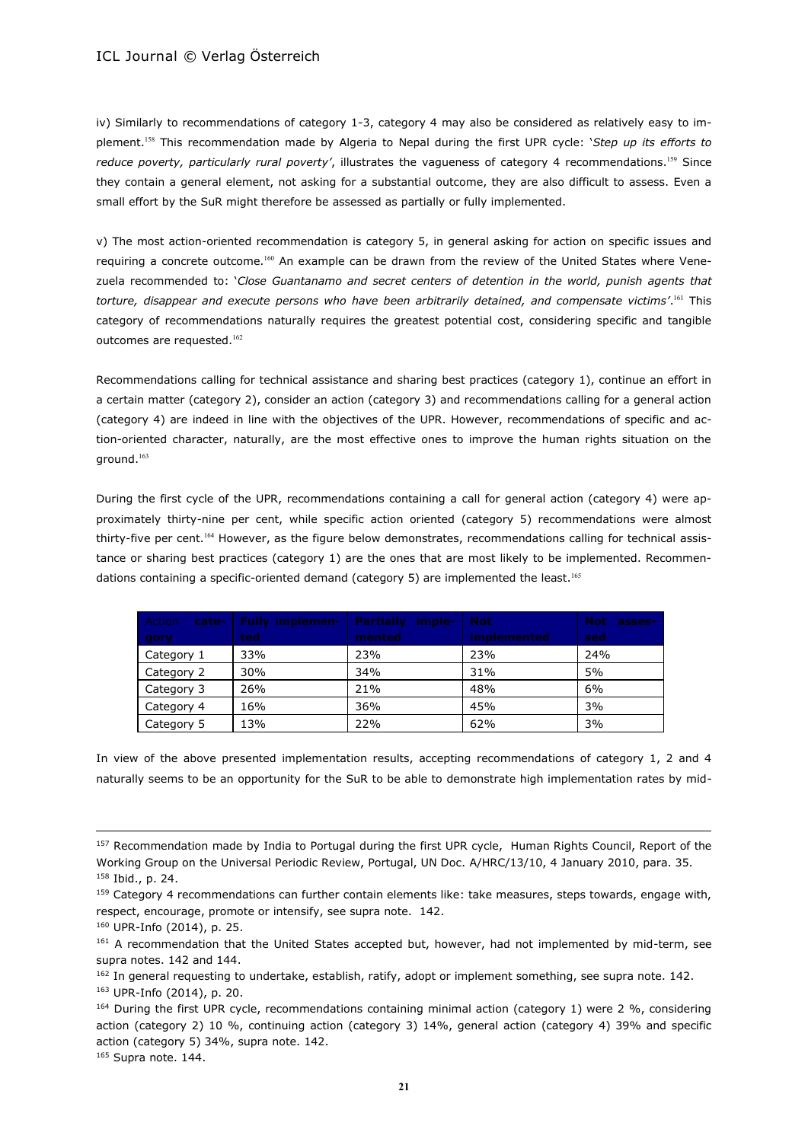iv) Similarly to recommendations of category 1-3, category 4 may also be considered as relatively easy to implement.<sup>158</sup> This recommendation made by Algeria to Nepal during the first UPR cycle: '*Step up its efforts to reduce poverty, particularly rural poverty'*, illustrates the vagueness of category 4 recommendations.<sup>159</sup> Since they contain a general element, not asking for a substantial outcome, they are also difficult to assess. Even a small effort by the SuR might therefore be assessed as partially or fully implemented.

v) The most action-oriented recommendation is category 5, in general asking for action on specific issues and requiring a concrete outcome.<sup>160</sup> An example can be drawn from the review of the United States where Venezuela recommended to: '*Close Guantanamo and secret centers of detention in the world, punish agents that torture, disappear and execute persons who have been arbitrarily detained, and compensate victims'*. <sup>161</sup> This category of recommendations naturally requires the greatest potential cost, considering specific and tangible outcomes are requested.<sup>162</sup>

Recommendations calling for technical assistance and sharing best practices (category 1), continue an effort in a certain matter (category 2), consider an action (category 3) and recommendations calling for a general action (category 4) are indeed in line with the objectives of the UPR. However, recommendations of specific and action-oriented character, naturally, are the most effective ones to improve the human rights situation on the ground.<sup>163</sup>

During the first cycle of the UPR, recommendations containing a call for general action (category 4) were approximately thirty-nine per cent, while specific action oriented (category 5) recommendations were almost thirty-five per cent.<sup>164</sup> However, as the figure below demonstrates, recommendations calling for technical assistance or sharing best practices (category 1) are the ones that are most likely to be implemented. Recommendations containing a specific-oriented demand (category 5) are implemented the least.<sup>165</sup>

| Action<br>cate- | <b>Fully implemen-</b> | <b>Partially imple-</b> | <b>Not</b>  | Not asses- |
|-----------------|------------------------|-------------------------|-------------|------------|
| gory            | ted.                   | mented                  | implemented | sed        |
| Category 1      | 33%                    | 23%                     | 23%         | 24%        |
| Category 2      | 30%                    | 34%                     | 31%         | 5%         |
| Category 3      | 26%                    | 21%                     | 48%         | 6%         |
| Category 4      | 16%                    | 36%                     | 45%         | 3%         |
| Category 5      | 13%                    | 22%                     | 62%         | 3%         |

In view of the above presented implementation results, accepting recommendations of category 1, 2 and 4 naturally seems to be an opportunity for the SuR to be able to demonstrate high implementation rates by mid-

 $\overline{a}$ 

<sup>165</sup> Supra note. 144.

<sup>&</sup>lt;sup>157</sup> Recommendation made by India to Portugal during the first UPR cycle, Human Rights Council, Report of the Working Group on the Universal Periodic Review, Portugal, UN Doc. A/HRC/13/10, 4 January 2010, para. 35. <sup>158</sup> Ibid., p. 24.

<sup>159</sup> Category 4 recommendations can further contain elements like: take measures, steps towards, engage with, respect, encourage, promote or intensify, see supra note. 142.

<sup>160</sup> UPR-Info (2014), p. 25.

<sup>&</sup>lt;sup>161</sup> A recommendation that the United States accepted but, however, had not implemented by mid-term, see supra notes. 142 and 144.

<sup>&</sup>lt;sup>162</sup> In general requesting to undertake, establish, ratify, adopt or implement something, see supra note. 142.

<sup>163</sup> UPR-Info (2014), p. 20.

<sup>164</sup> During the first UPR cycle, recommendations containing minimal action (category 1) were 2 %, considering action (category 2) 10 %, continuing action (category 3) 14%, general action (category 4) 39% and specific action (category 5) 34%, supra note. 142.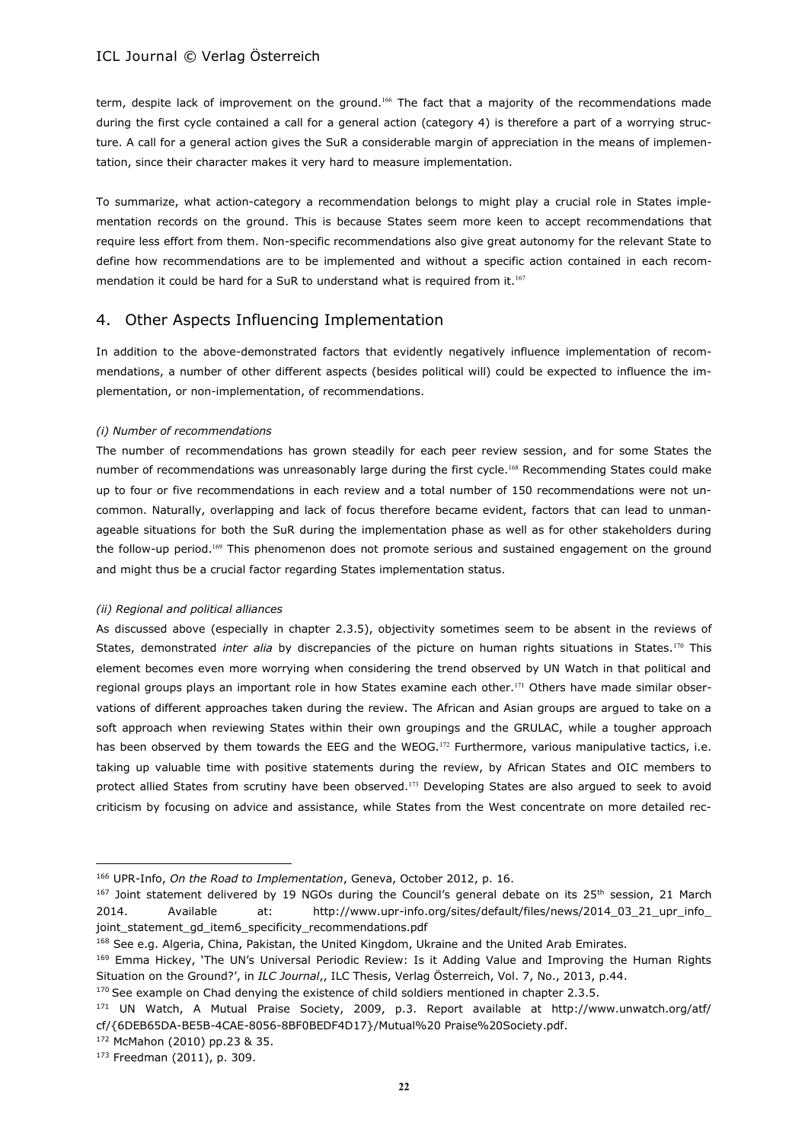term, despite lack of improvement on the ground.<sup>166</sup> The fact that a majority of the recommendations made during the first cycle contained a call for a general action (category 4) is therefore a part of a worrying structure. A call for a general action gives the SuR a considerable margin of appreciation in the means of implementation, since their character makes it very hard to measure implementation.

To summarize, what action-category a recommendation belongs to might play a crucial role in States implementation records on the ground. This is because States seem more keen to accept recommendations that require less effort from them. Non-specific recommendations also give great autonomy for the relevant State to define how recommendations are to be implemented and without a specific action contained in each recommendation it could be hard for a SuR to understand what is required from it.<sup>167</sup>

# 4. Other Aspects Influencing Implementation

In addition to the above-demonstrated factors that evidently negatively influence implementation of recommendations, a number of other different aspects (besides political will) could be expected to influence the implementation, or non-implementation, of recommendations.

### *(i) Number of recommendations*

The number of recommendations has grown steadily for each peer review session, and for some States the number of recommendations was unreasonably large during the first cycle.<sup>168</sup> Recommending States could make up to four or five recommendations in each review and a total number of 150 recommendations were not uncommon. Naturally, overlapping and lack of focus therefore became evident, factors that can lead to unmanageable situations for both the SuR during the implementation phase as well as for other stakeholders during the follow-up period.<sup>169</sup> This phenomenon does not promote serious and sustained engagement on the ground and might thus be a crucial factor regarding States implementation status.

### *(ii) Regional and political alliances*

As discussed above (especially in chapter 2.3.5), objectivity sometimes seem to be absent in the reviews of States, demonstrated *inter alia* by discrepancies of the picture on human rights situations in States.<sup>170</sup> This element becomes even more worrying when considering the trend observed by UN Watch in that political and regional groups plays an important role in how States examine each other.<sup>171</sup> Others have made similar observations of different approaches taken during the review. The African and Asian groups are argued to take on a soft approach when reviewing States within their own groupings and the GRULAC, while a tougher approach has been observed by them towards the EEG and the WEOG.<sup>172</sup> Furthermore, various manipulative tactics, i.e. taking up valuable time with positive statements during the review, by African States and OIC members to protect allied States from scrutiny have been observed.<sup>173</sup> Developing States are also argued to seek to avoid criticism by focusing on advice and assistance, while States from the West concentrate on more detailed rec-

<sup>166</sup> UPR-Info, *On the Road to Implementation*, Geneva, October 2012, p. 16.

 $167$  Joint statement delivered by 19 NGOs during the Council's general debate on its  $25<sup>th</sup>$  session, 21 March 2014. Available at: http://www.upr-info.org/sites/default/files/news/2014\_03\_21\_upr\_info\_ joint\_statement\_gd\_item6\_specificity\_recommendations.pdf

<sup>&</sup>lt;sup>168</sup> See e.g. Algeria, China, Pakistan, the United Kingdom, Ukraine and the United Arab Emirates.

<sup>&</sup>lt;sup>169</sup> Emma Hickey, 'The UN's Universal Periodic Review: Is it Adding Value and Improving the Human Rights Situation on the Ground?', in *ILC Journal*,, ILC Thesis, Verlag Österreich, Vol. 7, No., 2013, p.44.

<sup>&</sup>lt;sup>170</sup> See example on Chad denying the existence of child soldiers mentioned in chapter 2.3.5.

<sup>171</sup> UN Watch, A Mutual Praise Society, 2009, p.3. Report available at http://www.unwatch.org/atf/ cf/{6DEB65DA-BE5B-4CAE-8056-8BF0BEDF4D17}/Mutual%20 Praise%20Society.pdf.

<sup>172</sup> McMahon (2010) pp.23 & 35.

<sup>173</sup> Freedman (2011), p. 309.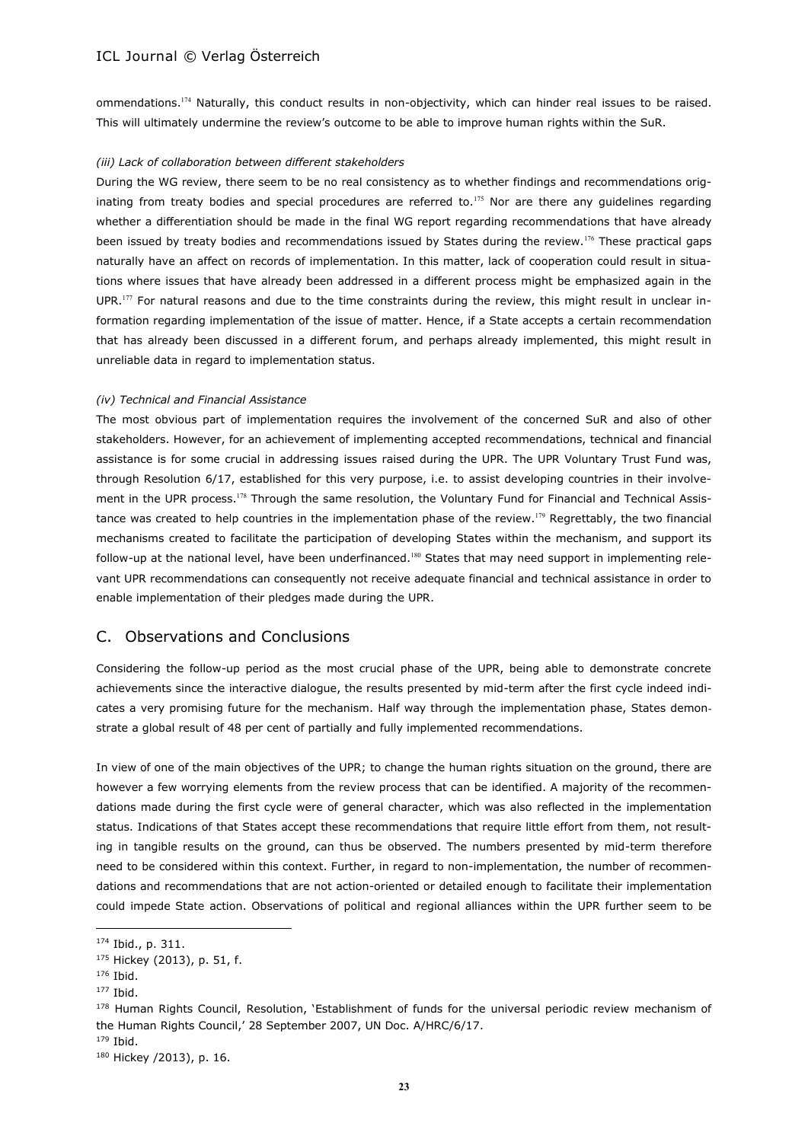ommendations.<sup>174</sup> Naturally, this conduct results in non-objectivity, which can hinder real issues to be raised. This will ultimately undermine the review's outcome to be able to improve human rights within the SuR.

#### *(iii) Lack of collaboration between different stakeholders*

During the WG review, there seem to be no real consistency as to whether findings and recommendations originating from treaty bodies and special procedures are referred to.<sup>175</sup> Nor are there any guidelines regarding whether a differentiation should be made in the final WG report regarding recommendations that have already been issued by treaty bodies and recommendations issued by States during the review.<sup>176</sup> These practical gaps naturally have an affect on records of implementation. In this matter, lack of cooperation could result in situations where issues that have already been addressed in a different process might be emphasized again in the UPR.<sup>177</sup> For natural reasons and due to the time constraints during the review, this might result in unclear information regarding implementation of the issue of matter. Hence, if a State accepts a certain recommendation that has already been discussed in a different forum, and perhaps already implemented, this might result in unreliable data in regard to implementation status.

#### *(iv) Technical and Financial Assistance*

The most obvious part of implementation requires the involvement of the concerned SuR and also of other stakeholders. However, for an achievement of implementing accepted recommendations, technical and financial assistance is for some crucial in addressing issues raised during the UPR. The UPR Voluntary Trust Fund was, through Resolution 6/17, established for this very purpose, i.e. to assist developing countries in their involvement in the UPR process.<sup>178</sup> Through the same resolution, the Voluntary Fund for Financial and Technical Assistance was created to help countries in the implementation phase of the review.<sup>179</sup> Regrettably, the two financial mechanisms created to facilitate the participation of developing States within the mechanism, and support its follow-up at the national level, have been underfinanced.<sup>180</sup> States that may need support in implementing relevant UPR recommendations can consequently not receive adequate financial and technical assistance in order to enable implementation of their pledges made during the UPR.

### C. Observations and Conclusions

Considering the follow-up period as the most crucial phase of the UPR, being able to demonstrate concrete achievements since the interactive dialogue, the results presented by mid-term after the first cycle indeed indicates a very promising future for the mechanism. Half way through the implementation phase, States demonstrate a global result of 48 per cent of partially and fully implemented recommendations.

In view of one of the main objectives of the UPR; to change the human rights situation on the ground, there are however a few worrying elements from the review process that can be identified. A majority of the recommendations made during the first cycle were of general character, which was also reflected in the implementation status. Indications of that States accept these recommendations that require little effort from them, not resulting in tangible results on the ground, can thus be observed. The numbers presented by mid-term therefore need to be considered within this context. Further, in regard to non-implementation, the number of recommendations and recommendations that are not action-oriented or detailed enough to facilitate their implementation could impede State action. Observations of political and regional alliances within the UPR further seem to be

<sup>174</sup> Ibid., p. 311.

<sup>175</sup> Hickey (2013), p. 51, f.

<sup>176</sup> Ibid.

<sup>&</sup>lt;sup>177</sup> Ibid.

<sup>178</sup> Human Rights Council, Resolution, 'Establishment of funds for the universal periodic review mechanism of the Human Rights Council,' 28 September 2007, UN Doc. A/HRC/6/17.

<sup>179</sup> Ibid.

<sup>180</sup> Hickey /2013), p. 16.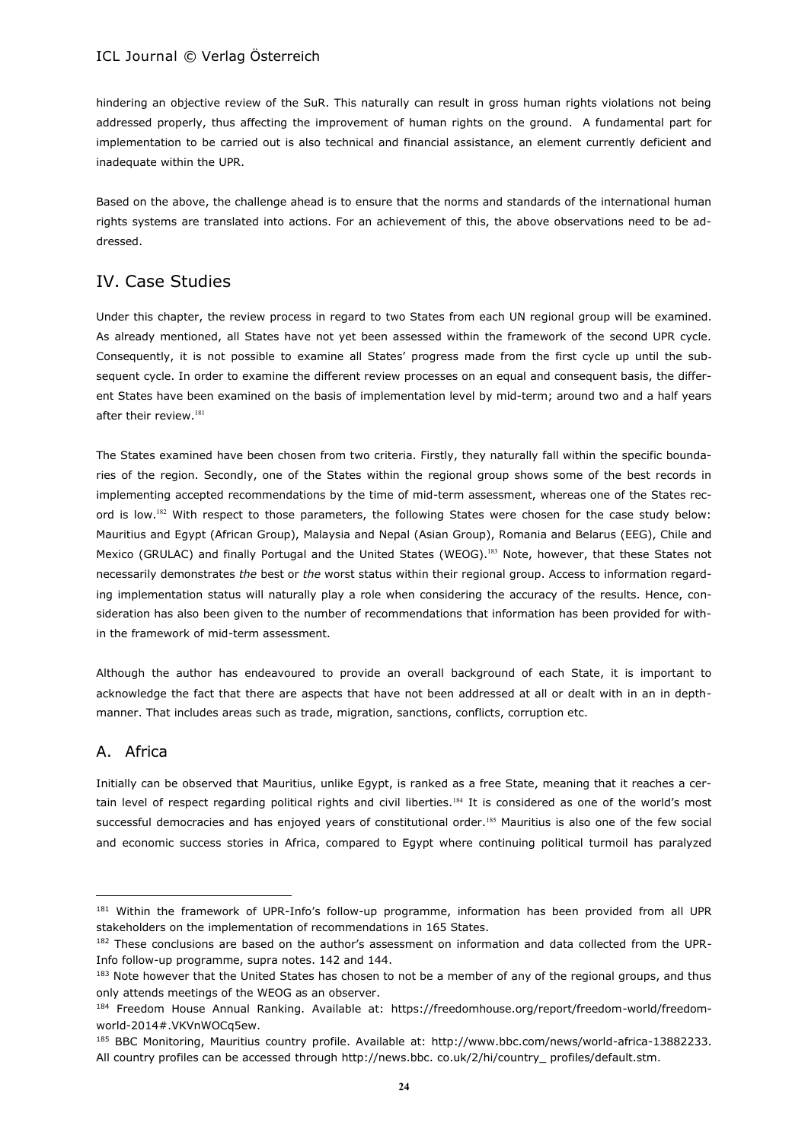hindering an objective review of the SuR. This naturally can result in gross human rights violations not being addressed properly, thus affecting the improvement of human rights on the ground. A fundamental part for implementation to be carried out is also technical and financial assistance, an element currently deficient and inadequate within the UPR.

Based on the above, the challenge ahead is to ensure that the norms and standards of the international human rights systems are translated into actions. For an achievement of this, the above observations need to be addressed.

# IV. Case Studies

Under this chapter, the review process in regard to two States from each UN regional group will be examined. As already mentioned, all States have not yet been assessed within the framework of the second UPR cycle. Consequently, it is not possible to examine all States' progress made from the first cycle up until the subsequent cycle. In order to examine the different review processes on an equal and consequent basis, the different States have been examined on the basis of implementation level by mid-term; around two and a half years after their review.<sup>181</sup>

The States examined have been chosen from two criteria. Firstly, they naturally fall within the specific boundaries of the region. Secondly, one of the States within the regional group shows some of the best records in implementing accepted recommendations by the time of mid-term assessment, whereas one of the States record is low.<sup>182</sup> With respect to those parameters, the following States were chosen for the case study below: Mauritius and Egypt (African Group), Malaysia and Nepal (Asian Group), Romania and Belarus (EEG), Chile and Mexico (GRULAC) and finally Portugal and the United States (WEOG).<sup>183</sup> Note, however, that these States not necessarily demonstrates *the* best or *the* worst status within their regional group. Access to information regarding implementation status will naturally play a role when considering the accuracy of the results. Hence, consideration has also been given to the number of recommendations that information has been provided for within the framework of mid-term assessment.

Although the author has endeavoured to provide an overall background of each State, it is important to acknowledge the fact that there are aspects that have not been addressed at all or dealt with in an in depthmanner. That includes areas such as trade, migration, sanctions, conflicts, corruption etc.

# A. Africa

 $\overline{a}$ 

Initially can be observed that Mauritius, unlike Egypt, is ranked as a free State, meaning that it reaches a certain level of respect regarding political rights and civil liberties.<sup>184</sup> It is considered as one of the world's most successful democracies and has enjoyed years of constitutional order.<sup>185</sup> Mauritius is also one of the few social and economic success stories in Africa, compared to Egypt where continuing political turmoil has paralyzed

<sup>181</sup> Within the framework of UPR-Info's follow-up programme, information has been provided from all UPR stakeholders on the implementation of recommendations in 165 States.

<sup>&</sup>lt;sup>182</sup> These conclusions are based on the author's assessment on information and data collected from the UPR-Info follow-up programme, supra notes. 142 and 144.

<sup>183</sup> Note however that the United States has chosen to not be a member of any of the regional groups, and thus only attends meetings of the WEOG as an observer.

<sup>184</sup> Freedom House Annual Ranking. Available at: https://freedomhouse.org/report/freedom-world/freedomworld-2014#.VKVnWOCq5ew.

<sup>185</sup> BBC Monitoring, Mauritius country profile. Available at: http://www.bbc.com/news/world-africa-13882233. All country profiles can be accessed through http://news.bbc. co.uk/2/hi/country\_ profiles/default.stm.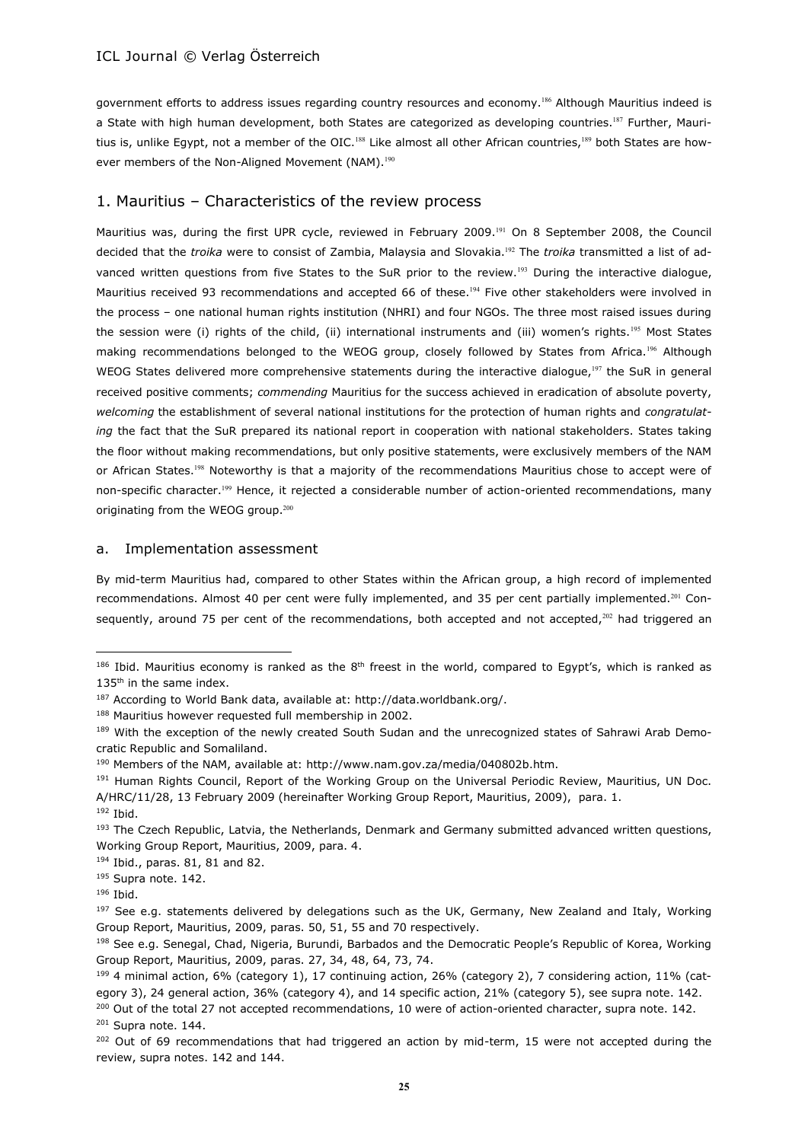government efforts to address issues regarding country resources and economy.<sup>186</sup> Although Mauritius indeed is a State with high human development, both States are categorized as developing countries.<sup>187</sup> Further, Mauritius is, unlike Egypt, not a member of the OIC.<sup>188</sup> Like almost all other African countries,<sup>189</sup> both States are however members of the Non-Aligned Movement (NAM).<sup>190</sup>

# 1. Mauritius – Characteristics of the review process

Mauritius was, during the first UPR cycle, reviewed in February 2009.<sup>191</sup> On 8 September 2008, the Council decided that the *troika* were to consist of Zambia, Malaysia and Slovakia.<sup>192</sup> The *troika* transmitted a list of advanced written questions from five States to the SuR prior to the review.<sup>193</sup> During the interactive dialogue, Mauritius received 93 recommendations and accepted 66 of these.<sup>194</sup> Five other stakeholders were involved in the process – one national human rights institution (NHRI) and four NGOs. The three most raised issues during the session were (i) rights of the child, (ii) international instruments and (iii) women's rights.<sup>195</sup> Most States making recommendations belonged to the WEOG group, closely followed by States from Africa.<sup>196</sup> Although WEOG States delivered more comprehensive statements during the interactive dialogue,<sup>197</sup> the SuR in general received positive comments; *commending* Mauritius for the success achieved in eradication of absolute poverty, *welcoming* the establishment of several national institutions for the protection of human rights and *congratulating* the fact that the SuR prepared its national report in cooperation with national stakeholders. States taking the floor without making recommendations, but only positive statements, were exclusively members of the NAM or African States.<sup>198</sup> Noteworthy is that a majority of the recommendations Mauritius chose to accept were of non-specific character.<sup>199</sup> Hence, it rejected a considerable number of action-oriented recommendations, many originating from the WEOG group.<sup>200</sup>

#### a. Implementation assessment

By mid-term Mauritius had, compared to other States within the African group, a high record of implemented recommendations. Almost 40 per cent were fully implemented, and 35 per cent partially implemented.<sup>201</sup> Consequently, around 75 per cent of the recommendations, both accepted and not accepted,<sup>202</sup> had triggered an

<sup>191</sup> Human Rights Council, Report of the Working Group on the Universal Periodic Review, Mauritius, UN Doc. A/HRC/11/28, 13 February 2009 (hereinafter Working Group Report, Mauritius, 2009), para. 1. <sup>192</sup> Ibid.

<sup>&</sup>lt;sup>186</sup> Ibid. Mauritius economy is ranked as the  $8<sup>th</sup>$  freest in the world, compared to Egypt's, which is ranked as 135<sup>th</sup> in the same index.

<sup>187</sup> According to World Bank data, available at: http://data.worldbank.org/.

<sup>188</sup> Mauritius however requested full membership in 2002.

<sup>189</sup> With the exception of the newly created South Sudan and the unrecognized states of Sahrawi Arab Democratic Republic and Somaliland.

<sup>190</sup> Members of the NAM, available at: http://www.nam.gov.za/media/040802b.htm.

<sup>&</sup>lt;sup>193</sup> The Czech Republic, Latvia, the Netherlands, Denmark and Germany submitted advanced written questions, Working Group Report, Mauritius, 2009, para. 4.

<sup>194</sup> Ibid., paras. 81, 81 and 82.

<sup>&</sup>lt;sup>195</sup> Supra note. 142.

<sup>196</sup> Ibid.

<sup>&</sup>lt;sup>197</sup> See e.g. statements delivered by delegations such as the UK, Germany, New Zealand and Italy, Working Group Report, Mauritius, 2009, paras. 50, 51, 55 and 70 respectively.

<sup>&</sup>lt;sup>198</sup> See e.g. Senegal, Chad, Nigeria, Burundi, Barbados and the Democratic People's Republic of Korea, Working Group Report, Mauritius, 2009, paras. 27, 34, 48, 64, 73, 74.

<sup>199 4</sup> minimal action, 6% (category 1), 17 continuing action, 26% (category 2), 7 considering action, 11% (category 3), 24 general action, 36% (category 4), and 14 specific action, 21% (category 5), see supra note. 142.

<sup>&</sup>lt;sup>200</sup> Out of the total 27 not accepted recommendations, 10 were of action-oriented character, supra note. 142. <sup>201</sup> Supra note. 144.

<sup>&</sup>lt;sup>202</sup> Out of 69 recommendations that had triggered an action by mid-term, 15 were not accepted during the review, supra notes. 142 and 144.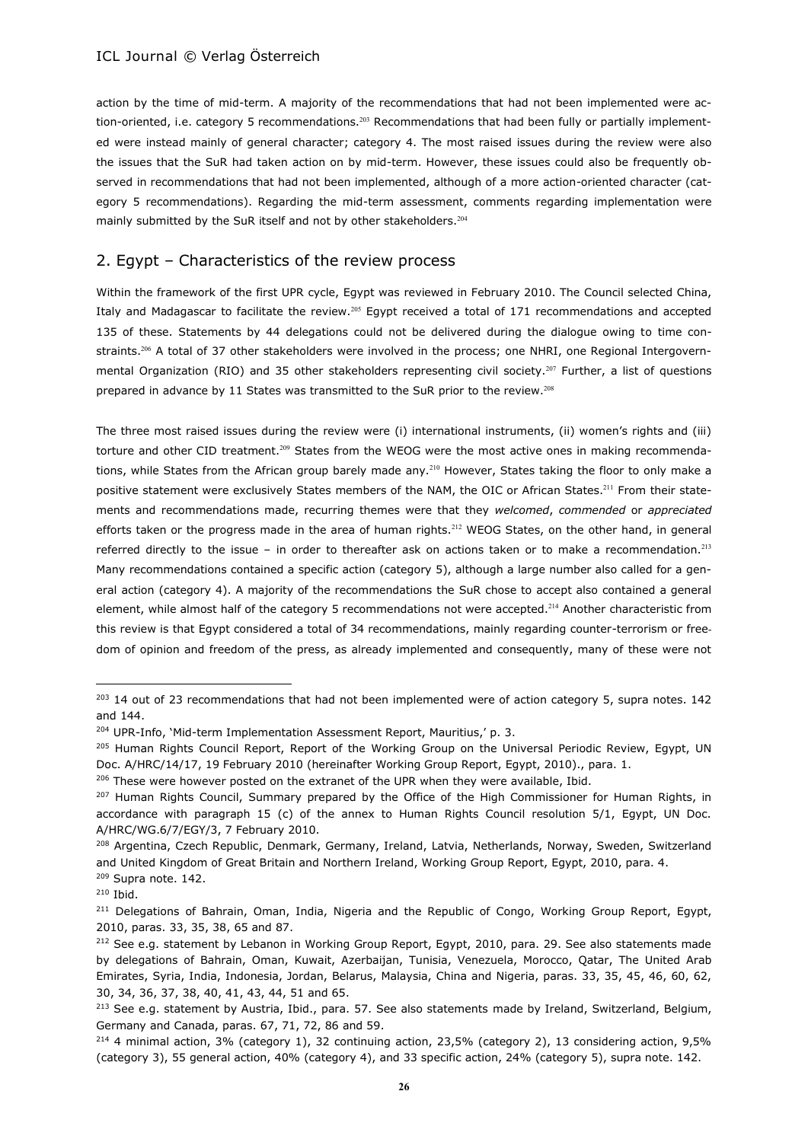action by the time of mid-term. A majority of the recommendations that had not been implemented were action-oriented, i.e. category 5 recommendations.<sup>203</sup> Recommendations that had been fully or partially implemented were instead mainly of general character; category 4. The most raised issues during the review were also the issues that the SuR had taken action on by mid-term. However, these issues could also be frequently observed in recommendations that had not been implemented, although of a more action-oriented character (category 5 recommendations). Regarding the mid-term assessment, comments regarding implementation were mainly submitted by the SuR itself and not by other stakeholders.<sup>204</sup>

# 2. Egypt – Characteristics of the review process

Within the framework of the first UPR cycle, Egypt was reviewed in February 2010. The Council selected China, Italy and Madagascar to facilitate the review.<sup>205</sup> Egypt received a total of 171 recommendations and accepted 135 of these. Statements by 44 delegations could not be delivered during the dialogue owing to time constraints.<sup>206</sup> A total of 37 other stakeholders were involved in the process; one NHRI, one Regional Intergovernmental Organization (RIO) and 35 other stakeholders representing civil society.<sup>207</sup> Further, a list of questions prepared in advance by 11 States was transmitted to the SuR prior to the review.<sup>208</sup>

The three most raised issues during the review were (i) international instruments, (ii) women's rights and (iii) torture and other CID treatment.<sup>209</sup> States from the WEOG were the most active ones in making recommendations, while States from the African group barely made any.<sup>210</sup> However, States taking the floor to only make a positive statement were exclusively States members of the NAM, the OIC or African States.<sup>211</sup> From their statements and recommendations made, recurring themes were that they *welcomed*, *commended* or *appreciated* efforts taken or the progress made in the area of human rights.<sup>212</sup> WEOG States, on the other hand, in general referred directly to the issue – in order to thereafter ask on actions taken or to make a recommendation.<sup>213</sup> Many recommendations contained a specific action (category 5), although a large number also called for a general action (category 4). A majority of the recommendations the SuR chose to accept also contained a general element, while almost half of the category 5 recommendations not were accepted.<sup>214</sup> Another characteristic from this review is that Egypt considered a total of 34 recommendations, mainly regarding counter-terrorism or freedom of opinion and freedom of the press, as already implemented and consequently, many of these were not

<sup>&</sup>lt;sup>203</sup> 14 out of 23 recommendations that had not been implemented were of action category 5, supra notes. 142 and 144.

<sup>&</sup>lt;sup>204</sup> UPR-Info, 'Mid-term Implementation Assessment Report, Mauritius,' p. 3.

<sup>205</sup> Human Rights Council Report, Report of the Working Group on the Universal Periodic Review, Egypt, UN Doc. A/HRC/14/17, 19 February 2010 (hereinafter Working Group Report, Egypt, 2010)., para. 1.

<sup>&</sup>lt;sup>206</sup> These were however posted on the extranet of the UPR when they were available, Ibid.

<sup>&</sup>lt;sup>207</sup> Human Rights Council, Summary prepared by the Office of the High Commissioner for Human Rights, in accordance with paragraph 15 (c) of the annex to Human Rights Council resolution 5/1, Egypt, UN Doc. A/HRC/WG.6/7/EGY/3, 7 February 2010.

<sup>208</sup> Argentina, Czech Republic, Denmark, Germany, Ireland, Latvia, Netherlands, Norway, Sweden, Switzerland and United Kingdom of Great Britain and Northern Ireland, Working Group Report, Egypt, 2010, para. 4. <sup>209</sup> Supra note. 142.

<sup>210</sup> Ibid.

<sup>&</sup>lt;sup>211</sup> Delegations of Bahrain, Oman, India, Nigeria and the Republic of Congo, Working Group Report, Egypt, 2010, paras. 33, 35, 38, 65 and 87.

<sup>&</sup>lt;sup>212</sup> See e.g. statement by Lebanon in Working Group Report, Egypt, 2010, para. 29. See also statements made by delegations of Bahrain, Oman, Kuwait, Azerbaijan, Tunisia, Venezuela, Morocco, Qatar, The United Arab Emirates, Syria, India, Indonesia, Jordan, Belarus, Malaysia, China and Nigeria, paras. 33, 35, 45, 46, 60, 62, 30, 34, 36, 37, 38, 40, 41, 43, 44, 51 and 65.

<sup>&</sup>lt;sup>213</sup> See e.g. statement by Austria, Ibid., para. 57. See also statements made by Ireland, Switzerland, Belgium, Germany and Canada, paras. 67, 71, 72, 86 and 59.

<sup>214</sup> 4 minimal action, 3% (category 1), 32 continuing action, 23,5% (category 2), 13 considering action, 9,5% (category 3), 55 general action, 40% (category 4), and 33 specific action, 24% (category 5), supra note. 142.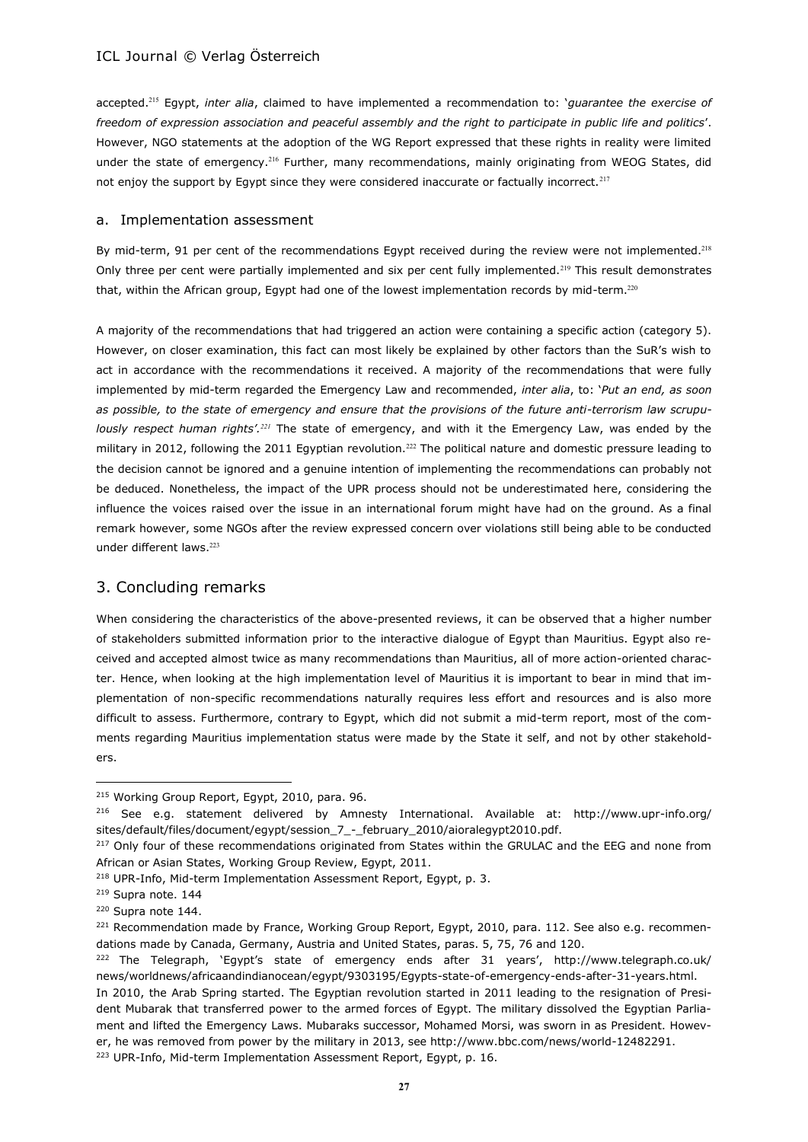accepted.<sup>215</sup> Egypt, *inter alia*, claimed to have implemented a recommendation to: '*guarantee the exercise of freedom of expression association and peaceful assembly and the right to participate in public life and politics*'. However, NGO statements at the adoption of the WG Report expressed that these rights in reality were limited under the state of emergency.<sup>216</sup> Further, many recommendations, mainly originating from WEOG States, did not enjoy the support by Egypt since they were considered inaccurate or factually incorrect.<sup>217</sup>

#### a. Implementation assessment

By mid-term, 91 per cent of the recommendations Egypt received during the review were not implemented.<sup>218</sup> Only three per cent were partially implemented and six per cent fully implemented.<sup>219</sup> This result demonstrates that, within the African group, Egypt had one of the lowest implementation records by mid-term.<sup>220</sup>

A majority of the recommendations that had triggered an action were containing a specific action (category 5). However, on closer examination, this fact can most likely be explained by other factors than the SuR's wish to act in accordance with the recommendations it received. A majority of the recommendations that were fully implemented by mid-term regarded the Emergency Law and recommended, *inter alia*, to: '*Put an end, as soon as possible, to the state of emergency and ensure that the provisions of the future anti-terrorism law scrupulously respect human rights'.<sup>221</sup>* The state of emergency, and with it the Emergency Law, was ended by the military in 2012, following the 2011 Egyptian revolution.<sup>222</sup> The political nature and domestic pressure leading to the decision cannot be ignored and a genuine intention of implementing the recommendations can probably not be deduced. Nonetheless, the impact of the UPR process should not be underestimated here, considering the influence the voices raised over the issue in an international forum might have had on the ground. As a final remark however, some NGOs after the review expressed concern over violations still being able to be conducted under different laws.<sup>223</sup>

# 3. Concluding remarks

When considering the characteristics of the above-presented reviews, it can be observed that a higher number of stakeholders submitted information prior to the interactive dialogue of Egypt than Mauritius. Egypt also received and accepted almost twice as many recommendations than Mauritius, all of more action-oriented character. Hence, when looking at the high implementation level of Mauritius it is important to bear in mind that implementation of non-specific recommendations naturally requires less effort and resources and is also more difficult to assess. Furthermore, contrary to Egypt, which did not submit a mid-term report, most of the comments regarding Mauritius implementation status were made by the State it self, and not by other stakeholders.

<sup>215</sup> Working Group Report, Egypt, 2010, para. 96.

<sup>216</sup> See e.g. statement delivered by Amnesty International. Available at: http://www.upr-info.org/ sites/default/files/document/egypt/session\_7\_-\_february\_2010/aioralegypt2010.pdf.

<sup>&</sup>lt;sup>217</sup> Only four of these recommendations originated from States within the GRULAC and the EEG and none from African or Asian States, Working Group Review, Egypt, 2011.

<sup>&</sup>lt;sup>218</sup> UPR-Info, Mid-term Implementation Assessment Report, Egypt, p. 3.

<sup>219</sup> Supra note. 144

<sup>220</sup> Supra note 144.

<sup>&</sup>lt;sup>221</sup> Recommendation made by France, Working Group Report, Egypt, 2010, para. 112. See also e.g. recommendations made by Canada, Germany, Austria and United States, paras. 5, 75, 76 and 120.

<sup>222</sup> The Telegraph, 'Egypt's state of emergency ends after 31 years', http://www.telegraph.co.uk/ news/worldnews/africaandindianocean/egypt/9303195/Egypts-state-of-emergency-ends-after-31-years.html.

In 2010, the Arab Spring started. The Egyptian revolution started in 2011 leading to the resignation of President Mubarak that transferred power to the armed forces of Egypt. The military dissolved the Egyptian Parliament and lifted the Emergency Laws. Mubaraks successor, Mohamed Morsi, was sworn in as President. However, he was removed from power by the military in 2013, see http://www.bbc.com/news/world-12482291.

<sup>&</sup>lt;sup>223</sup> UPR-Info, Mid-term Implementation Assessment Report, Egypt, p. 16.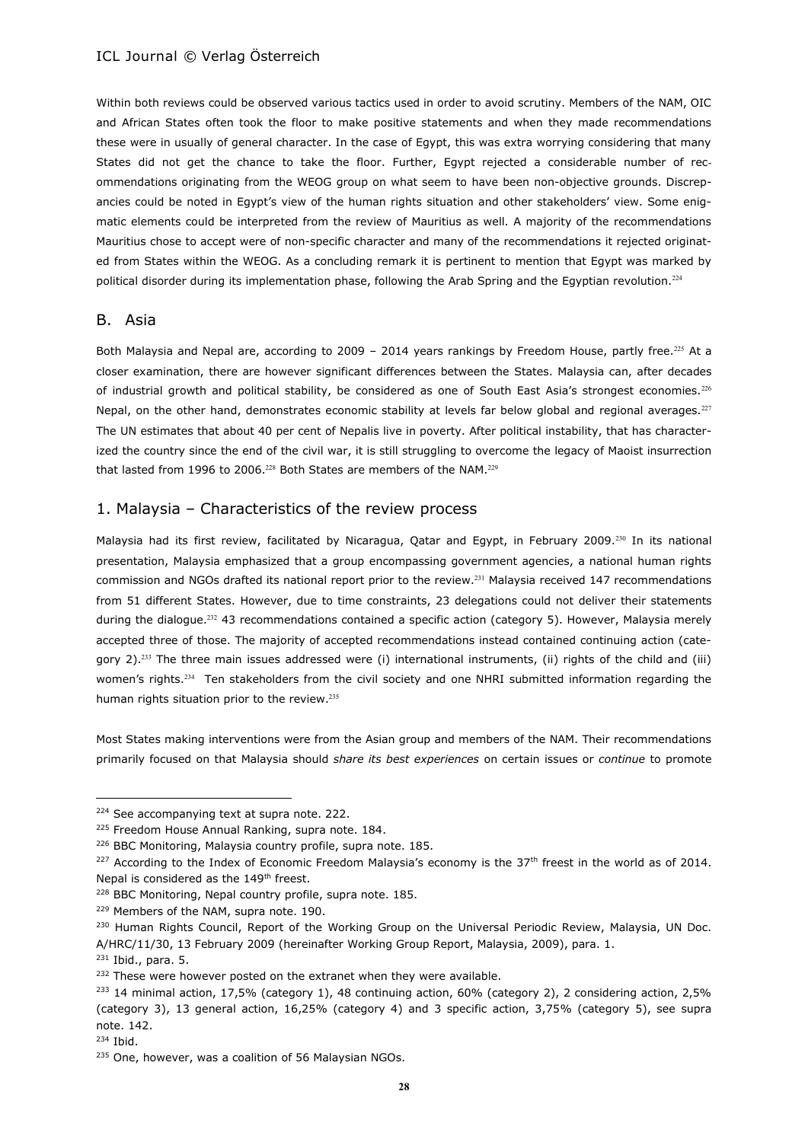Within both reviews could be observed various tactics used in order to avoid scrutiny. Members of the NAM, OIC and African States often took the floor to make positive statements and when they made recommendations these were in usually of general character. In the case of Egypt, this was extra worrying considering that many States did not get the chance to take the floor. Further, Egypt rejected a considerable number of recommendations originating from the WEOG group on what seem to have been non-objective grounds. Discrepancies could be noted in Egypt's view of the human rights situation and other stakeholders' view. Some enigmatic elements could be interpreted from the review of Mauritius as well. A majority of the recommendations Mauritius chose to accept were of non-specific character and many of the recommendations it rejected originated from States within the WEOG. As a concluding remark it is pertinent to mention that Egypt was marked by political disorder during its implementation phase, following the Arab Spring and the Egyptian revolution.<sup>224</sup>

# B. Asia

Both Malaysia and Nepal are, according to 2009 - 2014 years rankings by Freedom House, partly free.<sup>225</sup> At a closer examination, there are however significant differences between the States. Malaysia can, after decades of industrial growth and political stability, be considered as one of South East Asia's strongest economies.<sup>226</sup> Nepal, on the other hand, demonstrates economic stability at levels far below global and regional averages.<sup>227</sup> The UN estimates that about 40 per cent of Nepalis live in poverty. After political instability, that has characterized the country since the end of the civil war, it is still struggling to overcome the legacy of Maoist insurrection that lasted from 1996 to 2006.<sup>228</sup> Both States are members of the NAM.<sup>229</sup>

# 1. Malaysia – Characteristics of the review process

Malaysia had its first review, facilitated by Nicaragua, Qatar and Egypt, in February 2009.<sup>230</sup> In its national presentation, Malaysia emphasized that a group encompassing government agencies, a national human rights commission and NGOs drafted its national report prior to the review.<sup>231</sup> Malaysia received 147 recommendations from 51 different States. However, due to time constraints, 23 delegations could not deliver their statements during the dialogue.<sup>232</sup> 43 recommendations contained a specific action (category 5). However, Malaysia merely accepted three of those. The majority of accepted recommendations instead contained continuing action (category 2).<sup>233</sup> The three main issues addressed were (i) international instruments, (ii) rights of the child and (iii) women's rights.<sup>234</sup> Ten stakeholders from the civil society and one NHRI submitted information regarding the human rights situation prior to the review.<sup>235</sup>

Most States making interventions were from the Asian group and members of the NAM. Their recommendations primarily focused on that Malaysia should *share its best experiences* on certain issues or *continue* to promote

<sup>&</sup>lt;sup>224</sup> See accompanying text at supra note. 222.

<sup>&</sup>lt;sup>225</sup> Freedom House Annual Ranking, supra note. 184.

<sup>&</sup>lt;sup>226</sup> BBC Monitoring, Malaysia country profile, supra note. 185.

<sup>&</sup>lt;sup>227</sup> According to the Index of Economic Freedom Malaysia's economy is the 37<sup>th</sup> freest in the world as of 2014. Nepal is considered as the 149<sup>th</sup> freest.

<sup>&</sup>lt;sup>228</sup> BBC Monitoring, Nepal country profile, supra note. 185.

<sup>229</sup> Members of the NAM, supra note. 190.

<sup>&</sup>lt;sup>230</sup> Human Rights Council, Report of the Working Group on the Universal Periodic Review, Malaysia, UN Doc. A/HRC/11/30, 13 February 2009 (hereinafter Working Group Report, Malaysia, 2009), para. 1.

 $231$  Ibid., para. 5.

<sup>&</sup>lt;sup>232</sup> These were however posted on the extranet when they were available.

<sup>233</sup> 14 minimal action, 17,5% (category 1), 48 continuing action, 60% (category 2), 2 considering action, 2,5% (category 3), 13 general action, 16,25% (category 4) and 3 specific action, 3,75% (category 5), see supra note. 142.

<sup>234</sup> Ibid.

<sup>&</sup>lt;sup>235</sup> One, however, was a coalition of 56 Malaysian NGOs.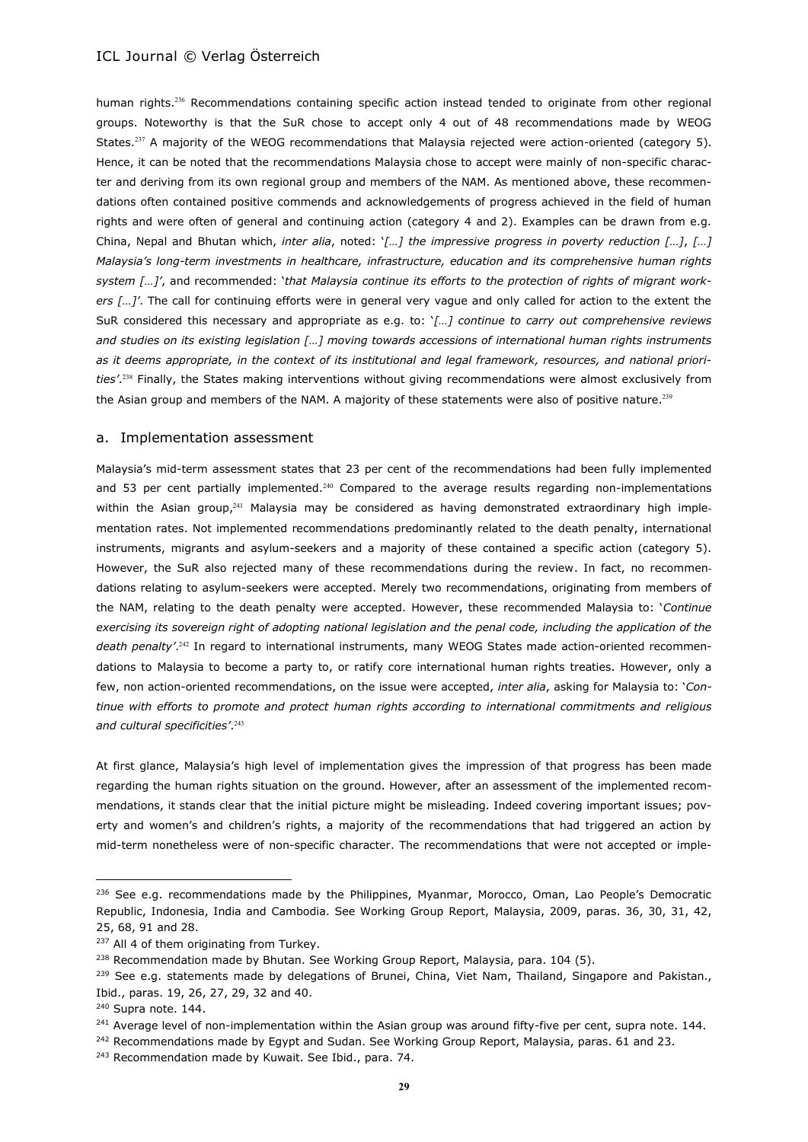human rights.<sup>236</sup> Recommendations containing specific action instead tended to originate from other regional groups. Noteworthy is that the SuR chose to accept only 4 out of 48 recommendations made by WEOG States.<sup>237</sup> A majority of the WEOG recommendations that Malaysia rejected were action-oriented (category 5). Hence, it can be noted that the recommendations Malaysia chose to accept were mainly of non-specific character and deriving from its own regional group and members of the NAM. As mentioned above, these recommendations often contained positive commends and acknowledgements of progress achieved in the field of human rights and were often of general and continuing action (category 4 and 2). Examples can be drawn from e.g. China, Nepal and Bhutan which, *inter alia*, noted: '*[…] the impressive progress in poverty reduction […]*, *[…] Malaysia's long-term investments in healthcare, infrastructure, education and its comprehensive human rights system […]'*, and recommended: '*that Malaysia continue its efforts to the protection of rights of migrant workers […]'*. The call for continuing efforts were in general very vague and only called for action to the extent the SuR considered this necessary and appropriate as e.g. to: '*[…] continue to carry out comprehensive reviews and studies on its existing legislation […] moving towards accessions of international human rights instruments as it deems appropriate, in the context of its institutional and legal framework, resources, and national priorities'*. <sup>238</sup> Finally, the States making interventions without giving recommendations were almost exclusively from the Asian group and members of the NAM. A majority of these statements were also of positive nature.<sup>239</sup>

#### a. Implementation assessment

Malaysia's mid-term assessment states that 23 per cent of the recommendations had been fully implemented and 53 per cent partially implemented.<sup>240</sup> Compared to the average results regarding non-implementations within the Asian group,<sup>241</sup> Malaysia may be considered as having demonstrated extraordinary high implementation rates. Not implemented recommendations predominantly related to the death penalty, international instruments, migrants and asylum-seekers and a majority of these contained a specific action (category 5). However, the SuR also rejected many of these recommendations during the review. In fact, no recommendations relating to asylum-seekers were accepted. Merely two recommendations, originating from members of the NAM, relating to the death penalty were accepted. However, these recommended Malaysia to: '*Continue*  exercising its sovereign right of adopting national legislation and the penal code, including the application of the *death penalty'*. <sup>242</sup> In regard to international instruments, many WEOG States made action-oriented recommendations to Malaysia to become a party to, or ratify core international human rights treaties. However, only a few, non action-oriented recommendations, on the issue were accepted, *inter alia*, asking for Malaysia to: '*Continue with efforts to promote and protect human rights according to international commitments and religious and cultural specificities'*. 243

At first glance, Malaysia's high level of implementation gives the impression of that progress has been made regarding the human rights situation on the ground. However, after an assessment of the implemented recommendations, it stands clear that the initial picture might be misleading. Indeed covering important issues; poverty and women's and children's rights, a majority of the recommendations that had triggered an action by mid-term nonetheless were of non-specific character. The recommendations that were not accepted or imple-

<sup>&</sup>lt;sup>236</sup> See e.g. recommendations made by the Philippines, Myanmar, Morocco, Oman, Lao People's Democratic Republic, Indonesia, India and Cambodia. See Working Group Report, Malaysia, 2009, paras. 36, 30, 31, 42, 25, 68, 91 and 28.

<sup>&</sup>lt;sup>237</sup> All 4 of them originating from Turkey.

 $238$  Recommendation made by Bhutan. See Working Group Report, Malaysia, para. 104 (5).

<sup>&</sup>lt;sup>239</sup> See e.g. statements made by delegations of Brunei, China, Viet Nam, Thailand, Singapore and Pakistan., Ibid., paras. 19, 26, 27, 29, 32 and 40.

<sup>&</sup>lt;sup>240</sup> Supra note. 144.

<sup>&</sup>lt;sup>241</sup> Average level of non-implementation within the Asian group was around fifty-five per cent, supra note. 144.

<sup>&</sup>lt;sup>242</sup> Recommendations made by Egypt and Sudan. See Working Group Report, Malaysia, paras. 61 and 23.

<sup>&</sup>lt;sup>243</sup> Recommendation made by Kuwait. See Ibid., para. 74.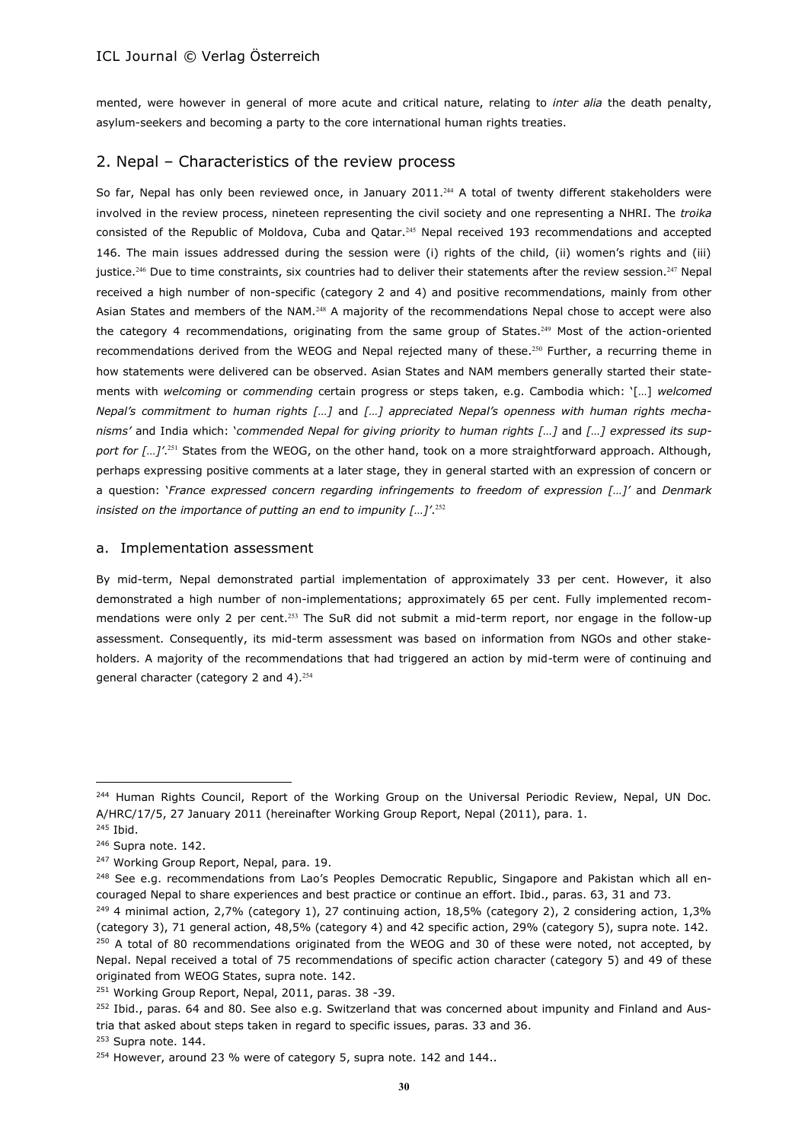mented, were however in general of more acute and critical nature, relating to *inter alia* the death penalty, asylum-seekers and becoming a party to the core international human rights treaties.

# 2. Nepal – Characteristics of the review process

So far, Nepal has only been reviewed once, in January 2011.<sup>244</sup> A total of twenty different stakeholders were involved in the review process, nineteen representing the civil society and one representing a NHRI. The *troika* consisted of the Republic of Moldova, Cuba and Qatar.<sup>245</sup> Nepal received 193 recommendations and accepted 146. The main issues addressed during the session were (i) rights of the child, (ii) women's rights and (iii) justice.<sup>246</sup> Due to time constraints, six countries had to deliver their statements after the review session.<sup>247</sup> Nepal received a high number of non-specific (category 2 and 4) and positive recommendations, mainly from other Asian States and members of the NAM.<sup>248</sup> A majority of the recommendations Nepal chose to accept were also the category 4 recommendations, originating from the same group of States.<sup>249</sup> Most of the action-oriented recommendations derived from the WEOG and Nepal rejected many of these.<sup>250</sup> Further, a recurring theme in how statements were delivered can be observed. Asian States and NAM members generally started their statements with *welcoming* or *commending* certain progress or steps taken, e.g. Cambodia which: '[…] *welcomed Nepal's commitment to human rights […]* and *[…] appreciated Nepal's openness with human rights mechanisms'* and India which: '*commended Nepal for giving priority to human rights […]* and *[…] expressed its support for […]'*. <sup>251</sup> States from the WEOG, on the other hand, took on a more straightforward approach. Although, perhaps expressing positive comments at a later stage, they in general started with an expression of concern or a question: '*France expressed concern regarding infringements to freedom of expression […]'* and *Denmark insisted on the importance of putting an end to impunity […]'*. 252

### a. Implementation assessment

By mid-term, Nepal demonstrated partial implementation of approximately 33 per cent. However, it also demonstrated a high number of non-implementations; approximately 65 per cent. Fully implemented recommendations were only 2 per cent.<sup>253</sup> The SuR did not submit a mid-term report, nor engage in the follow-up assessment. Consequently, its mid-term assessment was based on information from NGOs and other stakeholders. A majority of the recommendations that had triggered an action by mid-term were of continuing and general character (category 2 and 4).<sup>254</sup>

<sup>&</sup>lt;sup>244</sup> Human Rights Council, Report of the Working Group on the Universal Periodic Review, Nepal, UN Doc. A/HRC/17/5, 27 January 2011 (hereinafter Working Group Report, Nepal (2011), para. 1.

<sup>245</sup> Ibid.

<sup>246</sup> Supra note. 142.

<sup>&</sup>lt;sup>247</sup> Working Group Report, Nepal, para. 19.

<sup>&</sup>lt;sup>248</sup> See e.g. recommendations from Lao's Peoples Democratic Republic, Singapore and Pakistan which all encouraged Nepal to share experiences and best practice or continue an effort. Ibid., paras. 63, 31 and 73.

<sup>249</sup> 4 minimal action, 2,7% (category 1), 27 continuing action, 18,5% (category 2), 2 considering action, 1,3% (category 3), 71 general action, 48,5% (category 4) and 42 specific action, 29% (category 5), supra note. 142.

 $250$  A total of 80 recommendations originated from the WEOG and 30 of these were noted, not accepted, by Nepal. Nepal received a total of 75 recommendations of specific action character (category 5) and 49 of these originated from WEOG States, supra note. 142.

<sup>&</sup>lt;sup>251</sup> Working Group Report, Nepal, 2011, paras. 38 -39.

<sup>&</sup>lt;sup>252</sup> Ibid., paras. 64 and 80. See also e.g. Switzerland that was concerned about impunity and Finland and Austria that asked about steps taken in regard to specific issues, paras. 33 and 36.

<sup>253</sup> Supra note. 144.

<sup>&</sup>lt;sup>254</sup> However, around 23 % were of category 5, supra note. 142 and 144..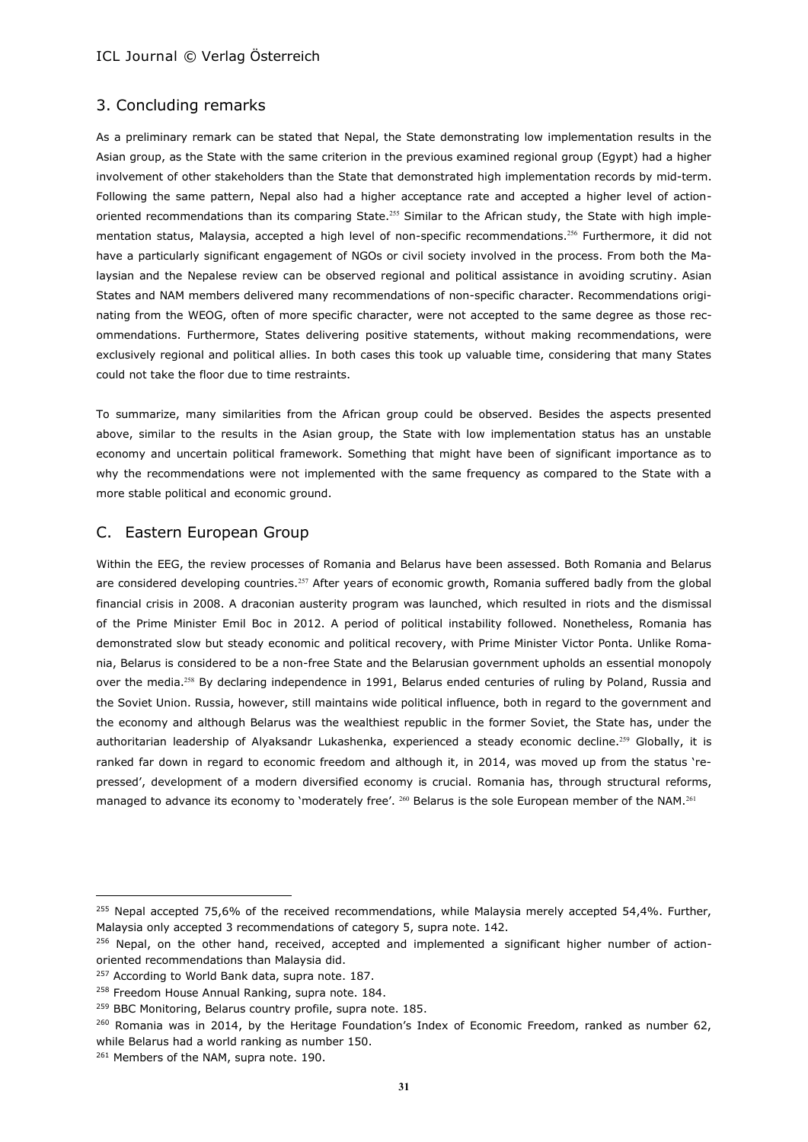# 3. Concluding remarks

As a preliminary remark can be stated that Nepal, the State demonstrating low implementation results in the Asian group, as the State with the same criterion in the previous examined regional group (Egypt) had a higher involvement of other stakeholders than the State that demonstrated high implementation records by mid-term. Following the same pattern, Nepal also had a higher acceptance rate and accepted a higher level of actionoriented recommendations than its comparing State.<sup>255</sup> Similar to the African study, the State with high implementation status, Malaysia, accepted a high level of non-specific recommendations.<sup>256</sup> Furthermore, it did not have a particularly significant engagement of NGOs or civil society involved in the process. From both the Malaysian and the Nepalese review can be observed regional and political assistance in avoiding scrutiny. Asian States and NAM members delivered many recommendations of non-specific character. Recommendations originating from the WEOG, often of more specific character, were not accepted to the same degree as those recommendations. Furthermore, States delivering positive statements, without making recommendations, were exclusively regional and political allies. In both cases this took up valuable time, considering that many States could not take the floor due to time restraints.

To summarize, many similarities from the African group could be observed. Besides the aspects presented above, similar to the results in the Asian group, the State with low implementation status has an unstable economy and uncertain political framework. Something that might have been of significant importance as to why the recommendations were not implemented with the same frequency as compared to the State with a more stable political and economic ground.

# C. Eastern European Group

Within the EEG, the review processes of Romania and Belarus have been assessed. Both Romania and Belarus are considered developing countries.<sup>257</sup> After years of economic growth, Romania suffered badly from the global financial crisis in 2008. A draconian austerity program was launched, which resulted in riots and the dismissal of the Prime Minister Emil Boc in 2012. A period of political instability followed. Nonetheless, Romania has demonstrated slow but steady economic and political recovery, with Prime Minister Victor Ponta. Unlike Romania, Belarus is considered to be a non-free State and the Belarusian government upholds an essential monopoly over the media.<sup>258</sup> By declaring independence in 1991, Belarus ended centuries of ruling by Poland, Russia and the Soviet Union. Russia, however, still maintains wide political influence, both in regard to the government and the economy and although Belarus was the wealthiest republic in the former Soviet, the State has, under the authoritarian leadership of Alyaksandr Lukashenka, experienced a steady economic decline.<sup>259</sup> Globally, it is ranked far down in regard to economic freedom and although it, in 2014, was moved up from the status 'repressed', development of a modern diversified economy is crucial. Romania has, through structural reforms, managed to advance its economy to 'moderately free'. <sup>260</sup> Belarus is the sole European member of the NAM.<sup>261</sup>

<sup>&</sup>lt;sup>255</sup> Nepal accepted 75,6% of the received recommendations, while Malaysia merely accepted 54,4%. Further, Malaysia only accepted 3 recommendations of category 5, supra note. 142.

<sup>&</sup>lt;sup>256</sup> Nepal, on the other hand, received, accepted and implemented a significant higher number of actionoriented recommendations than Malaysia did.

<sup>&</sup>lt;sup>257</sup> According to World Bank data, supra note. 187.

<sup>&</sup>lt;sup>258</sup> Freedom House Annual Ranking, supra note. 184.

<sup>&</sup>lt;sup>259</sup> BBC Monitoring, Belarus country profile, supra note. 185.

<sup>&</sup>lt;sup>260</sup> Romania was in 2014, by the Heritage Foundation's Index of Economic Freedom, ranked as number 62, while Belarus had a world ranking as number 150.

<sup>&</sup>lt;sup>261</sup> Members of the NAM, supra note. 190.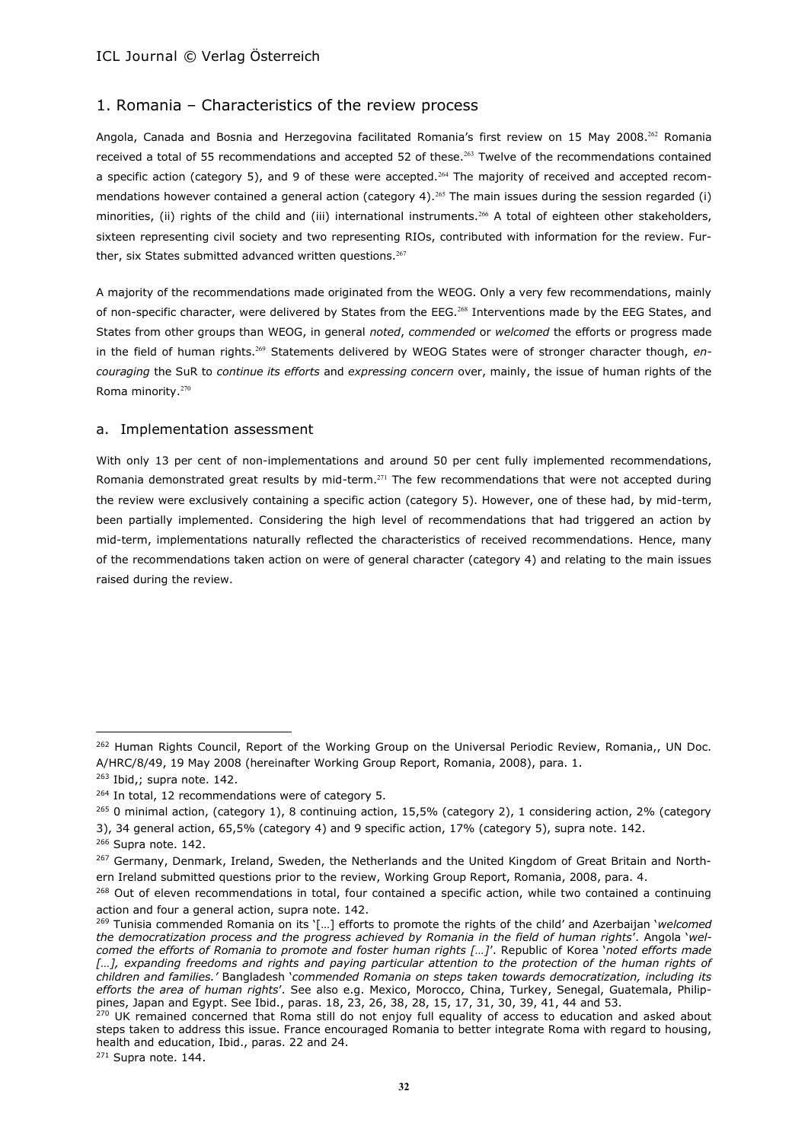# 1. Romania – Characteristics of the review process

Angola, Canada and Bosnia and Herzegovina facilitated Romania's first review on 15 May 2008.<sup>262</sup> Romania received a total of 55 recommendations and accepted 52 of these.<sup>263</sup> Twelve of the recommendations contained a specific action (category 5), and 9 of these were accepted.<sup>264</sup> The majority of received and accepted recommendations however contained a general action (category 4).<sup>265</sup> The main issues during the session regarded (i) minorities, (ii) rights of the child and (iii) international instruments.<sup>266</sup> A total of eighteen other stakeholders, sixteen representing civil society and two representing RIOs, contributed with information for the review. Further, six States submitted advanced written questions. $267$ 

A majority of the recommendations made originated from the WEOG. Only a very few recommendations, mainly of non-specific character, were delivered by States from the EEG.<sup>268</sup> Interventions made by the EEG States, and States from other groups than WEOG, in general *noted*, *commended* or *welcomed* the efforts or progress made in the field of human rights.<sup>269</sup> Statements delivered by WEOG States were of stronger character though, *encouraging* the SuR to *continue its efforts* and *expressing concern* over, mainly, the issue of human rights of the Roma minority.<sup>270</sup>

#### a. Implementation assessment

With only 13 per cent of non-implementations and around 50 per cent fully implemented recommendations, Romania demonstrated great results by mid-term.<sup>271</sup> The few recommendations that were not accepted during the review were exclusively containing a specific action (category 5). However, one of these had, by mid-term, been partially implemented. Considering the high level of recommendations that had triggered an action by mid-term, implementations naturally reflected the characteristics of received recommendations. Hence, many of the recommendations taken action on were of general character (category 4) and relating to the main issues raised during the review.

 $\overline{a}$ 

 $271$  Supra note. 144.

<sup>&</sup>lt;sup>262</sup> Human Rights Council, Report of the Working Group on the Universal Periodic Review, Romania., UN Doc. A/HRC/8/49, 19 May 2008 (hereinafter Working Group Report, Romania, 2008), para. 1.

 $263$  Ibid,; supra note. 142.

<sup>&</sup>lt;sup>264</sup> In total, 12 recommendations were of category 5.

<sup>&</sup>lt;sup>265</sup> 0 minimal action, (category 1), 8 continuing action, 15,5% (category 2), 1 considering action, 2% (category

<sup>3), 34</sup> general action, 65,5% (category 4) and 9 specific action, 17% (category 5), supra note. 142.

<sup>&</sup>lt;sup>266</sup> Supra note. 142.

<sup>&</sup>lt;sup>267</sup> Germany, Denmark, Ireland, Sweden, the Netherlands and the United Kingdom of Great Britain and Northern Ireland submitted questions prior to the review, Working Group Report, Romania, 2008, para. 4.

<sup>&</sup>lt;sup>268</sup> Out of eleven recommendations in total, four contained a specific action, while two contained a continuing action and four a general action, supra note. 142.

<sup>269</sup> Tunisia commended Romania on its '[…] efforts to promote the rights of the child' and Azerbaijan '*welcomed the democratization process and the progress achieved by Romania in the field of human rights*'. Angola '*welcomed the efforts of Romania to promote and foster human rights […]*'. Republic of Korea '*noted efforts made*  [...], expanding freedoms and rights and paying particular attention to the protection of the human rights of *children and families.'* Bangladesh '*commended Romania on steps taken towards democratization, including its efforts the area of human rights*'. See also e.g. Mexico, Morocco, China, Turkey, Senegal, Guatemala, Philippines, Japan and Egypt. See Ibid., paras. 18, 23, 26, 38, 28, 15, 17, 31, 30, 39, 41, 44 and 53.

<sup>&</sup>lt;sup>270</sup> UK remained concerned that Roma still do not enjoy full equality of access to education and asked about steps taken to address this issue. France encouraged Romania to better integrate Roma with regard to housing, health and education, Ibid., paras. 22 and 24.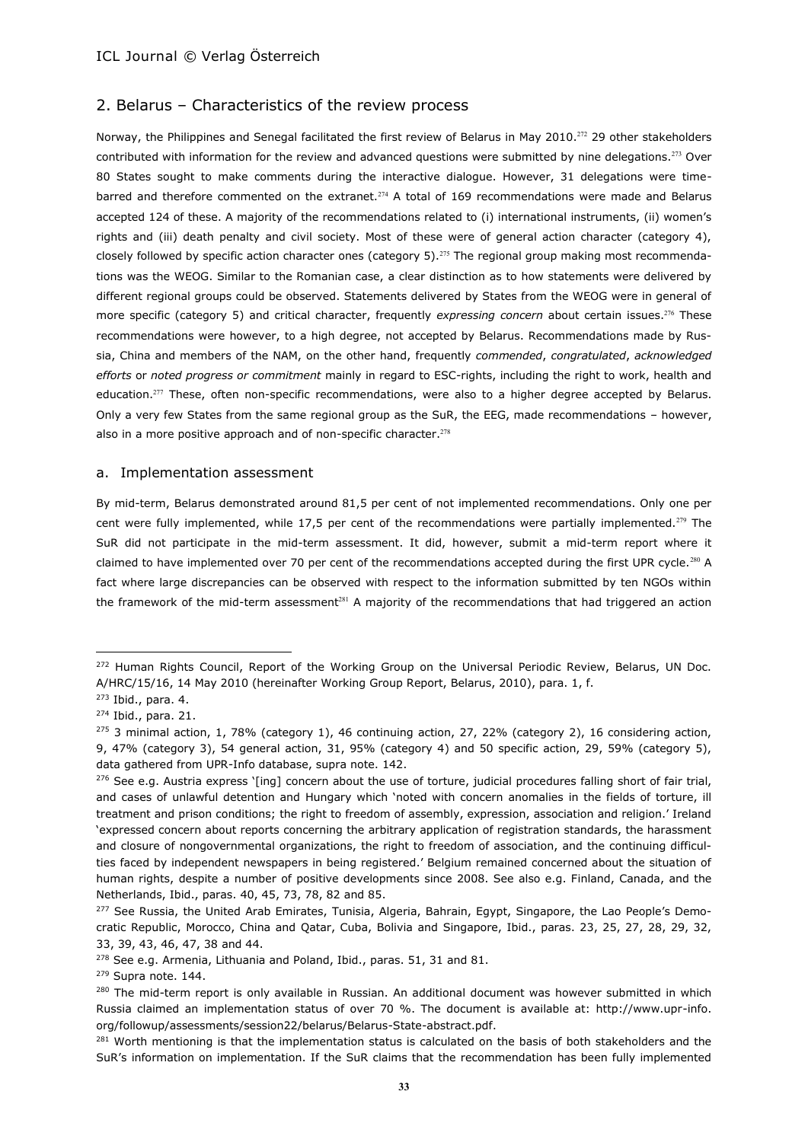# 2. Belarus – Characteristics of the review process

Norway, the Philippines and Senegal facilitated the first review of Belarus in May 2010.<sup>272</sup> 29 other stakeholders contributed with information for the review and advanced questions were submitted by nine delegations.<sup>273</sup> Over 80 States sought to make comments during the interactive dialogue. However, 31 delegations were timebarred and therefore commented on the extranet.<sup>274</sup> A total of 169 recommendations were made and Belarus accepted 124 of these. A majority of the recommendations related to (i) international instruments, (ii) women's rights and (iii) death penalty and civil society. Most of these were of general action character (category 4), closely followed by specific action character ones (category 5).<sup>275</sup> The regional group making most recommendations was the WEOG. Similar to the Romanian case, a clear distinction as to how statements were delivered by different regional groups could be observed. Statements delivered by States from the WEOG were in general of more specific (category 5) and critical character, frequently *expressing concern* about certain issues.<sup>276</sup> These recommendations were however, to a high degree, not accepted by Belarus. Recommendations made by Russia, China and members of the NAM, on the other hand, frequently *commended*, *congratulated*, *acknowledged efforts* or *noted progress or commitment* mainly in regard to ESC-rights, including the right to work, health and education.<sup>277</sup> These, often non-specific recommendations, were also to a higher degree accepted by Belarus. Only a very few States from the same regional group as the SuR, the EEG, made recommendations – however, also in a more positive approach and of non-specific character.<sup>278</sup>

#### a. Implementation assessment

By mid-term, Belarus demonstrated around 81,5 per cent of not implemented recommendations. Only one per cent were fully implemented, while 17,5 per cent of the recommendations were partially implemented.<sup>279</sup> The SuR did not participate in the mid-term assessment. It did, however, submit a mid-term report where it claimed to have implemented over 70 per cent of the recommendations accepted during the first UPR cycle.<sup>280</sup> A fact where large discrepancies can be observed with respect to the information submitted by ten NGOs within the framework of the mid-term assessment<sup>281</sup> A majority of the recommendations that had triggered an action

<sup>&</sup>lt;sup>272</sup> Human Rights Council, Report of the Working Group on the Universal Periodic Review, Belarus, UN Doc. A/HRC/15/16, 14 May 2010 (hereinafter Working Group Report, Belarus, 2010), para. 1, f.

<sup>273</sup> Ibid., para. 4.

<sup>274</sup> Ibid., para. 21.

 $275$  3 minimal action, 1, 78% (category 1), 46 continuing action, 27, 22% (category 2), 16 considering action, 9, 47% (category 3), 54 general action, 31, 95% (category 4) and 50 specific action, 29, 59% (category 5), data gathered from UPR-Info database, supra note. 142.

 $276$  See e.g. Austria express '[ing] concern about the use of torture, judicial procedures falling short of fair trial, and cases of unlawful detention and Hungary which 'noted with concern anomalies in the fields of torture, ill treatment and prison conditions; the right to freedom of assembly, expression, association and religion.' Ireland 'expressed concern about reports concerning the arbitrary application of registration standards, the harassment and closure of nongovernmental organizations, the right to freedom of association, and the continuing difficulties faced by independent newspapers in being registered.' Belgium remained concerned about the situation of human rights, despite a number of positive developments since 2008. See also e.g. Finland, Canada, and the Netherlands, Ibid., paras. 40, 45, 73, 78, 82 and 85.

<sup>&</sup>lt;sup>277</sup> See Russia, the United Arab Emirates, Tunisia, Algeria, Bahrain, Egypt, Singapore, the Lao People's Democratic Republic, Morocco, China and Qatar, Cuba, Bolivia and Singapore, Ibid., paras. 23, 25, 27, 28, 29, 32, 33, 39, 43, 46, 47, 38 and 44.

<sup>&</sup>lt;sup>278</sup> See e.g. Armenia, Lithuania and Poland, Ibid., paras. 51, 31 and 81.

<sup>&</sup>lt;sup>279</sup> Supra note. 144.

<sup>&</sup>lt;sup>280</sup> The mid-term report is only available in Russian. An additional document was however submitted in which Russia claimed an implementation status of over 70 %. The document is available at: http://www.upr-info. org/followup/assessments/session22/belarus/Belarus-State-abstract.pdf.

<sup>&</sup>lt;sup>281</sup> Worth mentioning is that the implementation status is calculated on the basis of both stakeholders and the SuR's information on implementation. If the SuR claims that the recommendation has been fully implemented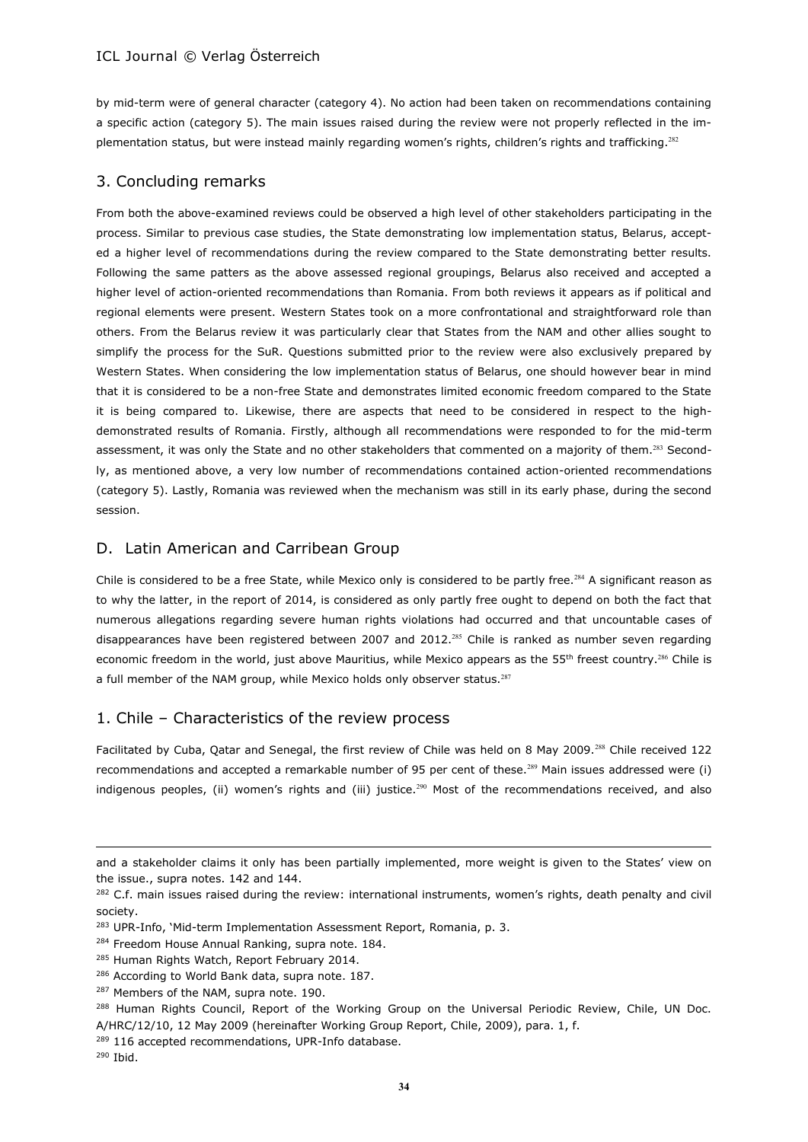by mid-term were of general character (category 4). No action had been taken on recommendations containing a specific action (category 5). The main issues raised during the review were not properly reflected in the implementation status, but were instead mainly regarding women's rights, children's rights and trafficking.<sup>282</sup>

# 3. Concluding remarks

From both the above-examined reviews could be observed a high level of other stakeholders participating in the process. Similar to previous case studies, the State demonstrating low implementation status, Belarus, accepted a higher level of recommendations during the review compared to the State demonstrating better results. Following the same patters as the above assessed regional groupings, Belarus also received and accepted a higher level of action-oriented recommendations than Romania. From both reviews it appears as if political and regional elements were present. Western States took on a more confrontational and straightforward role than others. From the Belarus review it was particularly clear that States from the NAM and other allies sought to simplify the process for the SuR. Questions submitted prior to the review were also exclusively prepared by Western States. When considering the low implementation status of Belarus, one should however bear in mind that it is considered to be a non-free State and demonstrates limited economic freedom compared to the State it is being compared to. Likewise, there are aspects that need to be considered in respect to the highdemonstrated results of Romania. Firstly, although all recommendations were responded to for the mid-term assessment, it was only the State and no other stakeholders that commented on a majority of them.<sup>283</sup> Secondly, as mentioned above, a very low number of recommendations contained action-oriented recommendations (category 5). Lastly, Romania was reviewed when the mechanism was still in its early phase, during the second session.

# D. Latin American and Carribean Group

Chile is considered to be a free State, while Mexico only is considered to be partly free.<sup>284</sup> A significant reason as to why the latter, in the report of 2014, is considered as only partly free ought to depend on both the fact that numerous allegations regarding severe human rights violations had occurred and that uncountable cases of disappearances have been registered between 2007 and 2012.<sup>285</sup> Chile is ranked as number seven regarding economic freedom in the world, just above Mauritius, while Mexico appears as the 55<sup>th</sup> freest country.<sup>286</sup> Chile is a full member of the NAM group, while Mexico holds only observer status.<sup>287</sup>

# 1. Chile – Characteristics of the review process

Facilitated by Cuba, Qatar and Senegal, the first review of Chile was held on 8 May 2009.<sup>288</sup> Chile received 122 recommendations and accepted a remarkable number of 95 per cent of these.<sup>289</sup> Main issues addressed were (i) indigenous peoples, (ii) women's rights and (iii) justice.<sup>290</sup> Most of the recommendations received, and also

and a stakeholder claims it only has been partially implemented, more weight is given to the States' view on the issue., supra notes. 142 and 144.

<sup>&</sup>lt;sup>282</sup> C.f. main issues raised during the review: international instruments, women's rights, death penalty and civil society.

<sup>&</sup>lt;sup>283</sup> UPR-Info, 'Mid-term Implementation Assessment Report, Romania, p. 3.

<sup>&</sup>lt;sup>284</sup> Freedom House Annual Ranking, supra note. 184.

<sup>&</sup>lt;sup>285</sup> Human Rights Watch, Report February 2014.

<sup>286</sup> According to World Bank data, supra note. 187.

<sup>287</sup> Members of the NAM, supra note. 190.

<sup>&</sup>lt;sup>288</sup> Human Rights Council, Report of the Working Group on the Universal Periodic Review, Chile, UN Doc. A/HRC/12/10, 12 May 2009 (hereinafter Working Group Report, Chile, 2009), para. 1, f.

<sup>&</sup>lt;sup>289</sup> 116 accepted recommendations, UPR-Info database.

<sup>290</sup> Ibid.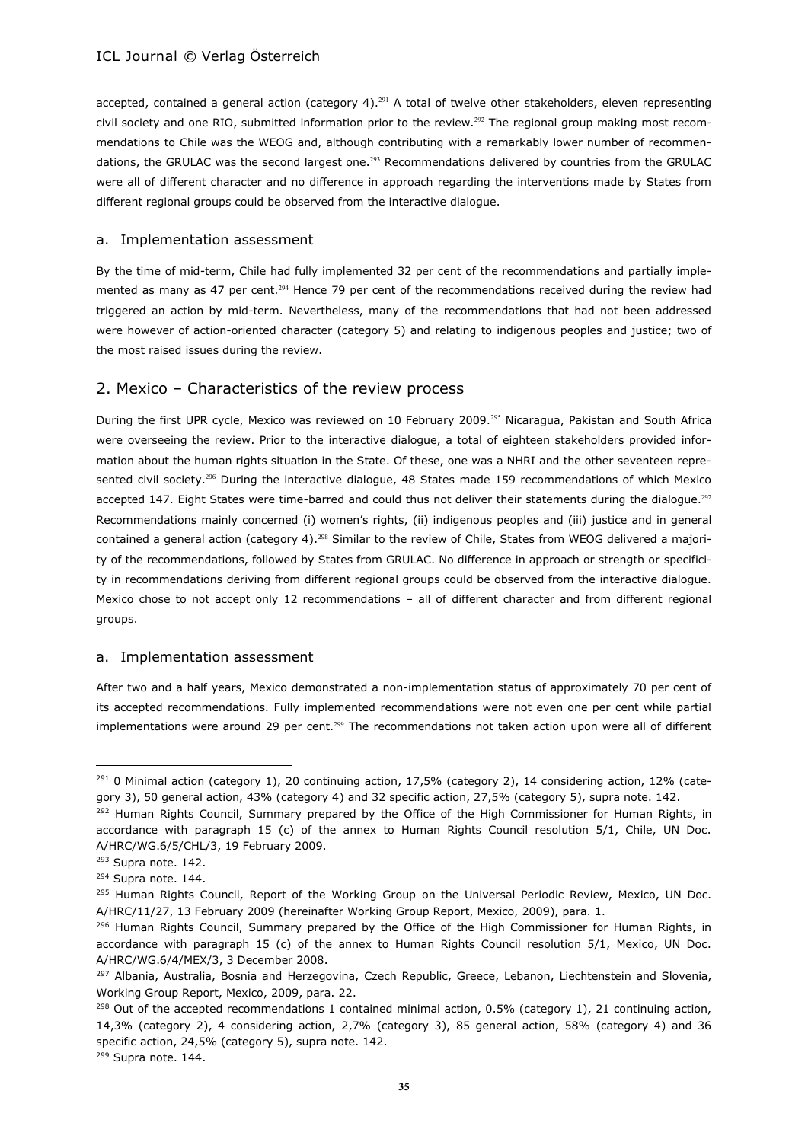accepted, contained a general action (category 4).<sup>291</sup> A total of twelve other stakeholders, eleven representing civil society and one RIO, submitted information prior to the review.<sup>292</sup> The regional group making most recommendations to Chile was the WEOG and, although contributing with a remarkably lower number of recommendations, the GRULAC was the second largest one. $^{293}$  Recommendations delivered by countries from the GRULAC were all of different character and no difference in approach regarding the interventions made by States from different regional groups could be observed from the interactive dialogue.

#### a. Implementation assessment

By the time of mid-term, Chile had fully implemented 32 per cent of the recommendations and partially implemented as many as 47 per cent.<sup>294</sup> Hence 79 per cent of the recommendations received during the review had triggered an action by mid-term. Nevertheless, many of the recommendations that had not been addressed were however of action-oriented character (category 5) and relating to indigenous peoples and justice; two of the most raised issues during the review.

# 2. Mexico – Characteristics of the review process

During the first UPR cycle, Mexico was reviewed on 10 February 2009.<sup>295</sup> Nicaragua, Pakistan and South Africa were overseeing the review. Prior to the interactive dialogue, a total of eighteen stakeholders provided information about the human rights situation in the State. Of these, one was a NHRI and the other seventeen represented civil society.<sup>296</sup> During the interactive dialogue, 48 States made 159 recommendations of which Mexico accepted 147. Eight States were time-barred and could thus not deliver their statements during the dialogue.<sup>297</sup> Recommendations mainly concerned (i) women's rights, (ii) indigenous peoples and (iii) justice and in general contained a general action (category 4).<sup>298</sup> Similar to the review of Chile, States from WEOG delivered a majority of the recommendations, followed by States from GRULAC. No difference in approach or strength or specificity in recommendations deriving from different regional groups could be observed from the interactive dialogue. Mexico chose to not accept only 12 recommendations – all of different character and from different regional groups.

#### a. Implementation assessment

After two and a half years, Mexico demonstrated a non-implementation status of approximately 70 per cent of its accepted recommendations. Fully implemented recommendations were not even one per cent while partial implementations were around 29 per cent.<sup>299</sup> The recommendations not taken action upon were all of different

<sup>&</sup>lt;sup>291</sup> 0 Minimal action (category 1), 20 continuing action, 17,5% (category 2), 14 considering action, 12% (category 3), 50 general action, 43% (category 4) and 32 specific action, 27,5% (category 5), supra note. 142.

<sup>&</sup>lt;sup>292</sup> Human Rights Council, Summary prepared by the Office of the High Commissioner for Human Rights, in accordance with paragraph 15 (c) of the annex to Human Rights Council resolution 5/1, Chile, UN Doc. A/HRC/WG.6/5/CHL/3, 19 February 2009.

<sup>&</sup>lt;sup>293</sup> Supra note. 142.

<sup>&</sup>lt;sup>294</sup> Supra note. 144.

<sup>&</sup>lt;sup>295</sup> Human Rights Council, Report of the Working Group on the Universal Periodic Review, Mexico, UN Doc. A/HRC/11/27, 13 February 2009 (hereinafter Working Group Report, Mexico, 2009), para. 1.

<sup>&</sup>lt;sup>296</sup> Human Rights Council, Summary prepared by the Office of the High Commissioner for Human Rights, in accordance with paragraph 15 (c) of the annex to Human Rights Council resolution 5/1, Mexico, UN Doc. A/HRC/WG.6/4/MEX/3, 3 December 2008.

<sup>&</sup>lt;sup>297</sup> Albania, Australia, Bosnia and Herzegovina, Czech Republic, Greece, Lebanon, Liechtenstein and Slovenia, Working Group Report, Mexico, 2009, para. 22.

 $298$  Out of the accepted recommendations 1 contained minimal action, 0.5% (category 1), 21 continuing action, 14,3% (category 2), 4 considering action, 2,7% (category 3), 85 general action, 58% (category 4) and 36 specific action, 24,5% (category 5), supra note. 142.

<sup>299</sup> Supra note. 144.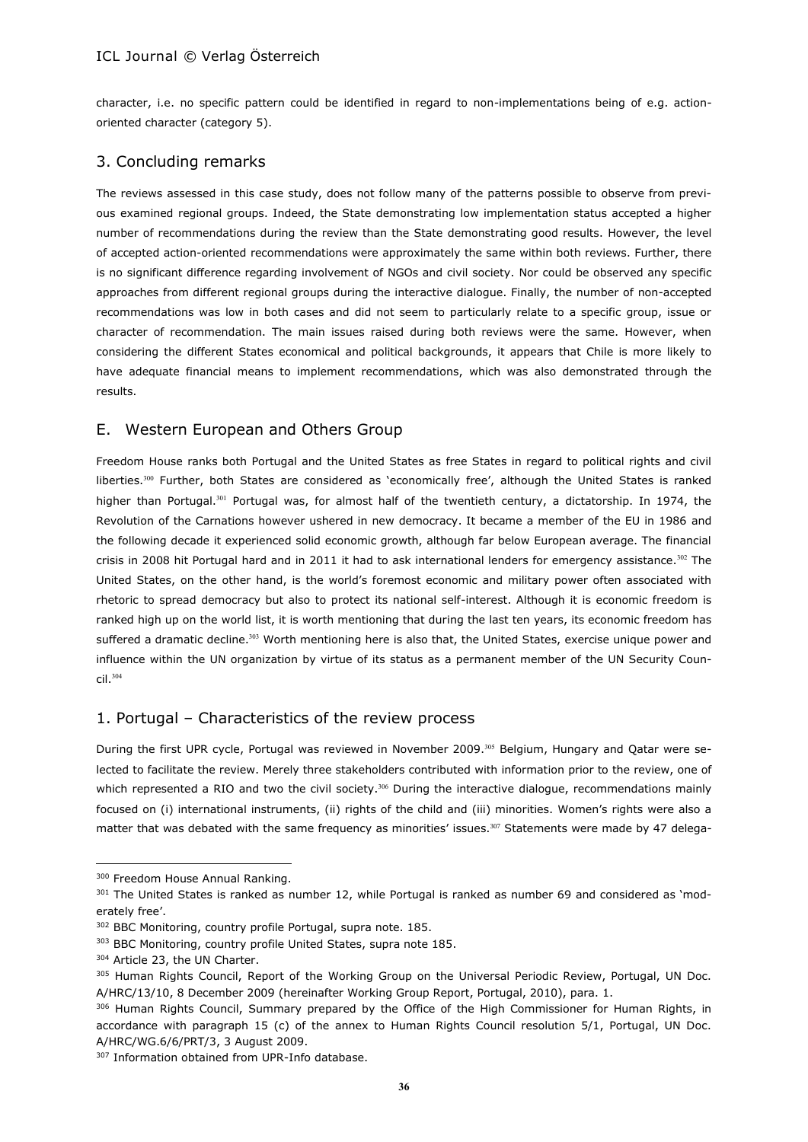character, i.e. no specific pattern could be identified in regard to non-implementations being of e.g. actionoriented character (category 5).

# 3. Concluding remarks

The reviews assessed in this case study, does not follow many of the patterns possible to observe from previous examined regional groups. Indeed, the State demonstrating low implementation status accepted a higher number of recommendations during the review than the State demonstrating good results. However, the level of accepted action-oriented recommendations were approximately the same within both reviews. Further, there is no significant difference regarding involvement of NGOs and civil society. Nor could be observed any specific approaches from different regional groups during the interactive dialogue. Finally, the number of non-accepted recommendations was low in both cases and did not seem to particularly relate to a specific group, issue or character of recommendation. The main issues raised during both reviews were the same. However, when considering the different States economical and political backgrounds, it appears that Chile is more likely to have adequate financial means to implement recommendations, which was also demonstrated through the results.

# E. Western European and Others Group

Freedom House ranks both Portugal and the United States as free States in regard to political rights and civil liberties.<sup>300</sup> Further, both States are considered as 'economically free', although the United States is ranked higher than Portugal.<sup>301</sup> Portugal was, for almost half of the twentieth century, a dictatorship. In 1974, the Revolution of the Carnations however ushered in new democracy. It became a member of the EU in 1986 and the following decade it experienced solid economic growth, although far below European average. The financial crisis in 2008 hit Portugal hard and in 2011 it had to ask international lenders for emergency assistance.<sup>302</sup> The United States, on the other hand, is the world's foremost economic and military power often associated with rhetoric to spread democracy but also to protect its national self-interest. Although it is economic freedom is ranked high up on the world list, it is worth mentioning that during the last ten years, its economic freedom has suffered a dramatic decline.<sup>303</sup> Worth mentioning here is also that, the United States, exercise unique power and influence within the UN organization by virtue of its status as a permanent member of the UN Security Council.<sup>304</sup>

# 1. Portugal – Characteristics of the review process

During the first UPR cycle, Portugal was reviewed in November 2009.<sup>305</sup> Belgium, Hungary and Qatar were selected to facilitate the review. Merely three stakeholders contributed with information prior to the review, one of which represented a RIO and two the civil society.<sup>306</sup> During the interactive dialogue, recommendations mainly focused on (i) international instruments, (ii) rights of the child and (iii) minorities. Women's rights were also a matter that was debated with the same frequency as minorities' issues.<sup>307</sup> Statements were made by 47 delega-

<sup>300</sup> Freedom House Annual Ranking.

<sup>&</sup>lt;sup>301</sup> The United States is ranked as number 12, while Portugal is ranked as number 69 and considered as 'moderately free'.

<sup>302</sup> BBC Monitoring, country profile Portugal, supra note. 185.

<sup>303</sup> BBC Monitoring, country profile United States, supra note 185.

<sup>304</sup> Article 23, the UN Charter.

<sup>305</sup> Human Rights Council, Report of the Working Group on the Universal Periodic Review, Portugal, UN Doc. A/HRC/13/10, 8 December 2009 (hereinafter Working Group Report, Portugal, 2010), para. 1.

<sup>&</sup>lt;sup>306</sup> Human Rights Council, Summary prepared by the Office of the High Commissioner for Human Rights, in accordance with paragraph 15 (c) of the annex to Human Rights Council resolution 5/1, Portugal, UN Doc. A/HRC/WG.6/6/PRT/3, 3 August 2009.

<sup>307</sup> Information obtained from UPR-Info database.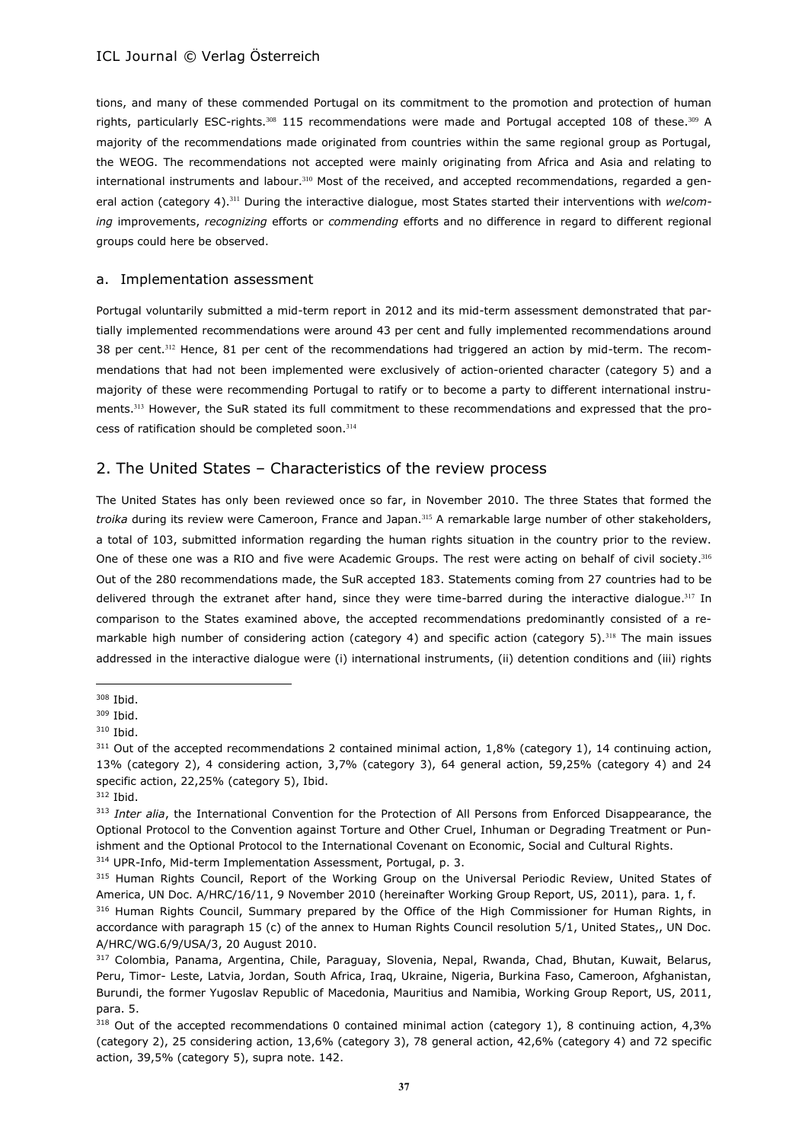tions, and many of these commended Portugal on its commitment to the promotion and protection of human rights, particularly ESC-rights.<sup>308</sup> 115 recommendations were made and Portugal accepted 108 of these.<sup>309</sup> A majority of the recommendations made originated from countries within the same regional group as Portugal, the WEOG. The recommendations not accepted were mainly originating from Africa and Asia and relating to international instruments and labour.<sup>310</sup> Most of the received, and accepted recommendations, regarded a general action (category 4).<sup>311</sup> During the interactive dialogue, most States started their interventions with *welcoming* improvements, *recognizing* efforts or *commending* efforts and no difference in regard to different regional groups could here be observed.

#### a. Implementation assessment

Portugal voluntarily submitted a mid-term report in 2012 and its mid-term assessment demonstrated that partially implemented recommendations were around 43 per cent and fully implemented recommendations around 38 per cent.<sup>312</sup> Hence, 81 per cent of the recommendations had triggered an action by mid-term. The recommendations that had not been implemented were exclusively of action-oriented character (category 5) and a majority of these were recommending Portugal to ratify or to become a party to different international instruments.<sup>313</sup> However, the SuR stated its full commitment to these recommendations and expressed that the process of ratification should be completed soon.<sup>314</sup>

# 2. The United States – Characteristics of the review process

The United States has only been reviewed once so far, in November 2010. The three States that formed the *troika* during its review were Cameroon, France and Japan.<sup>315</sup> A remarkable large number of other stakeholders, a total of 103, submitted information regarding the human rights situation in the country prior to the review. One of these one was a RIO and five were Academic Groups. The rest were acting on behalf of civil society.<sup>316</sup> Out of the 280 recommendations made, the SuR accepted 183. Statements coming from 27 countries had to be delivered through the extranet after hand, since they were time-barred during the interactive dialogue.<sup>317</sup> In comparison to the States examined above, the accepted recommendations predominantly consisted of a remarkable high number of considering action (category 4) and specific action (category 5).<sup>318</sup> The main issues addressed in the interactive dialogue were (i) international instruments, (ii) detention conditions and (iii) rights

<sup>308</sup> Ibid.

<sup>309</sup> Ibid.

<sup>310</sup> Ibid.

<sup>&</sup>lt;sup>311</sup> Out of the accepted recommendations 2 contained minimal action, 1,8% (category 1), 14 continuing action, 13% (category 2), 4 considering action, 3,7% (category 3), 64 general action, 59,25% (category 4) and 24 specific action, 22,25% (category 5), Ibid.

<sup>312</sup> Ibid.

<sup>&</sup>lt;sup>313</sup> Inter alia, the International Convention for the Protection of All Persons from Enforced Disappearance, the Optional Protocol to the Convention against Torture and Other Cruel, Inhuman or Degrading Treatment or Punishment and the Optional Protocol to the International Covenant on Economic, Social and Cultural Rights.

<sup>314</sup> UPR-Info, Mid-term Implementation Assessment, Portugal, p. 3.

<sup>&</sup>lt;sup>315</sup> Human Rights Council, Report of the Working Group on the Universal Periodic Review, United States of America, UN Doc. A/HRC/16/11, 9 November 2010 (hereinafter Working Group Report, US, 2011), para. 1, f.

<sup>&</sup>lt;sup>316</sup> Human Rights Council, Summary prepared by the Office of the High Commissioner for Human Rights, in accordance with paragraph 15 (c) of the annex to Human Rights Council resolution 5/1, United States,, UN Doc. A/HRC/WG.6/9/USA/3, 20 August 2010.

<sup>317</sup> Colombia, Panama, Argentina, Chile, Paraguay, Slovenia, Nepal, Rwanda, Chad, Bhutan, Kuwait, Belarus, Peru, Timor- Leste, Latvia, Jordan, South Africa, Iraq, Ukraine, Nigeria, Burkina Faso, Cameroon, Afghanistan, Burundi, the former Yugoslav Republic of Macedonia, Mauritius and Namibia, Working Group Report, US, 2011, para. 5.

 $318$  Out of the accepted recommendations 0 contained minimal action (category 1), 8 continuing action, 4,3% (category 2), 25 considering action, 13,6% (category 3), 78 general action, 42,6% (category 4) and 72 specific action, 39,5% (category 5), supra note. 142.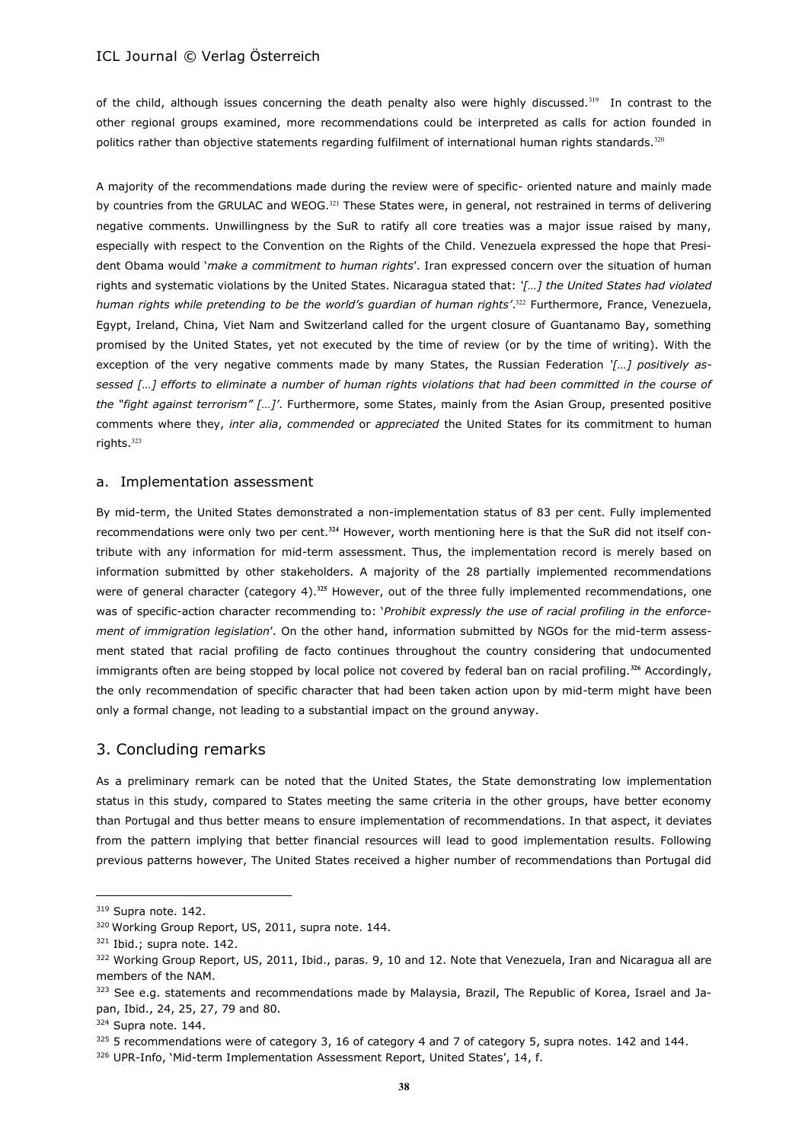of the child, although issues concerning the death penalty also were highly discussed.<sup>319</sup> In contrast to the other regional groups examined, more recommendations could be interpreted as calls for action founded in politics rather than objective statements regarding fulfilment of international human rights standards.<sup>320</sup>

A majority of the recommendations made during the review were of specific- oriented nature and mainly made by countries from the GRULAC and WEOG.<sup>321</sup> These States were, in general, not restrained in terms of delivering negative comments. Unwillingness by the SuR to ratify all core treaties was a major issue raised by many, especially with respect to the Convention on the Rights of the Child. Venezuela expressed the hope that President Obama would '*make a commitment to human rights*'. Iran expressed concern over the situation of human rights and systematic violations by the United States. Nicaragua stated that: *'[…] the United States had violated human rights while pretending to be the world's guardian of human rights'*. <sup>322</sup> Furthermore, France, Venezuela, Egypt, Ireland, China, Viet Nam and Switzerland called for the urgent closure of Guantanamo Bay, something promised by the United States, yet not executed by the time of review (or by the time of writing). With the exception of the very negative comments made by many States, the Russian Federation *'[…] positively assessed […] efforts to eliminate a number of human rights violations that had been committed in the course of the "fight against terrorism" […]'*. Furthermore, some States, mainly from the Asian Group, presented positive comments where they, *inter alia*, *commended* or *appreciated* the United States for its commitment to human rights.<sup>323</sup>

#### a. Implementation assessment

By mid-term, the United States demonstrated a non-implementation status of 83 per cent. Fully implemented recommendations were only two per cent.**<sup>324</sup>** However, worth mentioning here is that the SuR did not itself contribute with any information for mid-term assessment. Thus, the implementation record is merely based on information submitted by other stakeholders. A majority of the 28 partially implemented recommendations were of general character (category 4).**<sup>325</sup>** However, out of the three fully implemented recommendations, one was of specific-action character recommending to: '*Prohibit expressly the use of racial profiling in the enforcement of immigration legislation*'. On the other hand, information submitted by NGOs for the mid-term assessment stated that racial profiling de facto continues throughout the country considering that undocumented immigrants often are being stopped by local police not covered by federal ban on racial profiling.**<sup>326</sup>** Accordingly, the only recommendation of specific character that had been taken action upon by mid-term might have been only a formal change, not leading to a substantial impact on the ground anyway.

# 3. Concluding remarks

As a preliminary remark can be noted that the United States, the State demonstrating low implementation status in this study, compared to States meeting the same criteria in the other groups, have better economy than Portugal and thus better means to ensure implementation of recommendations. In that aspect, it deviates from the pattern implying that better financial resources will lead to good implementation results. Following previous patterns however, The United States received a higher number of recommendations than Portugal did

 $\overline{a}$ 

325 5 recommendations were of category 3, 16 of category 4 and 7 of category 5, supra notes. 142 and 144.

<sup>319</sup> Supra note. 142.

<sup>320</sup> Working Group Report, US, 2011, supra note. 144.

<sup>321</sup> Ibid.; supra note. 142.

<sup>322</sup> Working Group Report, US, 2011, Ibid., paras. 9, 10 and 12. Note that Venezuela, Iran and Nicaragua all are members of the NAM.

<sup>323</sup> See e.g. statements and recommendations made by Malaysia, Brazil, The Republic of Korea, Israel and Japan, Ibid., 24, 25, 27, 79 and 80.

<sup>324</sup> Supra note. 144.

<sup>326</sup> UPR-Info, 'Mid-term Implementation Assessment Report, United States', 14, f.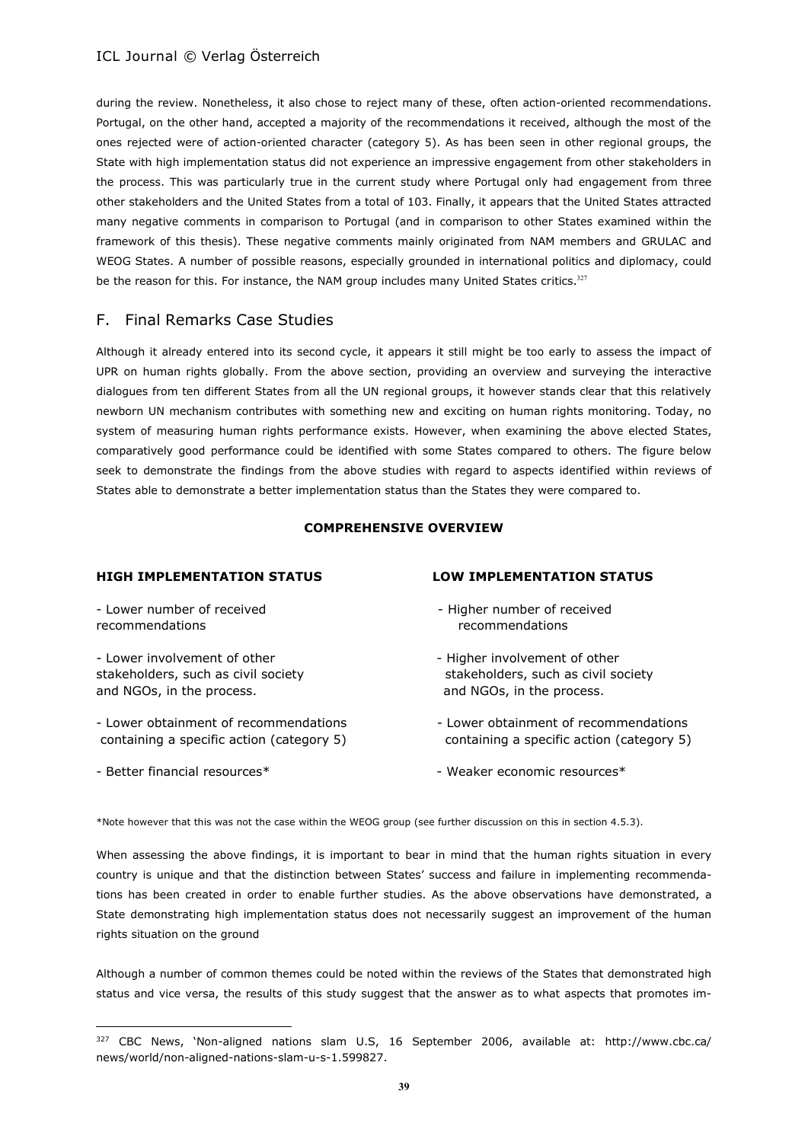during the review. Nonetheless, it also chose to reject many of these, often action-oriented recommendations. Portugal, on the other hand, accepted a majority of the recommendations it received, although the most of the ones rejected were of action-oriented character (category 5). As has been seen in other regional groups, the State with high implementation status did not experience an impressive engagement from other stakeholders in the process. This was particularly true in the current study where Portugal only had engagement from three other stakeholders and the United States from a total of 103. Finally, it appears that the United States attracted many negative comments in comparison to Portugal (and in comparison to other States examined within the framework of this thesis). These negative comments mainly originated from NAM members and GRULAC and WEOG States. A number of possible reasons, especially grounded in international politics and diplomacy, could be the reason for this. For instance, the NAM group includes many United States critics.<sup>327</sup>

# F. Final Remarks Case Studies

Although it already entered into its second cycle, it appears it still might be too early to assess the impact of UPR on human rights globally. From the above section, providing an overview and surveying the interactive dialogues from ten different States from all the UN regional groups, it however stands clear that this relatively newborn UN mechanism contributes with something new and exciting on human rights monitoring. Today, no system of measuring human rights performance exists. However, when examining the above elected States, comparatively good performance could be identified with some States compared to others. The figure below seek to demonstrate the findings from the above studies with regard to aspects identified within reviews of States able to demonstrate a better implementation status than the States they were compared to.

### **COMPREHENSIVE OVERVIEW**

### **HIGH IMPLEMENTATION STATUS LOW IMPLEMENTATION STATUS**

recommendations recommendations

- Lower involvement of other  $\qquad \qquad$  - Higher involvement of other and NGOs, in the process. and NGOs, in the process.

- Lower obtainment of recommendations - Lower obtainment of recommendations

 $\overline{a}$ 

- Lower number of received  $\overline{\phantom{a}}$  Higher number of received
- stakeholders, such as civil society stakeholders, such as civil society
- containing a specific action (category 5) containing a specific action (category 5)
- Better financial resources\*  $\sim$  Weaker economic resources\*

\*Note however that this was not the case within the WEOG group (see further discussion on this in section 4.5.3).

When assessing the above findings, it is important to bear in mind that the human rights situation in every country is unique and that the distinction between States' success and failure in implementing recommendations has been created in order to enable further studies. As the above observations have demonstrated, a State demonstrating high implementation status does not necessarily suggest an improvement of the human rights situation on the ground

Although a number of common themes could be noted within the reviews of the States that demonstrated high status and vice versa, the results of this study suggest that the answer as to what aspects that promotes im-

<sup>327</sup> CBC News, 'Non-aligned nations slam U.S, 16 September 2006, available at: http://www.cbc.ca/ news/world/non-aligned-nations-slam-u-s-1.599827.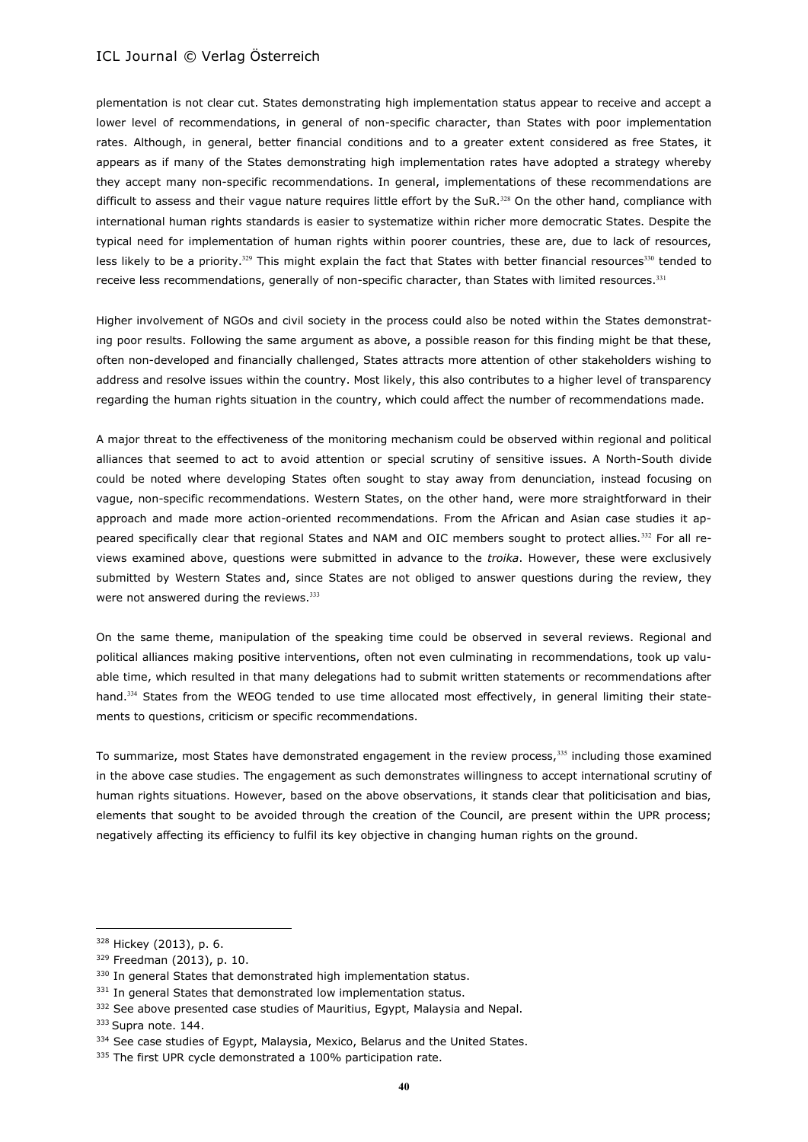plementation is not clear cut. States demonstrating high implementation status appear to receive and accept a lower level of recommendations, in general of non-specific character, than States with poor implementation rates. Although, in general, better financial conditions and to a greater extent considered as free States, it appears as if many of the States demonstrating high implementation rates have adopted a strategy whereby they accept many non-specific recommendations. In general, implementations of these recommendations are difficult to assess and their vague nature requires little effort by the SuR.<sup>328</sup> On the other hand, compliance with international human rights standards is easier to systematize within richer more democratic States. Despite the typical need for implementation of human rights within poorer countries, these are, due to lack of resources, less likely to be a priority.<sup>329</sup> This might explain the fact that States with better financial resources<sup>330</sup> tended to receive less recommendations, generally of non-specific character, than States with limited resources.<sup>331</sup>

Higher involvement of NGOs and civil society in the process could also be noted within the States demonstrating poor results. Following the same argument as above, a possible reason for this finding might be that these, often non-developed and financially challenged, States attracts more attention of other stakeholders wishing to address and resolve issues within the country. Most likely, this also contributes to a higher level of transparency regarding the human rights situation in the country, which could affect the number of recommendations made.

A major threat to the effectiveness of the monitoring mechanism could be observed within regional and political alliances that seemed to act to avoid attention or special scrutiny of sensitive issues. A North-South divide could be noted where developing States often sought to stay away from denunciation, instead focusing on vague, non-specific recommendations. Western States, on the other hand, were more straightforward in their approach and made more action-oriented recommendations. From the African and Asian case studies it appeared specifically clear that regional States and NAM and OIC members sought to protect allies.<sup>332</sup> For all reviews examined above, questions were submitted in advance to the *troika*. However, these were exclusively submitted by Western States and, since States are not obliged to answer questions during the review, they were not answered during the reviews. 333

On the same theme, manipulation of the speaking time could be observed in several reviews. Regional and political alliances making positive interventions, often not even culminating in recommendations, took up valuable time, which resulted in that many delegations had to submit written statements or recommendations after hand.<sup>334</sup> States from the WEOG tended to use time allocated most effectively, in general limiting their statements to questions, criticism or specific recommendations.

To summarize, most States have demonstrated engagement in the review process,<sup>335</sup> including those examined in the above case studies. The engagement as such demonstrates willingness to accept international scrutiny of human rights situations. However, based on the above observations, it stands clear that politicisation and bias, elements that sought to be avoided through the creation of the Council, are present within the UPR process; negatively affecting its efficiency to fulfil its key objective in changing human rights on the ground.

<sup>328</sup> Hickey (2013), p. 6.

<sup>329</sup> Freedman (2013), p. 10.

<sup>330</sup> In general States that demonstrated high implementation status.

<sup>331</sup> In general States that demonstrated low implementation status.

<sup>332</sup> See above presented case studies of Mauritius, Egypt, Malaysia and Nepal.

<sup>333</sup> Supra note. 144.

<sup>334</sup> See case studies of Egypt, Malaysia, Mexico, Belarus and the United States.

<sup>335</sup> The first UPR cycle demonstrated a 100% participation rate.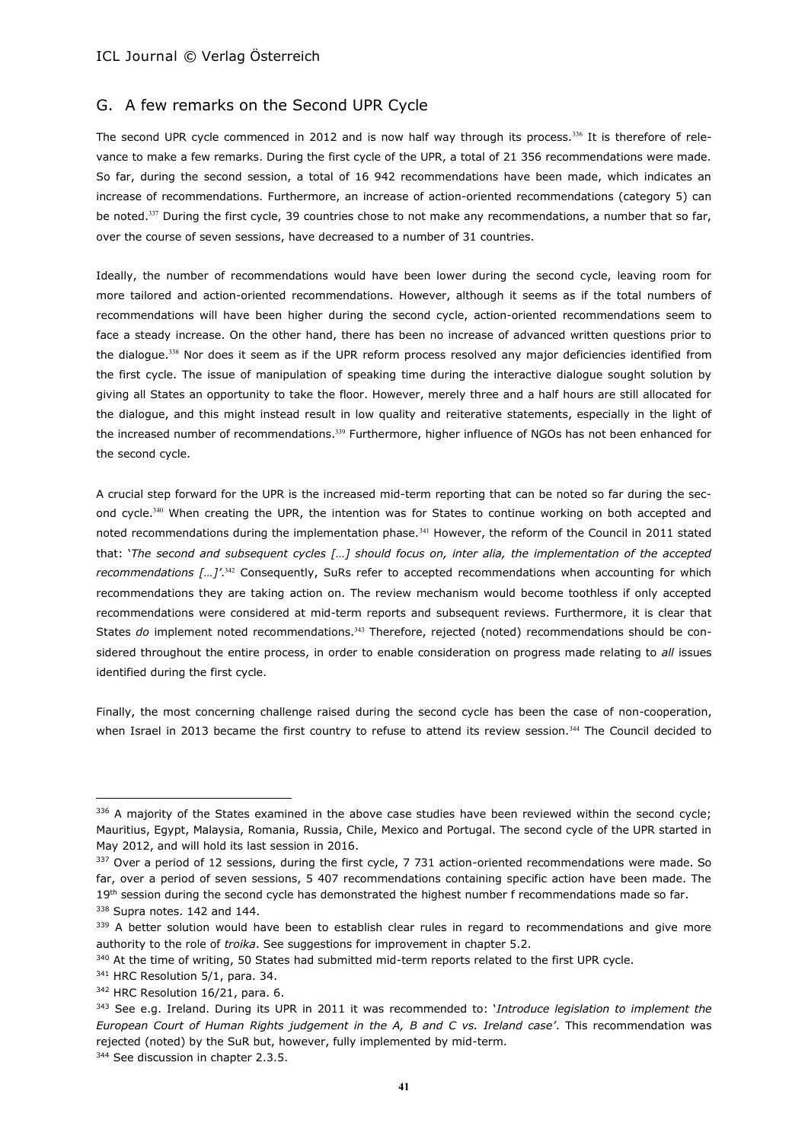# G. A few remarks on the Second UPR Cycle

The second UPR cycle commenced in 2012 and is now half way through its process.<sup>336</sup> It is therefore of relevance to make a few remarks. During the first cycle of the UPR, a total of 21 356 recommendations were made. So far, during the second session, a total of 16 942 recommendations have been made, which indicates an increase of recommendations. Furthermore, an increase of action-oriented recommendations (category 5) can be noted.<sup>337</sup> During the first cycle, 39 countries chose to not make any recommendations, a number that so far, over the course of seven sessions, have decreased to a number of 31 countries.

Ideally, the number of recommendations would have been lower during the second cycle, leaving room for more tailored and action-oriented recommendations. However, although it seems as if the total numbers of recommendations will have been higher during the second cycle, action-oriented recommendations seem to face a steady increase. On the other hand, there has been no increase of advanced written questions prior to the dialogue.<sup>338</sup> Nor does it seem as if the UPR reform process resolved any major deficiencies identified from the first cycle. The issue of manipulation of speaking time during the interactive dialogue sought solution by giving all States an opportunity to take the floor. However, merely three and a half hours are still allocated for the dialogue, and this might instead result in low quality and reiterative statements, especially in the light of the increased number of recommendations.<sup>339</sup> Furthermore, higher influence of NGOs has not been enhanced for the second cycle.

A crucial step forward for the UPR is the increased mid-term reporting that can be noted so far during the second cycle.<sup>340</sup> When creating the UPR, the intention was for States to continue working on both accepted and noted recommendations during the implementation phase.<sup>341</sup> However, the reform of the Council in 2011 stated that: '*The second and subsequent cycles […] should focus on, inter alia, the implementation of the accepted recommendations […]'*. <sup>342</sup> Consequently, SuRs refer to accepted recommendations when accounting for which recommendations they are taking action on. The review mechanism would become toothless if only accepted recommendations were considered at mid-term reports and subsequent reviews. Furthermore, it is clear that States *do* implement noted recommendations.<sup>343</sup> Therefore, rejected (noted) recommendations should be considered throughout the entire process, in order to enable consideration on progress made relating to *all* issues identified during the first cycle.

Finally, the most concerning challenge raised during the second cycle has been the case of non-cooperation, when Israel in 2013 became the first country to refuse to attend its review session.<sup>344</sup> The Council decided to

<sup>336</sup> A majority of the States examined in the above case studies have been reviewed within the second cycle; Mauritius, Egypt, Malaysia, Romania, Russia, Chile, Mexico and Portugal. The second cycle of the UPR started in May 2012, and will hold its last session in 2016.

<sup>337</sup> Over a period of 12 sessions, during the first cycle, 7 731 action-oriented recommendations were made. So far, over a period of seven sessions, 5 407 recommendations containing specific action have been made. The 19<sup>th</sup> session during the second cycle has demonstrated the highest number f recommendations made so far. 338 Supra notes. 142 and 144.

<sup>339</sup> A better solution would have been to establish clear rules in regard to recommendations and give more authority to the role of *troika*. See suggestions for improvement in chapter 5.2.

<sup>&</sup>lt;sup>340</sup> At the time of writing, 50 States had submitted mid-term reports related to the first UPR cycle.

<sup>&</sup>lt;sup>341</sup> HRC Resolution 5/1, para. 34.

<sup>342</sup> HRC Resolution 16/21, para. 6.

<sup>343</sup> See e.g. Ireland. During its UPR in 2011 it was recommended to: '*Introduce legislation to implement the European Court of Human Rights judgement in the A, B and C vs. Ireland case'*. This recommendation was rejected (noted) by the SuR but, however, fully implemented by mid-term.

<sup>&</sup>lt;sup>344</sup> See discussion in chapter 2.3.5.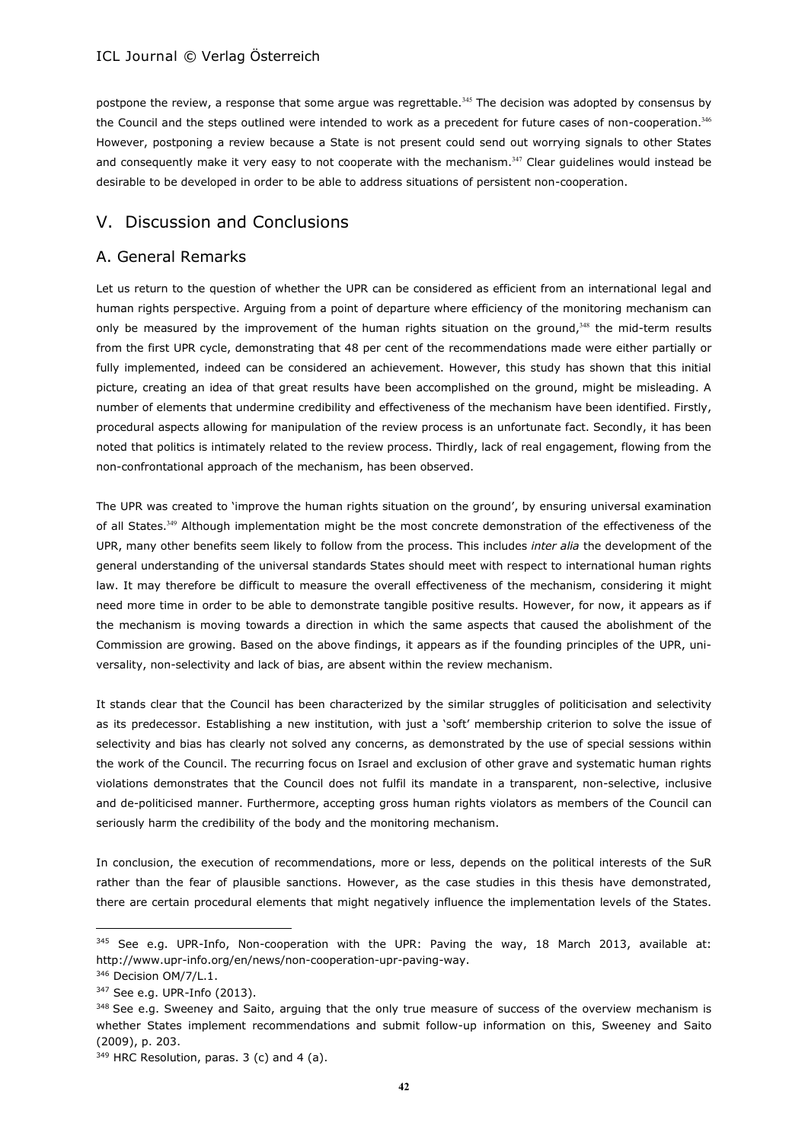postpone the review, a response that some argue was regrettable.<sup>345</sup> The decision was adopted by consensus by the Council and the steps outlined were intended to work as a precedent for future cases of non-cooperation.<sup>346</sup> However, postponing a review because a State is not present could send out worrying signals to other States and consequently make it very easy to not cooperate with the mechanism.<sup>347</sup> Clear guidelines would instead be desirable to be developed in order to be able to address situations of persistent non-cooperation.

# V. Discussion and Conclusions

# A. General Remarks

Let us return to the question of whether the UPR can be considered as efficient from an international legal and human rights perspective. Arguing from a point of departure where efficiency of the monitoring mechanism can only be measured by the improvement of the human rights situation on the ground, $348$  the mid-term results from the first UPR cycle, demonstrating that 48 per cent of the recommendations made were either partially or fully implemented, indeed can be considered an achievement. However, this study has shown that this initial picture, creating an idea of that great results have been accomplished on the ground, might be misleading. A number of elements that undermine credibility and effectiveness of the mechanism have been identified. Firstly, procedural aspects allowing for manipulation of the review process is an unfortunate fact. Secondly, it has been noted that politics is intimately related to the review process. Thirdly, lack of real engagement, flowing from the non-confrontational approach of the mechanism, has been observed.

The UPR was created to 'improve the human rights situation on the ground', by ensuring universal examination of all States.<sup>349</sup> Although implementation might be the most concrete demonstration of the effectiveness of the UPR, many other benefits seem likely to follow from the process. This includes *inter alia* the development of the general understanding of the universal standards States should meet with respect to international human rights law. It may therefore be difficult to measure the overall effectiveness of the mechanism, considering it might need more time in order to be able to demonstrate tangible positive results. However, for now, it appears as if the mechanism is moving towards a direction in which the same aspects that caused the abolishment of the Commission are growing. Based on the above findings, it appears as if the founding principles of the UPR, universality, non-selectivity and lack of bias, are absent within the review mechanism.

It stands clear that the Council has been characterized by the similar struggles of politicisation and selectivity as its predecessor. Establishing a new institution, with just a 'soft' membership criterion to solve the issue of selectivity and bias has clearly not solved any concerns, as demonstrated by the use of special sessions within the work of the Council. The recurring focus on Israel and exclusion of other grave and systematic human rights violations demonstrates that the Council does not fulfil its mandate in a transparent, non-selective, inclusive and de-politicised manner. Furthermore, accepting gross human rights violators as members of the Council can seriously harm the credibility of the body and the monitoring mechanism.

In conclusion, the execution of recommendations, more or less, depends on the political interests of the SuR rather than the fear of plausible sanctions. However, as the case studies in this thesis have demonstrated, there are certain procedural elements that might negatively influence the implementation levels of the States.

 $\overline{\phantom{a}}$ 

 $345$  See e.g. UPR-Info, Non-cooperation with the UPR: Paving the way, 18 March 2013, available at: http://www.upr-info.org/en/news/non-cooperation-upr-paving-way.

<sup>346</sup> Decision OM/7/L.1.

<sup>347</sup> See e.g. UPR-Info (2013).

<sup>&</sup>lt;sup>348</sup> See e.g. Sweeney and Saito, arguing that the only true measure of success of the overview mechanism is whether States implement recommendations and submit follow-up information on this, Sweeney and Saito (2009), p. 203.

 $349$  HRC Resolution, paras. 3 (c) and 4 (a).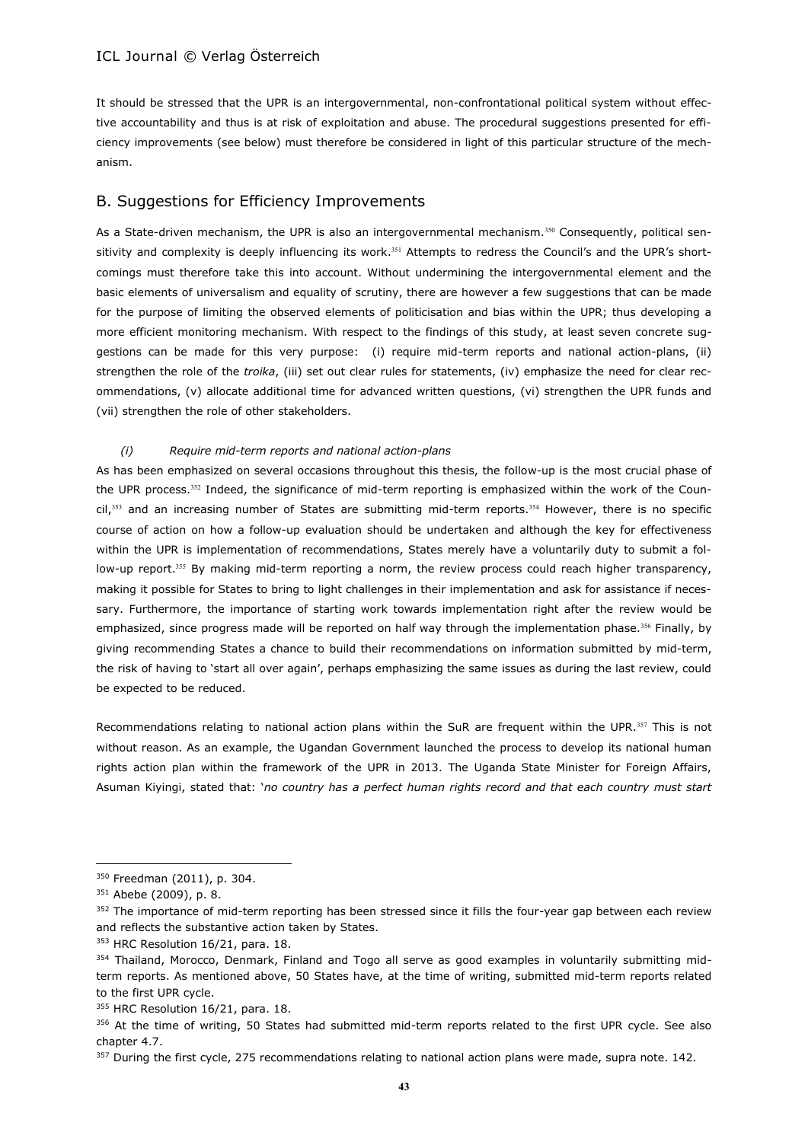It should be stressed that the UPR is an intergovernmental, non-confrontational political system without effective accountability and thus is at risk of exploitation and abuse. The procedural suggestions presented for efficiency improvements (see below) must therefore be considered in light of this particular structure of the mechanism.

# B. Suggestions for Efficiency Improvements

As a State-driven mechanism, the UPR is also an intergovernmental mechanism.<sup>350</sup> Consequently, political sensitivity and complexity is deeply influencing its work.<sup>351</sup> Attempts to redress the Council's and the UPR's shortcomings must therefore take this into account. Without undermining the intergovernmental element and the basic elements of universalism and equality of scrutiny, there are however a few suggestions that can be made for the purpose of limiting the observed elements of politicisation and bias within the UPR; thus developing a more efficient monitoring mechanism. With respect to the findings of this study, at least seven concrete suggestions can be made for this very purpose: (i) require mid-term reports and national action-plans, (ii) strengthen the role of the *troika*, (iii) set out clear rules for statements, (iv) emphasize the need for clear recommendations, (v) allocate additional time for advanced written questions, (vi) strengthen the UPR funds and (vii) strengthen the role of other stakeholders.

#### *(i) Require mid-term reports and national action-plans*

As has been emphasized on several occasions throughout this thesis, the follow-up is the most crucial phase of the UPR process.<sup>352</sup> Indeed, the significance of mid-term reporting is emphasized within the work of the Council,<sup>353</sup> and an increasing number of States are submitting mid-term reports.<sup>354</sup> However, there is no specific course of action on how a follow-up evaluation should be undertaken and although the key for effectiveness within the UPR is implementation of recommendations, States merely have a voluntarily duty to submit a follow-up report.<sup>355</sup> By making mid-term reporting a norm, the review process could reach higher transparency, making it possible for States to bring to light challenges in their implementation and ask for assistance if necessary. Furthermore, the importance of starting work towards implementation right after the review would be emphasized, since progress made will be reported on half way through the implementation phase.<sup>356</sup> Finally, by giving recommending States a chance to build their recommendations on information submitted by mid-term, the risk of having to 'start all over again', perhaps emphasizing the same issues as during the last review, could be expected to be reduced.

Recommendations relating to national action plans within the SuR are frequent within the UPR.<sup>357</sup> This is not without reason. As an example, the Ugandan Government launched the process to develop its national human rights action plan within the framework of the UPR in 2013. The Uganda State Minister for Foreign Affairs, Asuman Kiyingi, stated that: '*no country has a perfect human rights record and that each country must start* 

 $\overline{\phantom{a}}$ 

<sup>350</sup> Freedman (2011), p. 304.

<sup>&</sup>lt;sup>351</sup> Abebe (2009), p. 8.

<sup>352</sup> The importance of mid-term reporting has been stressed since it fills the four-year gap between each review and reflects the substantive action taken by States.

<sup>353</sup> HRC Resolution 16/21, para. 18.

<sup>&</sup>lt;sup>354</sup> Thailand, Morocco, Denmark, Finland and Togo all serve as good examples in voluntarily submitting midterm reports. As mentioned above, 50 States have, at the time of writing, submitted mid-term reports related to the first UPR cycle.

<sup>&</sup>lt;sup>355</sup> HRC Resolution 16/21, para. 18.

<sup>356</sup> At the time of writing, 50 States had submitted mid-term reports related to the first UPR cycle. See also chapter 4.7.

<sup>&</sup>lt;sup>357</sup> During the first cycle, 275 recommendations relating to national action plans were made, supra note. 142.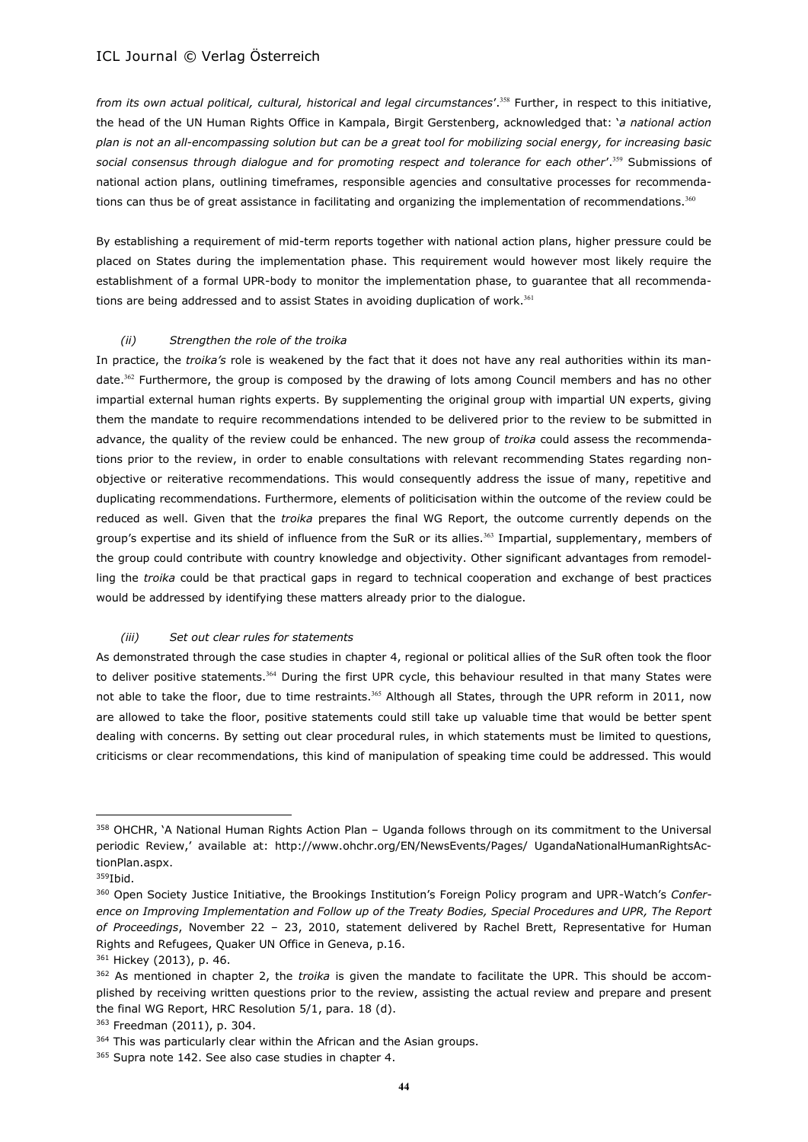*from its own actual political, cultural, historical and legal circumstances*'.<sup>358</sup> Further, in respect to this initiative, the head of the UN Human Rights Office in Kampala, Birgit Gerstenberg, acknowledged that: '*a national action plan is not an all-encompassing solution but can be a great tool for mobilizing social energy, for increasing basic social consensus through dialogue and for promoting respect and tolerance for each other*'.<sup>359</sup> Submissions of national action plans, outlining timeframes, responsible agencies and consultative processes for recommendations can thus be of great assistance in facilitating and organizing the implementation of recommendations.<sup>360</sup>

By establishing a requirement of mid-term reports together with national action plans, higher pressure could be placed on States during the implementation phase. This requirement would however most likely require the establishment of a formal UPR-body to monitor the implementation phase, to guarantee that all recommendations are being addressed and to assist States in avoiding duplication of work.<sup>361</sup>

#### *(ii) Strengthen the role of the troika*

In practice, the *troika's* role is weakened by the fact that it does not have any real authorities within its mandate.<sup>362</sup> Furthermore, the group is composed by the drawing of lots among Council members and has no other impartial external human rights experts. By supplementing the original group with impartial UN experts, giving them the mandate to require recommendations intended to be delivered prior to the review to be submitted in advance, the quality of the review could be enhanced. The new group of *troika* could assess the recommendations prior to the review, in order to enable consultations with relevant recommending States regarding nonobjective or reiterative recommendations. This would consequently address the issue of many, repetitive and duplicating recommendations. Furthermore, elements of politicisation within the outcome of the review could be reduced as well. Given that the *troika* prepares the final WG Report, the outcome currently depends on the group's expertise and its shield of influence from the SuR or its allies.<sup>363</sup> Impartial, supplementary, members of the group could contribute with country knowledge and objectivity. Other significant advantages from remodelling the *troika* could be that practical gaps in regard to technical cooperation and exchange of best practices would be addressed by identifying these matters already prior to the dialogue.

#### *(iii) Set out clear rules for statements*

As demonstrated through the case studies in chapter 4, regional or political allies of the SuR often took the floor to deliver positive statements.<sup>364</sup> During the first UPR cycle, this behaviour resulted in that many States were not able to take the floor, due to time restraints.<sup>365</sup> Although all States, through the UPR reform in 2011, now are allowed to take the floor, positive statements could still take up valuable time that would be better spent dealing with concerns. By setting out clear procedural rules, in which statements must be limited to questions, criticisms or clear recommendations, this kind of manipulation of speaking time could be addressed. This would

 $\overline{\phantom{a}}$ 

<sup>361</sup> Hickey (2013), p. 46.

<sup>358</sup> OHCHR, 'A National Human Rights Action Plan – Uganda follows through on its commitment to the Universal periodic Review,' available at: http://www.ohchr.org/EN/NewsEvents/Pages/ UgandaNationalHumanRightsActionPlan.aspx.

<sup>359</sup>Ibid.

<sup>360</sup> Open Society Justice Initiative, the Brookings Institution's Foreign Policy program and UPR-Watch's *Conference on Improving Implementation and Follow up of the Treaty Bodies, Special Procedures and UPR, The Report of Proceedings*, November 22 – 23, 2010, statement delivered by Rachel Brett, Representative for Human Rights and Refugees, Quaker UN Office in Geneva, p.16.

<sup>362</sup> As mentioned in chapter 2, the *troika* is given the mandate to facilitate the UPR. This should be accomplished by receiving written questions prior to the review, assisting the actual review and prepare and present the final WG Report, HRC Resolution 5/1, para. 18 (d).

<sup>363</sup> Freedman (2011), p. 304.

<sup>&</sup>lt;sup>364</sup> This was particularly clear within the African and the Asian groups.

<sup>365</sup> Supra note 142. See also case studies in chapter 4.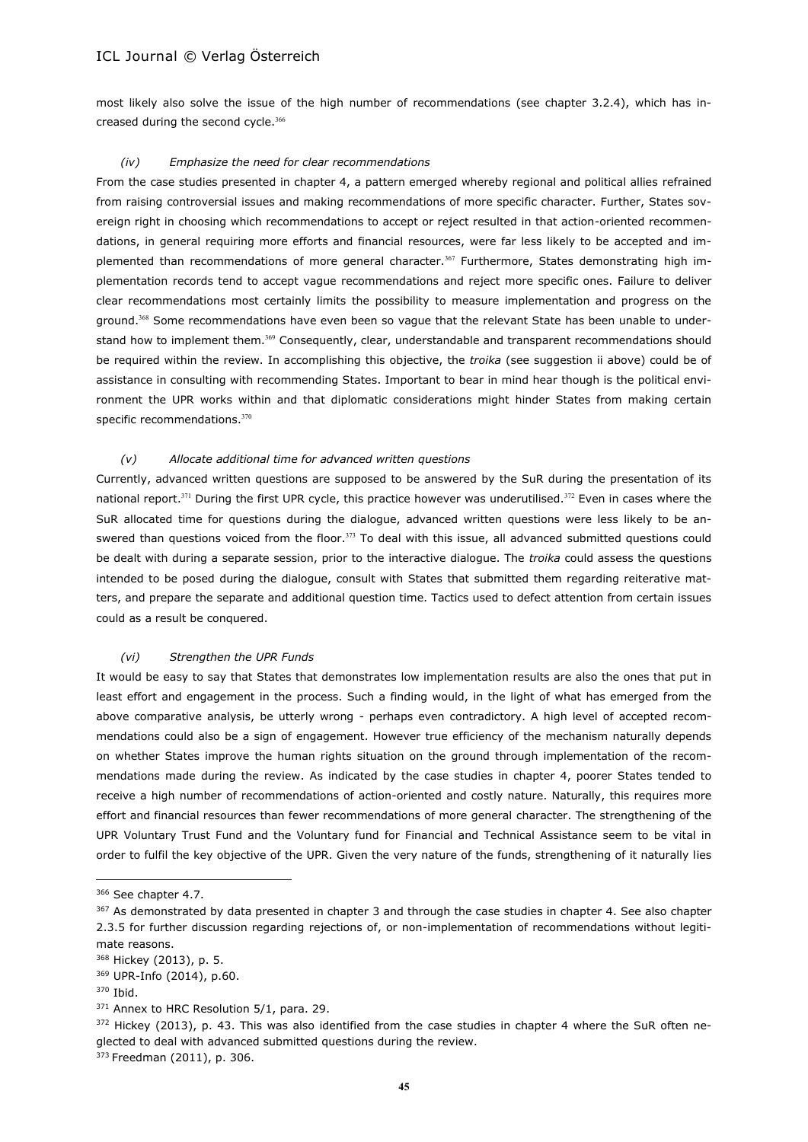most likely also solve the issue of the high number of recommendations (see chapter 3.2.4), which has increased during the second cycle.<sup>366</sup>

#### *(iv) Emphasize the need for clear recommendations*

From the case studies presented in chapter 4, a pattern emerged whereby regional and political allies refrained from raising controversial issues and making recommendations of more specific character. Further, States sovereign right in choosing which recommendations to accept or reject resulted in that action-oriented recommendations, in general requiring more efforts and financial resources, were far less likely to be accepted and implemented than recommendations of more general character.<sup>367</sup> Furthermore, States demonstrating high implementation records tend to accept vague recommendations and reject more specific ones. Failure to deliver clear recommendations most certainly limits the possibility to measure implementation and progress on the ground.<sup>368</sup> Some recommendations have even been so vague that the relevant State has been unable to understand how to implement them.<sup>369</sup> Consequently, clear, understandable and transparent recommendations should be required within the review. In accomplishing this objective, the *troika* (see suggestion ii above) could be of assistance in consulting with recommending States. Important to bear in mind hear though is the political environment the UPR works within and that diplomatic considerations might hinder States from making certain specific recommendations.<sup>370</sup>

#### *(v) Allocate additional time for advanced written questions*

Currently, advanced written questions are supposed to be answered by the SuR during the presentation of its national report.<sup>371</sup> During the first UPR cycle, this practice however was underutilised.<sup>372</sup> Even in cases where the SuR allocated time for questions during the dialogue, advanced written questions were less likely to be answered than questions voiced from the floor.<sup>373</sup> To deal with this issue, all advanced submitted questions could be dealt with during a separate session, prior to the interactive dialogue. The *troika* could assess the questions intended to be posed during the dialogue, consult with States that submitted them regarding reiterative matters, and prepare the separate and additional question time. Tactics used to defect attention from certain issues could as a result be conquered.

#### *(vi) Strengthen the UPR Funds*

It would be easy to say that States that demonstrates low implementation results are also the ones that put in least effort and engagement in the process. Such a finding would, in the light of what has emerged from the above comparative analysis, be utterly wrong - perhaps even contradictory. A high level of accepted recommendations could also be a sign of engagement. However true efficiency of the mechanism naturally depends on whether States improve the human rights situation on the ground through implementation of the recommendations made during the review. As indicated by the case studies in chapter 4, poorer States tended to receive a high number of recommendations of action-oriented and costly nature. Naturally, this requires more effort and financial resources than fewer recommendations of more general character. The strengthening of the UPR Voluntary Trust Fund and the Voluntary fund for Financial and Technical Assistance seem to be vital in order to fulfil the key objective of the UPR. Given the very nature of the funds, strengthening of it naturally lies

 $\overline{\phantom{a}}$ 

<sup>366</sup> See chapter 4.7.

<sup>367</sup> As demonstrated by data presented in chapter 3 and through the case studies in chapter 4. See also chapter 2.3.5 for further discussion regarding rejections of, or non-implementation of recommendations without legitimate reasons.

<sup>368</sup> Hickey (2013), p. 5.

<sup>369</sup> UPR-Info (2014), p.60.

<sup>370</sup> Ibid.

<sup>&</sup>lt;sup>371</sup> Annex to HRC Resolution 5/1, para. 29.

<sup>372</sup> Hickey (2013), p. 43. This was also identified from the case studies in chapter 4 where the SuR often neglected to deal with advanced submitted questions during the review.

<sup>373</sup> Freedman (2011), p. 306.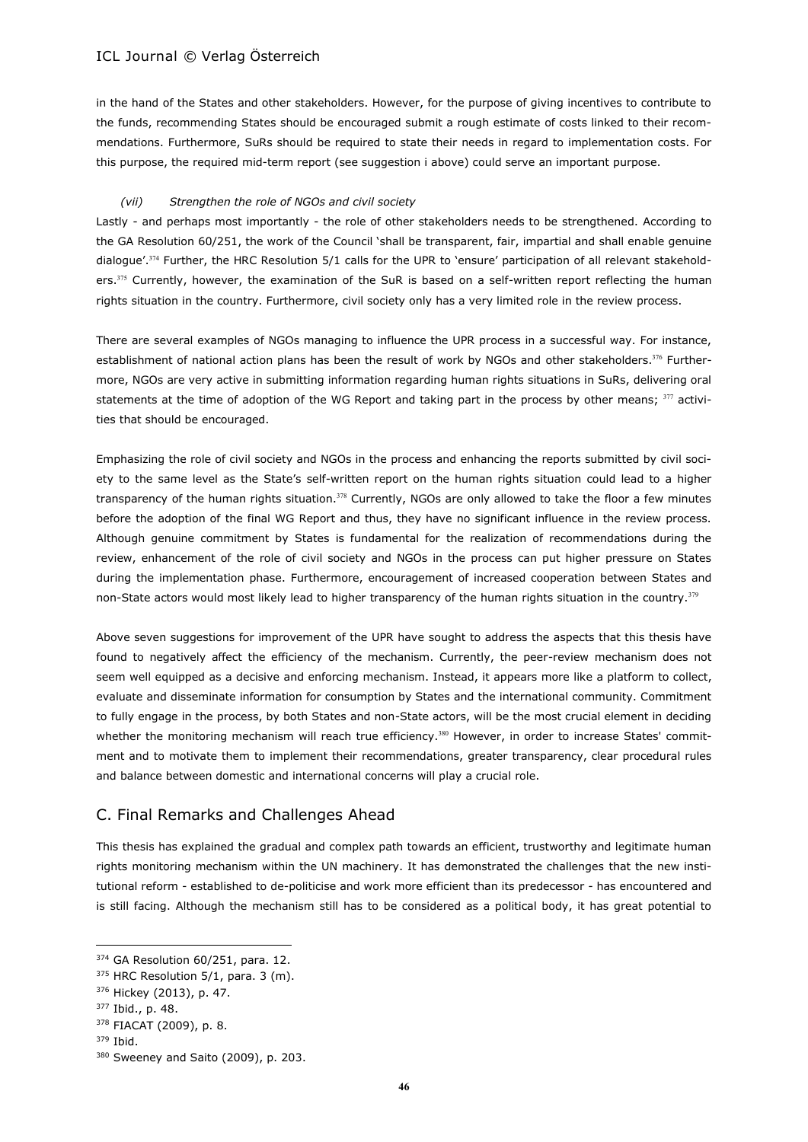in the hand of the States and other stakeholders. However, for the purpose of giving incentives to contribute to the funds, recommending States should be encouraged submit a rough estimate of costs linked to their recommendations. Furthermore, SuRs should be required to state their needs in regard to implementation costs. For this purpose, the required mid-term report (see suggestion i above) could serve an important purpose.

### *(vii) Strengthen the role of NGOs and civil society*

Lastly - and perhaps most importantly - the role of other stakeholders needs to be strengthened. According to the GA Resolution 60/251, the work of the Council 'shall be transparent, fair, impartial and shall enable genuine dialogue'.<sup>374</sup> Further, the HRC Resolution 5/1 calls for the UPR to 'ensure' participation of all relevant stakeholders.<sup>375</sup> Currently, however, the examination of the SuR is based on a self-written report reflecting the human rights situation in the country. Furthermore, civil society only has a very limited role in the review process.

There are several examples of NGOs managing to influence the UPR process in a successful way. For instance, establishment of national action plans has been the result of work by NGOs and other stakeholders.<sup>376</sup> Furthermore, NGOs are very active in submitting information regarding human rights situations in SuRs, delivering oral statements at the time of adoption of the WG Report and taking part in the process by other means;  $377$  activities that should be encouraged.

Emphasizing the role of civil society and NGOs in the process and enhancing the reports submitted by civil society to the same level as the State's self-written report on the human rights situation could lead to a higher transparency of the human rights situation.<sup>378</sup> Currently, NGOs are only allowed to take the floor a few minutes before the adoption of the final WG Report and thus, they have no significant influence in the review process. Although genuine commitment by States is fundamental for the realization of recommendations during the review, enhancement of the role of civil society and NGOs in the process can put higher pressure on States during the implementation phase. Furthermore, encouragement of increased cooperation between States and non-State actors would most likely lead to higher transparency of the human rights situation in the country.<sup>379</sup>

Above seven suggestions for improvement of the UPR have sought to address the aspects that this thesis have found to negatively affect the efficiency of the mechanism. Currently, the peer-review mechanism does not seem well equipped as a decisive and enforcing mechanism. Instead, it appears more like a platform to collect, evaluate and disseminate information for consumption by States and the international community. Commitment to fully engage in the process, by both States and non-State actors, will be the most crucial element in deciding whether the monitoring mechanism will reach true efficiency.<sup>380</sup> However, in order to increase States' commitment and to motivate them to implement their recommendations, greater transparency, clear procedural rules and balance between domestic and international concerns will play a crucial role.

# C. Final Remarks and Challenges Ahead

This thesis has explained the gradual and complex path towards an efficient, trustworthy and legitimate human rights monitoring mechanism within the UN machinery. It has demonstrated the challenges that the new institutional reform - established to de-politicise and work more efficient than its predecessor - has encountered and is still facing. Although the mechanism still has to be considered as a political body, it has great potential to

<sup>&</sup>lt;sup>374</sup> GA Resolution 60/251, para. 12.

 $375$  HRC Resolution 5/1, para. 3 (m).

<sup>376</sup> Hickey (2013), p. 47.

<sup>377</sup> Ibid., p. 48.

<sup>378</sup> FIACAT (2009), p. 8.

<sup>379</sup> Ibid.

<sup>380</sup> Sweeney and Saito (2009), p. 203.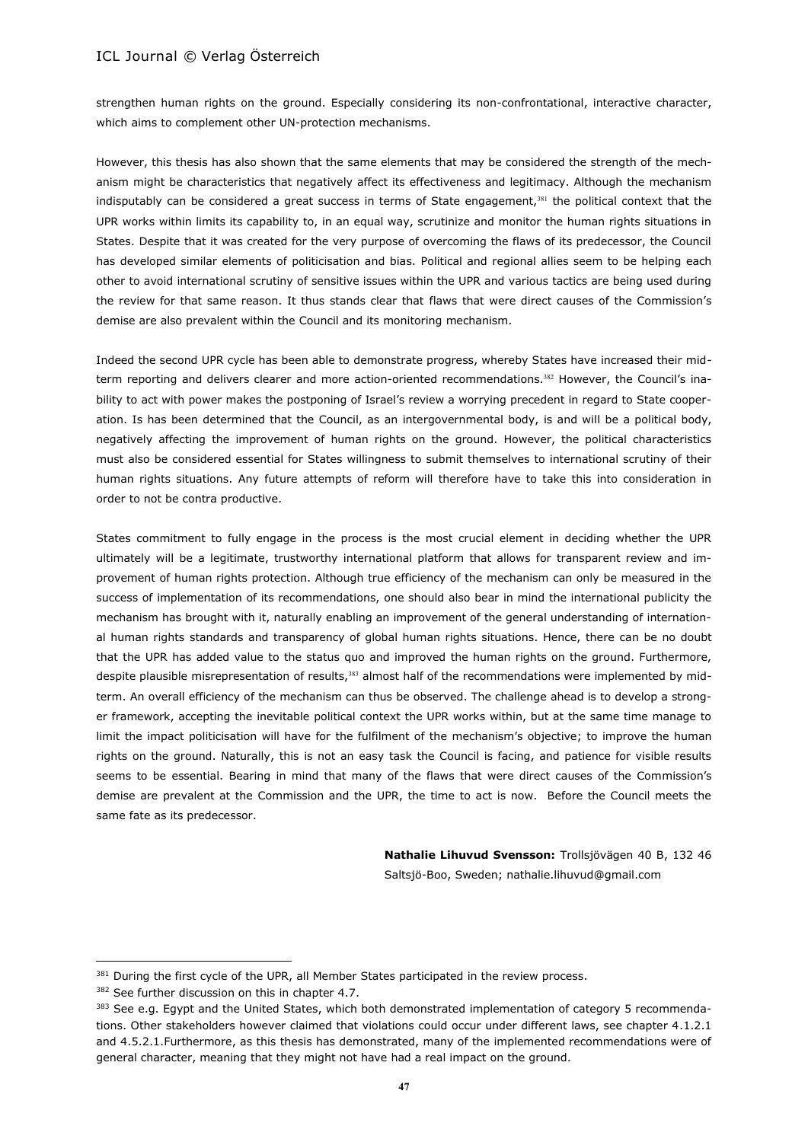strengthen human rights on the ground. Especially considering its non-confrontational, interactive character, which aims to complement other UN-protection mechanisms.

However, this thesis has also shown that the same elements that may be considered the strength of the mechanism might be characteristics that negatively affect its effectiveness and legitimacy. Although the mechanism indisputably can be considered a great success in terms of State engagement, $381$  the political context that the UPR works within limits its capability to, in an equal way, scrutinize and monitor the human rights situations in States. Despite that it was created for the very purpose of overcoming the flaws of its predecessor, the Council has developed similar elements of politicisation and bias. Political and regional allies seem to be helping each other to avoid international scrutiny of sensitive issues within the UPR and various tactics are being used during the review for that same reason. It thus stands clear that flaws that were direct causes of the Commission's demise are also prevalent within the Council and its monitoring mechanism.

Indeed the second UPR cycle has been able to demonstrate progress, whereby States have increased their midterm reporting and delivers clearer and more action-oriented recommendations.<sup>382</sup> However, the Council's inability to act with power makes the postponing of Israel's review a worrying precedent in regard to State cooperation. Is has been determined that the Council, as an intergovernmental body, is and will be a political body, negatively affecting the improvement of human rights on the ground. However, the political characteristics must also be considered essential for States willingness to submit themselves to international scrutiny of their human rights situations. Any future attempts of reform will therefore have to take this into consideration in order to not be contra productive.

States commitment to fully engage in the process is the most crucial element in deciding whether the UPR ultimately will be a legitimate, trustworthy international platform that allows for transparent review and improvement of human rights protection. Although true efficiency of the mechanism can only be measured in the success of implementation of its recommendations, one should also bear in mind the international publicity the mechanism has brought with it, naturally enabling an improvement of the general understanding of international human rights standards and transparency of global human rights situations. Hence, there can be no doubt that the UPR has added value to the status quo and improved the human rights on the ground. Furthermore, despite plausible misrepresentation of results,<sup>383</sup> almost half of the recommendations were implemented by midterm. An overall efficiency of the mechanism can thus be observed. The challenge ahead is to develop a stronger framework, accepting the inevitable political context the UPR works within, but at the same time manage to limit the impact politicisation will have for the fulfilment of the mechanism's objective; to improve the human rights on the ground. Naturally, this is not an easy task the Council is facing, and patience for visible results seems to be essential. Bearing in mind that many of the flaws that were direct causes of the Commission's demise are prevalent at the Commission and the UPR, the time to act is now. Before the Council meets the same fate as its predecessor.

> **Nathalie Lihuvud Svensson:** Trollsjövägen 40 B, 132 46 Saltsjö-Boo, Sweden; nathalie.lihuvud@gmail.com

<sup>381</sup> During the first cycle of the UPR, all Member States participated in the review process.

<sup>382</sup> See further discussion on this in chapter 4.7.

<sup>&</sup>lt;sup>383</sup> See e.g. Egypt and the United States, which both demonstrated implementation of category 5 recommendations. Other stakeholders however claimed that violations could occur under different laws, see chapter 4.1.2.1 and 4.5.2.1.Furthermore, as this thesis has demonstrated, many of the implemented recommendations were of general character, meaning that they might not have had a real impact on the ground.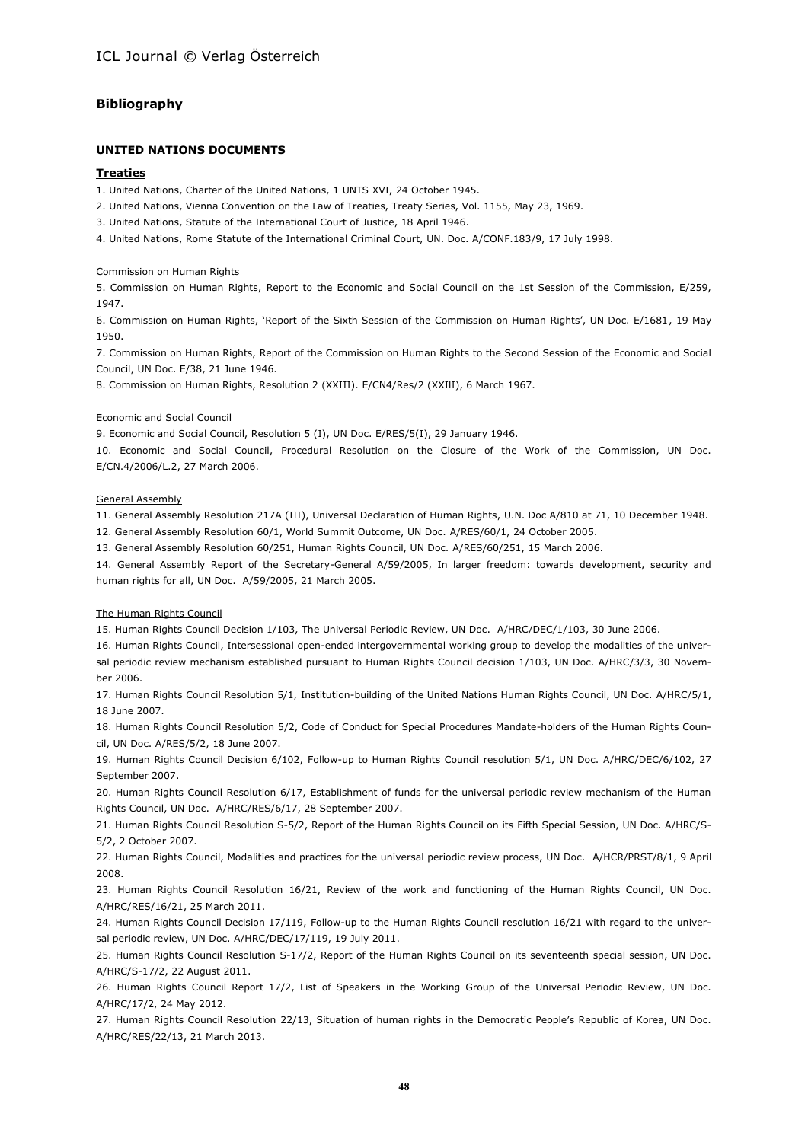#### **Bibliography**

#### **UNITED NATIONS DOCUMENTS**

#### **Treaties**

1. United Nations, Charter of the United Nations, 1 UNTS XVI, 24 October 1945.

2. United Nations, Vienna Convention on the Law of Treaties, Treaty Series, Vol. 1155, May 23, 1969.

3. United Nations, Statute of the International Court of Justice, 18 April 1946.

4. United Nations, Rome Statute of the International Criminal Court, UN. Doc. A/CONF.183/9, 17 July 1998.

#### Commission on Human Rights

5. Commission on Human Rights, Report to the Economic and Social Council on the 1st Session of the Commission, E/259, 1947.

6. Commission on Human Rights, 'Report of the Sixth Session of the Commission on Human Rights', UN Doc. E/1681, 19 May 1950.

7. Commission on Human Rights, Report of the Commission on Human Rights to the Second Session of the Economic and Social Council, UN Doc. E/38, 21 June 1946.

8. Commission on Human Rights, Resolution 2 (XXIII). E/CN4/Res/2 (XXIlI), 6 March 1967.

#### Economic and Social Council

9. Economic and Social Council, Resolution 5 (I), UN Doc. E/RES/5(I), 29 January 1946.

10. Economic and Social Council, Procedural Resolution on the Closure of the Work of the Commission, UN Doc. E/CN.4/2006/L.2, 27 March 2006.

#### General Assembly

11. General Assembly Resolution 217A (III), Universal Declaration of Human Rights, U.N. Doc A/810 at 71, 10 December 1948. 12. General Assembly Resolution 60/1, World Summit Outcome, UN Doc. A/RES/60/1, 24 October 2005.

13. General Assembly Resolution 60/251, Human Rights Council, UN Doc. A/RES/60/251, 15 March 2006.

14. General Assembly Report of the Secretary-General A/59/2005, In larger freedom: towards development, security and human rights for all, UN Doc. A/59/2005, 21 March 2005.

#### The Human Rights Council

15. Human Rights Council Decision 1/103, The Universal Periodic Review, UN Doc. A/HRC/DEC/1/103, 30 June 2006.

16. Human Rights Council, Intersessional open-ended intergovernmental working group to develop the modalities of the universal periodic review mechanism established pursuant to Human Rights Council decision 1/103, UN Doc. A/HRC/3/3, 30 November 2006.

17. Human Rights Council Resolution 5/1, Institution-building of the United Nations Human Rights Council, UN Doc. A/HRC/5/1, 18 June 2007.

18. Human Rights Council Resolution 5/2, Code of Conduct for Special Procedures Mandate-holders of the Human Rights Council, UN Doc. A/RES/5/2, 18 June 2007.

19. Human Rights Council Decision 6/102, Follow-up to Human Rights Council resolution 5/1, UN Doc. A/HRC/DEC/6/102, 27 September 2007.

20. Human Rights Council Resolution 6/17, Establishment of funds for the universal periodic review mechanism of the Human Rights Council, UN Doc. A/HRC/RES/6/17, 28 September 2007.

21. Human Rights Council Resolution S-5/2, Report of the Human Rights Council on its Fifth Special Session, UN Doc. A/HRC/S-5/2, 2 October 2007.

22. Human Rights Council, Modalities and practices for the universal periodic review process, UN Doc. A/HCR/PRST/8/1, 9 April 2008.

23. Human Rights Council Resolution 16/21, Review of the work and functioning of the Human Rights Council, UN Doc. A/HRC/RES/16/21, 25 March 2011.

24. Human Rights Council Decision 17/119, Follow-up to the Human Rights Council resolution 16/21 with regard to the universal periodic review, UN Doc. A/HRC/DEC/17/119, 19 July 2011.

25. Human Rights Council Resolution S-17/2, Report of the Human Rights Council on its seventeenth special session, UN Doc. A/HRC/S-17/2, 22 August 2011.

26. Human Rights Council Report 17/2, List of Speakers in the Working Group of the Universal Periodic Review, UN Doc. A/HRC/17/2, 24 May 2012.

27. Human Rights Council Resolution 22/13, Situation of human rights in the Democratic People's Republic of Korea, UN Doc. A/HRC/RES/22/13, 21 March 2013.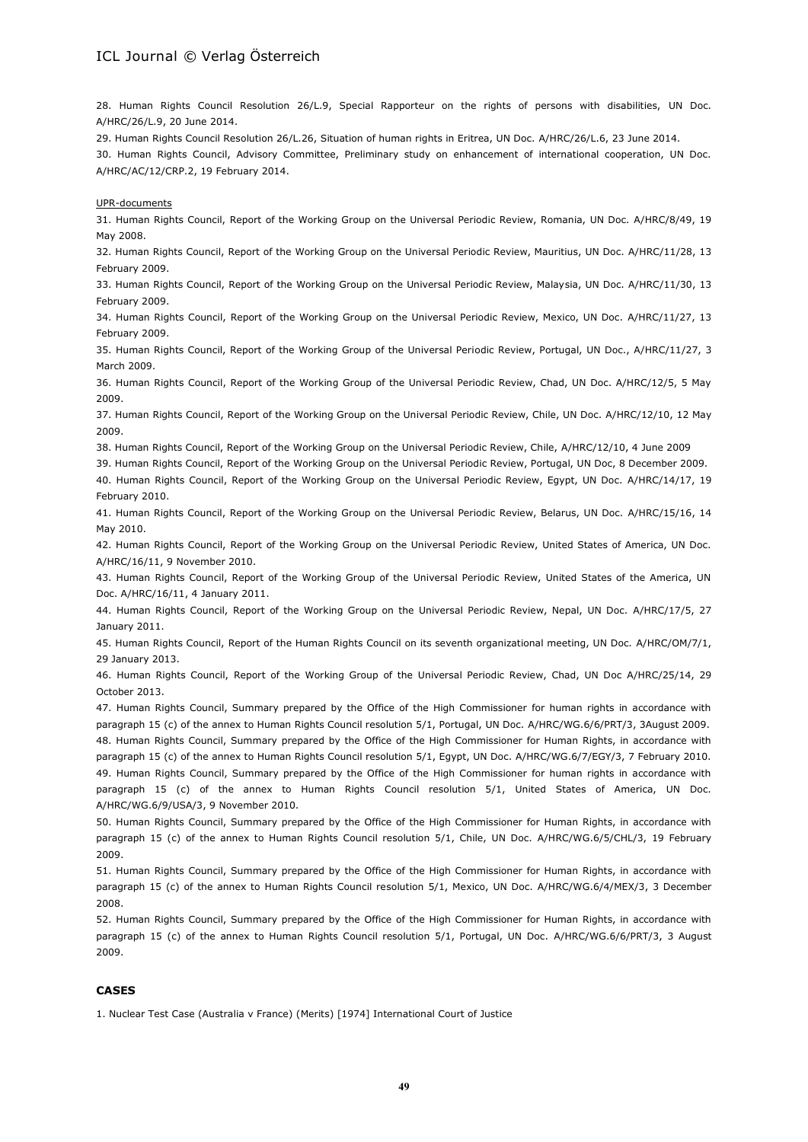28. Human Rights Council Resolution 26/L.9, Special Rapporteur on the rights of persons with disabilities, UN Doc. A/HRC/26/L.9, 20 June 2014.

29. Human Rights Council Resolution 26/L.26, Situation of human rights in Eritrea, UN Doc. A/HRC/26/L.6, 23 June 2014.

30. Human Rights Council, Advisory Committee, Preliminary study on enhancement of international cooperation, UN Doc. A/HRC/AC/12/CRP.2, 19 February 2014.

#### UPR-documents

31. Human Rights Council, Report of the Working Group on the Universal Periodic Review, Romania, UN Doc. A/HRC/8/49, 19 May 2008.

32. Human Rights Council, Report of the Working Group on the Universal Periodic Review, Mauritius, UN Doc. A/HRC/11/28, 13 February 2009.

33. Human Rights Council, Report of the Working Group on the Universal Periodic Review, Malaysia, UN Doc. A/HRC/11/30, 13 February 2009.

34. Human Rights Council, Report of the Working Group on the Universal Periodic Review, Mexico, UN Doc. A/HRC/11/27, 13 February 2009.

35. Human Rights Council, Report of the Working Group of the Universal Periodic Review, Portugal, UN Doc., A/HRC/11/27, 3 March 2009.

36. Human Rights Council, Report of the Working Group of the Universal Periodic Review, Chad, UN Doc. A/HRC/12/5, 5 May 2009.

37. Human Rights Council, Report of the Working Group on the Universal Periodic Review, Chile, UN Doc. A/HRC/12/10, 12 May 2009.

38. Human Rights Council, Report of the Working Group on the Universal Periodic Review, Chile, A/HRC/12/10, 4 June 2009

39. Human Rights Council, Report of the Working Group on the Universal Periodic Review, Portugal, UN Doc, 8 December 2009.

40. Human Rights Council, Report of the Working Group on the Universal Periodic Review, Egypt, UN Doc. A/HRC/14/17, 19 February 2010.

41. Human Rights Council, Report of the Working Group on the Universal Periodic Review, Belarus, UN Doc. A/HRC/15/16, 14 May 2010.

42. Human Rights Council, Report of the Working Group on the Universal Periodic Review, United States of America, UN Doc. A/HRC/16/11, 9 November 2010.

43. Human Rights Council, Report of the Working Group of the Universal Periodic Review, United States of the America, UN Doc. A/HRC/16/11, 4 January 2011.

44. Human Rights Council, Report of the Working Group on the Universal Periodic Review, Nepal, UN Doc. A/HRC/17/5, 27 January 2011.

45. Human Rights Council, Report of the Human Rights Council on its seventh organizational meeting, UN Doc. A/HRC/OM/7/1, 29 January 2013.

46. Human Rights Council, Report of the Working Group of the Universal Periodic Review, Chad, UN Doc A/HRC/25/14, 29 October 2013.

47. Human Rights Council, Summary prepared by the Office of the High Commissioner for human rights in accordance with paragraph 15 (c) of the annex to Human Rights Council resolution 5/1, Portugal, UN Doc. A/HRC/WG.6/6/PRT/3, 3August 2009. 48. Human Rights Council, Summary prepared by the Office of the High Commissioner for Human Rights, in accordance with paragraph 15 (c) of the annex to Human Rights Council resolution 5/1, Egypt, UN Doc. A/HRC/WG.6/7/EGY/3, 7 February 2010. 49. Human Rights Council, Summary prepared by the Office of the High Commissioner for human rights in accordance with paragraph 15 (c) of the annex to Human Rights Council resolution 5/1, United States of America, UN Doc. A/HRC/WG.6/9/USA/3, 9 November 2010.

50. Human Rights Council, Summary prepared by the Office of the High Commissioner for Human Rights, in accordance with paragraph 15 (c) of the annex to Human Rights Council resolution 5/1, Chile, UN Doc. A/HRC/WG.6/5/CHL/3, 19 February 2009.

51. Human Rights Council, Summary prepared by the Office of the High Commissioner for Human Rights, in accordance with paragraph 15 (c) of the annex to Human Rights Council resolution 5/1, Mexico, UN Doc. A/HRC/WG.6/4/MEX/3, 3 December 2008.

52. Human Rights Council, Summary prepared by the Office of the High Commissioner for Human Rights, in accordance with paragraph 15 (c) of the annex to Human Rights Council resolution 5/1, Portugal, UN Doc. A/HRC/WG.6/6/PRT/3, 3 August 2009.

#### **CASES**

1. Nuclear Test Case (Australia v France) (Merits) [1974] International Court of Justice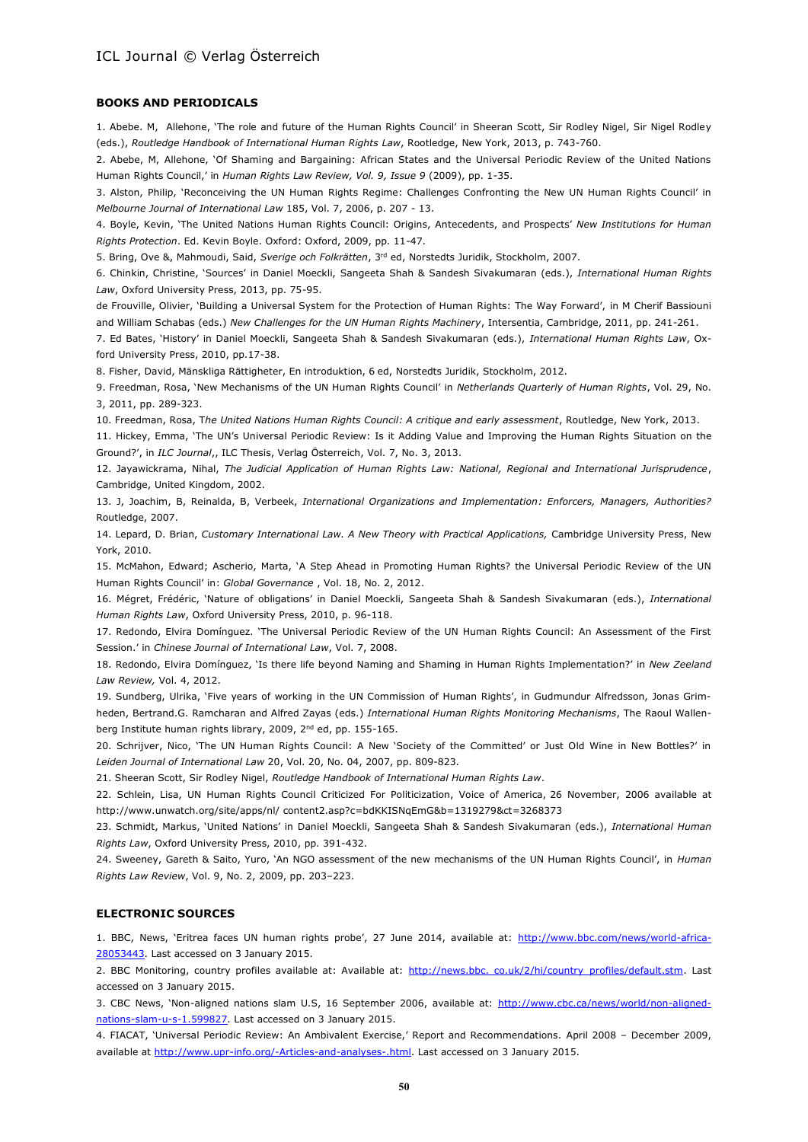#### **BOOKS AND PERIODICALS**

1. Abebe. M, Allehone, 'The role and future of the Human Rights Council' in Sheeran Scott, Sir Rodley Nigel, Sir Nigel Rodley (eds.), *Routledge Handbook of International Human Rights Law*, Rootledge, New York, 2013, p. 743-760.

2. Abebe, M, Allehone, 'Of Shaming and Bargaining: African States and the Universal Periodic Review of the United Nations Human Rights Council,' in *Human Rights Law Review, Vol. 9, Issue 9* (2009), pp. 1-35.

3. Alston, Philip, 'Reconceiving the UN Human Rights Regime: Challenges Confronting the New UN Human Rights Council' in *Melbourne Journal of International Law* 185, Vol. 7, 2006, p. 207 - 13.

4. Boyle, Kevin, 'The United Nations Human Rights Council: Origins, Antecedents, and Prospects' *New Institutions for Human Rights Protection*. Ed. Kevin Boyle. Oxford: Oxford, 2009, pp. 11-47.

5. Bring, Ove &, Mahmoudi, Said, *Sverige och Folkrätten*, 3rd ed, Norstedts Juridik, Stockholm, 2007.

6. Chinkin, Christine, 'Sources' in Daniel Moeckli, Sangeeta Shah & Sandesh Sivakumaran (eds.), *International Human Rights Law*, Oxford University Press, 2013, pp. 75-95.

de Frouville, Olivier, 'Building a Universal System for the Protection of Human Rights: The Way Forward', in M Cherif Bassiouni and William Schabas (eds.) *New Challenges for the UN Human Rights Machinery*, Intersentia, Cambridge, 2011, pp. 241-261.

7. Ed Bates, 'History' in Daniel Moeckli, Sangeeta Shah & Sandesh Sivakumaran (eds.), *International Human Rights Law*, Oxford University Press, 2010, pp.17-38.

8. Fisher, David, Mänskliga Rättigheter, En introduktion, 6 ed, Norstedts Juridik, Stockholm, 2012.

9. Freedman, Rosa, 'New Mechanisms of the UN Human Rights Council' in *Netherlands Quarterly of Human Rights*, Vol. 29, No. 3, 2011, pp. 289-323.

10. Freedman, Rosa, T*he United Nations Human Rights Council: A critique and early assessment*, Routledge, New York, 2013.

11. Hickey, Emma, 'The UN's Universal Periodic Review: Is it Adding Value and Improving the Human Rights Situation on the Ground?', in *ILC Journal*,, ILC Thesis, Verlag Österreich, Vol. 7, No. 3, 2013.

12. Jayawickrama, Nihal, *The Judicial Application of Human Rights Law: National, Regional and International Jurisprudence*, Cambridge, United Kingdom, 2002.

13. J, Joachim, B, Reinalda, B, Verbeek, *International Organizations and Implementation: Enforcers, Managers, Authorities?* Routledge, 2007.

14. Lepard, D. Brian, *Customary International Law. A New Theory with Practical Applications,* Cambridge University Press, New York, 2010.

15. McMahon, Edward; Ascherio, Marta, 'A Step Ahead in Promoting Human Rights? the Universal Periodic Review of the UN Human Rights Council' in: *Global Governance* , Vol. 18, No. 2, 2012.

16. Mégret, Frédéric, 'Nature of obligations' in Daniel Moeckli, Sangeeta Shah & Sandesh Sivakumaran (eds.), *International Human Rights Law*, Oxford University Press, 2010, p. 96-118.

17. Redondo, Elvira Domínguez. 'The Universal Periodic Review of the UN Human Rights Council: An Assessment of the First Session.' in *Chinese Journal of International Law*, Vol. 7, 2008.

18. Redondo, Elvira Domínguez, 'Is there life beyond Naming and Shaming in Human Rights Implementation?' in *New Zeeland Law Review,* Vol. 4, 2012.

19. Sundberg, Ulrika, 'Five years of working in the UN Commission of Human Rights', in Gudmundur Alfredsson, Jonas Grimheden, Bertrand.G. Ramcharan and Alfred Zayas (eds.) *International Human Rights Monitoring Mechanisms*, The Raoul Wallenberg Institute human rights library, 2009, 2<sup>nd</sup> ed, pp. 155-165.

20. Schrijver, Nico, 'The UN Human Rights Council: A New 'Society of the Committed' or Just Old Wine in New Bottles?' in *Leiden Journal of International Law* 20, Vol. 20, No. 04, 2007, pp. 809-823.

21. Sheeran Scott, Sir Rodley Nigel, *Routledge Handbook of International Human Rights Law*.

22. Schlein, Lisa, UN Human Rights Council Criticized For Politicization, Voice of America, 26 November, 2006 available at http://www.unwatch.org/site/apps/nl/ content2.asp?c=bdKKISNqEmG&b=1319279&ct=3268373

23. Schmidt, Markus, 'United Nations' in Daniel Moeckli, Sangeeta Shah & Sandesh Sivakumaran (eds.), *International Human Rights Law*, Oxford University Press, 2010, pp. 391-432.

24. Sweeney, Gareth & Saito, Yuro, 'An NGO assessment of the new mechanisms of the UN Human Rights Council', in *Human Rights Law Review*, Vol. 9, No. 2, 2009, pp. 203–223.

#### **ELECTRONIC SOURCES**

1. BBC, News, 'Eritrea faces UN human rights probe', 27 June 2014, available at: [http://www.bbc.com/news/world-africa-](http://www.bbc.com/news/world-africa-28053443)[28053443.](http://www.bbc.com/news/world-africa-28053443) Last accessed on 3 January 2015.

2. BBC Monitoring, country profiles available at: Available at: http://news.bbc. co.uk/2/hi/country\_profiles/default.stm. Last accessed on 3 January 2015.

3. CBC News, 'Non-aligned nations slam U.S, 16 September 2006, available at: [http://www.cbc.ca/news/world/non-aligned](http://www.cbc.ca/news/world/non-aligned-nations-slam-u-s-1.599827)slam-u-s-1.599827. Last accessed on 3 January 2015.

4. FIACAT, 'Universal Periodic Review: An Ambivalent Exercise,' Report and Recommendations. April 2008 – December 2009, available at [http://www.upr-info.org/-Articles-and-analyses-.html.](http://www.upr-info.org/-Articles-and-analyses-.html) Last accessed on 3 January 2015.